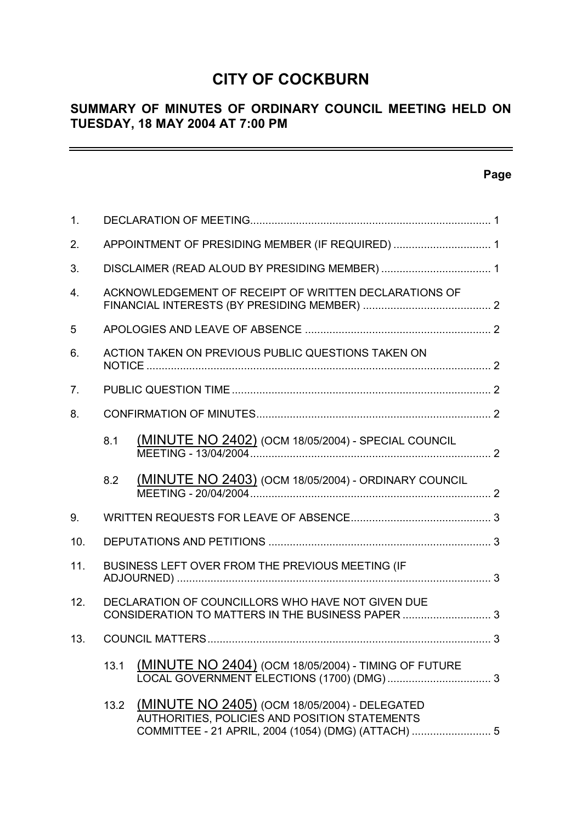# **CITY OF COCKBURN**

## **SUMMARY OF MINUTES OF ORDINARY COUNCIL MEETING HELD ON TUESDAY, 18 MAY 2004 AT 7:00 PM**

## **Page**

 $\equiv$ 

| 1.             |      |                                                                                                                                                       |  |
|----------------|------|-------------------------------------------------------------------------------------------------------------------------------------------------------|--|
| 2.             |      |                                                                                                                                                       |  |
| 3.             |      |                                                                                                                                                       |  |
| 4.             |      | ACKNOWLEDGEMENT OF RECEIPT OF WRITTEN DECLARATIONS OF                                                                                                 |  |
| 5              |      |                                                                                                                                                       |  |
| 6.             |      | ACTION TAKEN ON PREVIOUS PUBLIC QUESTIONS TAKEN ON                                                                                                    |  |
| 7 <sub>1</sub> |      |                                                                                                                                                       |  |
| 8.             |      |                                                                                                                                                       |  |
|                | 8.1  | (MINUTE NO 2402) (OCM 18/05/2004) - SPECIAL COUNCIL                                                                                                   |  |
|                | 8.2  | <b>(MINUTE NO 2403)</b> (OCM 18/05/2004) - ORDINARY COUNCIL                                                                                           |  |
| 9.             |      |                                                                                                                                                       |  |
| 10.            |      |                                                                                                                                                       |  |
| 11.            |      | BUSINESS LEFT OVER FROM THE PREVIOUS MEETING (IF                                                                                                      |  |
| 12.            |      | DECLARATION OF COUNCILLORS WHO HAVE NOT GIVEN DUE<br>CONSIDERATION TO MATTERS IN THE BUSINESS PAPER 3                                                 |  |
| 13.            |      |                                                                                                                                                       |  |
|                | 13.1 | (MINUTE NO 2404) (OCM 18/05/2004) - TIMING OF FUTURE                                                                                                  |  |
|                | 13.2 | (MINUTE NO 2405) (OCM 18/05/2004) - DELEGATED<br>AUTHORITIES, POLICIES AND POSITION STATEMENTS<br>COMMITTEE - 21 APRIL, 2004 (1054) (DMG) (ATTACH)  5 |  |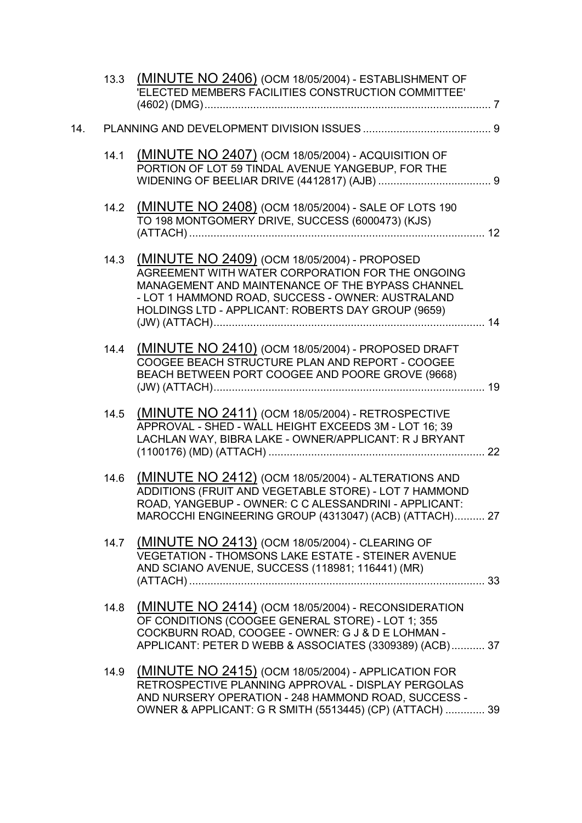|     |      | 13.3 (MINUTE NO 2406) (OCM 18/05/2004) - ESTABLISHMENT OF<br>'ELECTED MEMBERS FACILITIES CONSTRUCTION COMMITTEE'                                                                                                                                                |  |
|-----|------|-----------------------------------------------------------------------------------------------------------------------------------------------------------------------------------------------------------------------------------------------------------------|--|
| 14. |      |                                                                                                                                                                                                                                                                 |  |
|     | 14.1 | <b>(MINUTE NO 2407)</b> (OCM 18/05/2004) - ACQUISITION OF<br>PORTION OF LOT 59 TINDAL AVENUE YANGEBUP, FOR THE                                                                                                                                                  |  |
|     | 14.2 | (MINUTE NO 2408) (OCM 18/05/2004) - SALE OF LOTS 190<br>TO 198 MONTGOMERY DRIVE, SUCCESS (6000473) (KJS)                                                                                                                                                        |  |
|     | 14.3 | (MINUTE NO 2409) (OCM 18/05/2004) - PROPOSED<br>AGREEMENT WITH WATER CORPORATION FOR THE ONGOING<br>MANAGEMENT AND MAINTENANCE OF THE BYPASS CHANNEL<br>- LOT 1 HAMMOND ROAD, SUCCESS - OWNER: AUSTRALAND<br>HOLDINGS LTD - APPLICANT: ROBERTS DAY GROUP (9659) |  |
|     | 14.4 | (MINUTE NO 2410) (OCM 18/05/2004) - PROPOSED DRAFT<br>COOGEE BEACH STRUCTURE PLAN AND REPORT - COOGEE<br>BEACH BETWEEN PORT COOGEE AND POORE GROVE (9668)                                                                                                       |  |
|     | 14.5 | (MINUTE NO 2411) (OCM 18/05/2004) - RETROSPECTIVE<br>APPROVAL - SHED - WALL HEIGHT EXCEEDS 3M - LOT 16; 39<br>LACHLAN WAY, BIBRA LAKE - OWNER/APPLICANT: R J BRYANT                                                                                             |  |
|     | 14.6 | (MINUTE NO 2412) (OCM 18/05/2004) - ALTERATIONS AND<br>ADDITIONS (FRUIT AND VEGETABLE STORE) - LOT 7 HAMMOND<br>ROAD, YANGEBUP - OWNER: C C ALESSANDRINI - APPLICANT:<br>MAROCCHI ENGINEERING GROUP (4313047) (ACB) (ATTACH) 27                                 |  |
|     | 14.7 | (MINUTE NO 2413) (OCM 18/05/2004) - CLEARING OF<br>VEGETATION - THOMSONS LAKE ESTATE - STEINER AVENUE<br>AND SCIANO AVENUE, SUCCESS (118981; 116441) (MR)                                                                                                       |  |
|     | 14.8 | (MINUTE NO 2414) (OCM 18/05/2004) - RECONSIDERATION<br>OF CONDITIONS (COOGEE GENERAL STORE) - LOT 1; 355<br>COCKBURN ROAD, COOGEE - OWNER: G J & D E LOHMAN -<br>APPLICANT: PETER D WEBB & ASSOCIATES (3309389) (ACB) 37                                        |  |
|     | 14.9 | <b>(MINUTE NO 2415)</b> (OCM 18/05/2004) - APPLICATION FOR<br>RETROSPECTIVE PLANNING APPROVAL - DISPLAY PERGOLAS<br>AND NURSERY OPERATION - 248 HAMMOND ROAD, SUCCESS -<br>OWNER & APPLICANT: G R SMITH (5513445) (CP) (ATTACH)  39                             |  |
|     |      |                                                                                                                                                                                                                                                                 |  |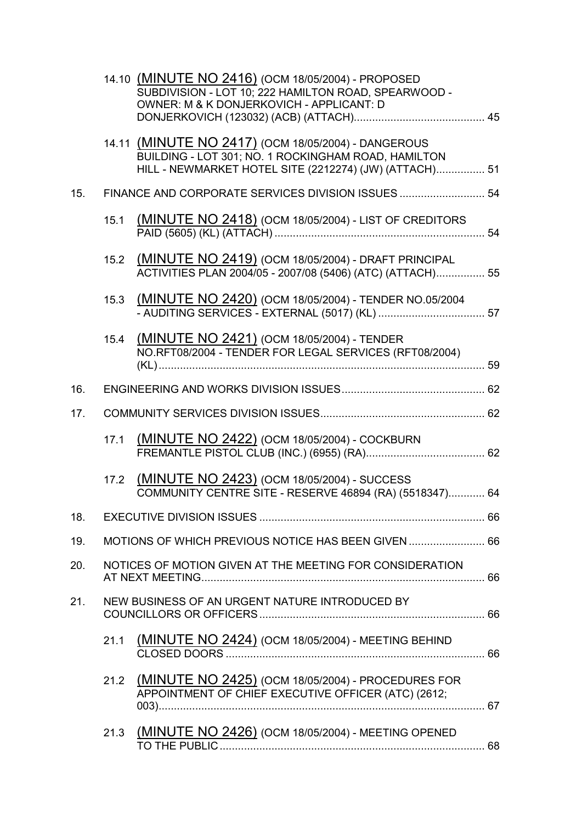|     |      | 14.10 (MINUTE NO 2416) (OCM 18/05/2004) - PROPOSED<br>SUBDIVISION - LOT 10; 222 HAMILTON ROAD, SPEARWOOD -<br>OWNER: M & K DONJERKOVICH - APPLICANT: D               |  |
|-----|------|----------------------------------------------------------------------------------------------------------------------------------------------------------------------|--|
|     |      | 14.11 (MINUTE NO 2417) (OCM 18/05/2004) - DANGEROUS<br>BUILDING - LOT 301; NO. 1 ROCKINGHAM ROAD, HAMILTON<br>HILL - NEWMARKET HOTEL SITE (2212274) (JW) (ATTACH) 51 |  |
| 15. |      | FINANCE AND CORPORATE SERVICES DIVISION ISSUES  54                                                                                                                   |  |
|     | 15.1 | (MINUTE NO 2418) (OCM 18/05/2004) - LIST OF CREDITORS                                                                                                                |  |
|     | 15.2 | (MINUTE NO 2419) (OCM 18/05/2004) - DRAFT PRINCIPAL<br>ACTIVITIES PLAN 2004/05 - 2007/08 (5406) (ATC) (ATTACH) 55                                                    |  |
|     | 15.3 | (MINUTE NO 2420) (OCM 18/05/2004) - TENDER NO.05/2004                                                                                                                |  |
|     | 15.4 | (MINUTE NO 2421) (OCM 18/05/2004) - TENDER<br>NO.RFT08/2004 - TENDER FOR LEGAL SERVICES (RFT08/2004)                                                                 |  |
| 16. |      |                                                                                                                                                                      |  |
| 17. |      |                                                                                                                                                                      |  |
|     | 17.1 | (MINUTE NO 2422) (OCM 18/05/2004) - COCKBURN                                                                                                                         |  |
|     |      | 17.2 (MINUTE NO 2423) (OCM 18/05/2004) - SUCCESS<br>COMMUNITY CENTRE SITE - RESERVE 46894 (RA) (5518347) 64                                                          |  |
| 18. |      |                                                                                                                                                                      |  |
| 19. |      | MOTIONS OF WHICH PREVIOUS NOTICE HAS BEEN GIVEN  66                                                                                                                  |  |
| 20. |      | NOTICES OF MOTION GIVEN AT THE MEETING FOR CONSIDERATION                                                                                                             |  |
| 21. |      | NEW BUSINESS OF AN URGENT NATURE INTRODUCED BY                                                                                                                       |  |
|     |      | 21.1 (MINUTE NO 2424) (OCM 18/05/2004) - MEETING BEHIND                                                                                                              |  |
|     | 21.2 | (MINUTE NO 2425) (OCM 18/05/2004) - PROCEDURES FOR<br>APPOINTMENT OF CHIEF EXECUTIVE OFFICER (ATC) (2612;                                                            |  |
|     | 21.3 | (MINUTE NO 2426) (OCM 18/05/2004) - MEETING OPENED                                                                                                                   |  |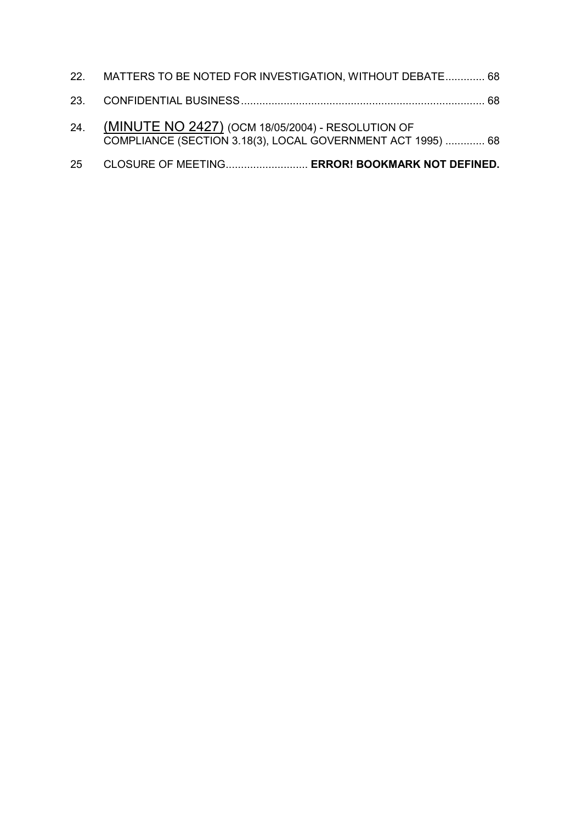| 25 | CLOSURE OF MEETING ERROR! BOOKMARK NOT DEFINED.                                                                      |  |
|----|----------------------------------------------------------------------------------------------------------------------|--|
|    | 24. (MINUTE NO 2427) (OCM 18/05/2004) - RESOLUTION OF<br>COMPLIANCE (SECTION 3.18(3), LOCAL GOVERNMENT ACT 1995)  68 |  |
|    |                                                                                                                      |  |
|    | 22. MATTERS TO BE NOTED FOR INVESTIGATION, WITHOUT DEBATE 68                                                         |  |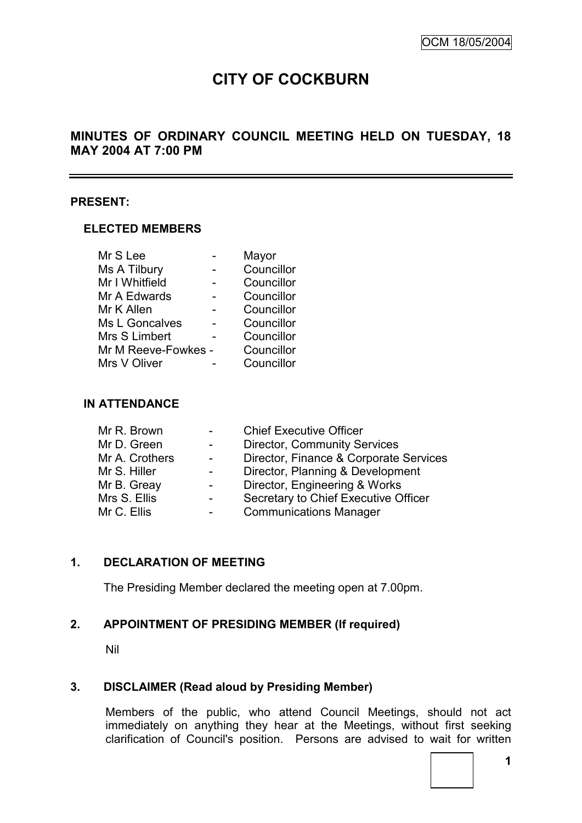# **CITY OF COCKBURN**

## **MINUTES OF ORDINARY COUNCIL MEETING HELD ON TUESDAY, 18 MAY 2004 AT 7:00 PM**

#### **PRESENT:**

#### **ELECTED MEMBERS**

| Mr S Lee              | Mayor      |
|-----------------------|------------|
| Ms A Tilbury          | Councillor |
| Mr I Whitfield        | Councillor |
| Mr A Edwards          | Councillor |
| Mr K Allen            | Councillor |
| <b>Ms L Goncalves</b> | Councillor |
| Mrs S Limbert         | Councillor |
| Mr M Reeve-Fowkes -   | Councillor |
| Mrs V Oliver          | Councillor |

#### **IN ATTENDANCE**

| Mr R. Brown    |   | <b>Chief Executive Officer</b>         |
|----------------|---|----------------------------------------|
| Mr D. Green    |   | <b>Director, Community Services</b>    |
| Mr A. Crothers |   | Director, Finance & Corporate Services |
| Mr S. Hiller   |   | Director, Planning & Development       |
| Mr B. Greay    |   | Director, Engineering & Works          |
| Mrs S. Ellis   |   | Secretary to Chief Executive Officer   |
| Mr C. Ellis    | - | <b>Communications Manager</b>          |

## **1. DECLARATION OF MEETING**

The Presiding Member declared the meeting open at 7.00pm.

#### **2. APPOINTMENT OF PRESIDING MEMBER (If required)**

Nil

#### **3. DISCLAIMER (Read aloud by Presiding Member)**

Members of the public, who attend Council Meetings, should not act immediately on anything they hear at the Meetings, without first seeking clarification of Council's position. Persons are advised to wait for written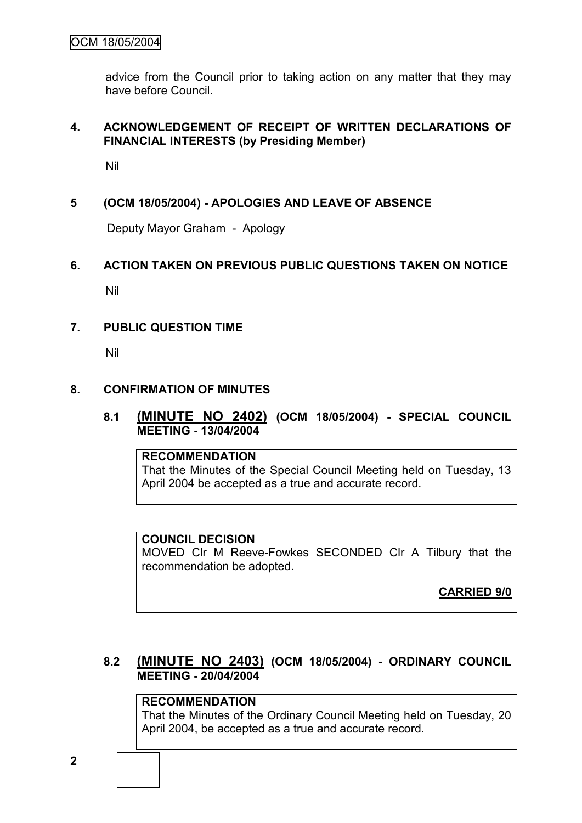advice from the Council prior to taking action on any matter that they may have before Council.

### **4. ACKNOWLEDGEMENT OF RECEIPT OF WRITTEN DECLARATIONS OF FINANCIAL INTERESTS (by Presiding Member)**

Nil

## **5 (OCM 18/05/2004) - APOLOGIES AND LEAVE OF ABSENCE**

Deputy Mayor Graham - Apology

#### **6. ACTION TAKEN ON PREVIOUS PUBLIC QUESTIONS TAKEN ON NOTICE**

Nil

#### **7. PUBLIC QUESTION TIME**

Nil

#### **8. CONFIRMATION OF MINUTES**

#### **8.1 (MINUTE NO 2402) (OCM 18/05/2004) - SPECIAL COUNCIL MEETING - 13/04/2004**

#### **RECOMMENDATION**

That the Minutes of the Special Council Meeting held on Tuesday, 13 April 2004 be accepted as a true and accurate record.

#### **COUNCIL DECISION**

MOVED Clr M Reeve-Fowkes SECONDED Clr A Tilbury that the recommendation be adopted.

**CARRIED 9/0**

## **8.2 (MINUTE NO 2403) (OCM 18/05/2004) - ORDINARY COUNCIL MEETING - 20/04/2004**

## **RECOMMENDATION**

That the Minutes of the Ordinary Council Meeting held on Tuesday, 20 April 2004, be accepted as a true and accurate record.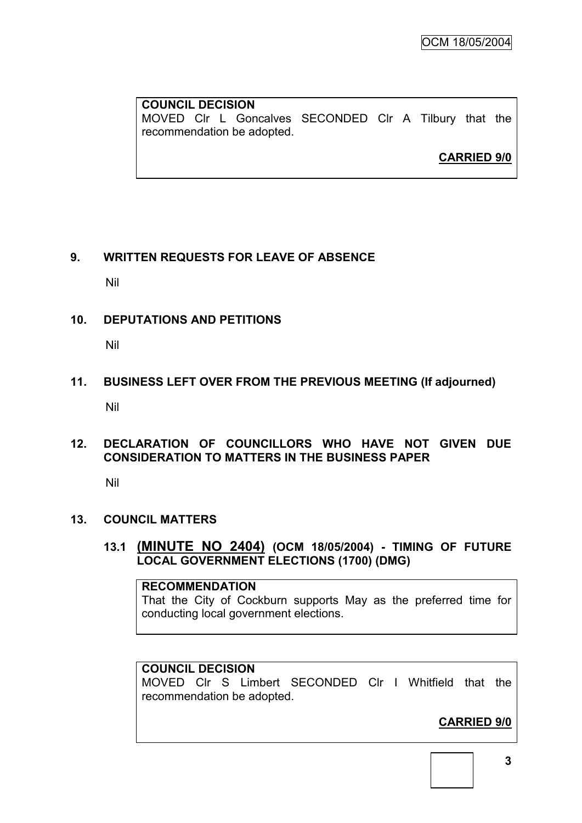OCM 18/05/2004

#### **COUNCIL DECISION** MOVED Clr L Goncalves SECONDED Clr A Tilbury that the recommendation be adopted.

**CARRIED 9/0**

## **9. WRITTEN REQUESTS FOR LEAVE OF ABSENCE**

Nil

## **10. DEPUTATIONS AND PETITIONS**

Nil

**11. BUSINESS LEFT OVER FROM THE PREVIOUS MEETING (If adjourned)** Nil

## **12. DECLARATION OF COUNCILLORS WHO HAVE NOT GIVEN DUE CONSIDERATION TO MATTERS IN THE BUSINESS PAPER**

Nil

#### **13. COUNCIL MATTERS**

**13.1 (MINUTE NO 2404) (OCM 18/05/2004) - TIMING OF FUTURE LOCAL GOVERNMENT ELECTIONS (1700) (DMG)**

**RECOMMENDATION** That the City of Cockburn supports May as the preferred time for conducting local government elections.

## **COUNCIL DECISION**

MOVED Clr S Limbert SECONDED Clr I Whitfield that the recommendation be adopted.

## **CARRIED 9/0**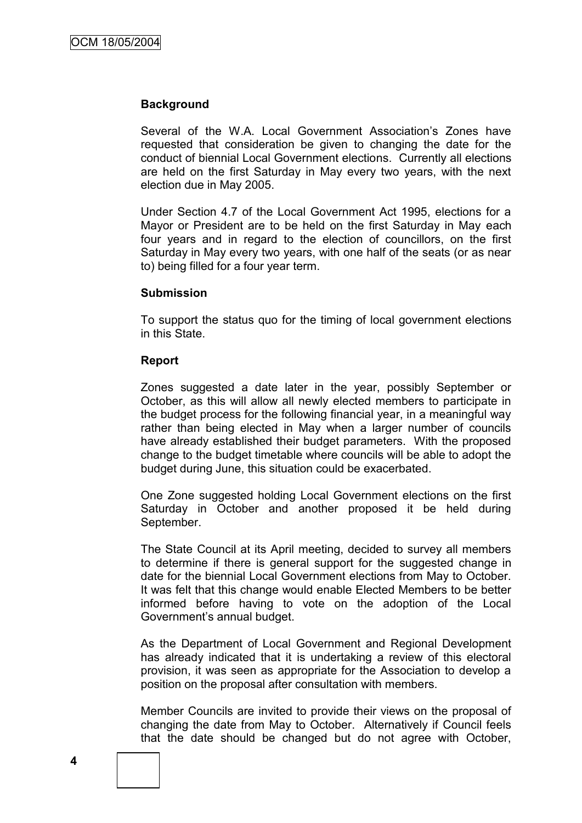#### **Background**

Several of the W.A. Local Government Association's Zones have requested that consideration be given to changing the date for the conduct of biennial Local Government elections. Currently all elections are held on the first Saturday in May every two years, with the next election due in May 2005.

Under Section 4.7 of the Local Government Act 1995, elections for a Mayor or President are to be held on the first Saturday in May each four years and in regard to the election of councillors, on the first Saturday in May every two years, with one half of the seats (or as near to) being filled for a four year term.

#### **Submission**

To support the status quo for the timing of local government elections in this State.

#### **Report**

Zones suggested a date later in the year, possibly September or October, as this will allow all newly elected members to participate in the budget process for the following financial year, in a meaningful way rather than being elected in May when a larger number of councils have already established their budget parameters. With the proposed change to the budget timetable where councils will be able to adopt the budget during June, this situation could be exacerbated.

One Zone suggested holding Local Government elections on the first Saturday in October and another proposed it be held during September.

The State Council at its April meeting, decided to survey all members to determine if there is general support for the suggested change in date for the biennial Local Government elections from May to October. It was felt that this change would enable Elected Members to be better informed before having to vote on the adoption of the Local Government"s annual budget.

As the Department of Local Government and Regional Development has already indicated that it is undertaking a review of this electoral provision, it was seen as appropriate for the Association to develop a position on the proposal after consultation with members.

Member Councils are invited to provide their views on the proposal of changing the date from May to October. Alternatively if Council feels that the date should be changed but do not agree with October,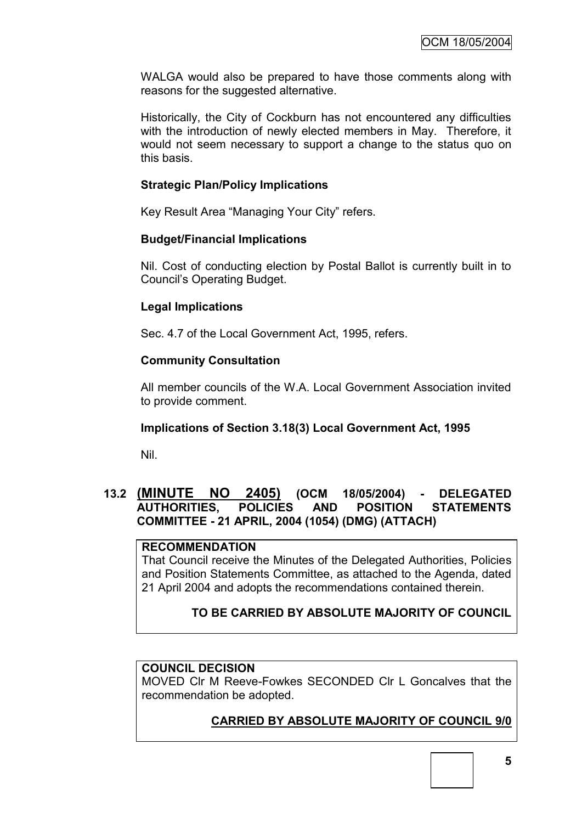WALGA would also be prepared to have those comments along with reasons for the suggested alternative.

Historically, the City of Cockburn has not encountered any difficulties with the introduction of newly elected members in May. Therefore, it would not seem necessary to support a change to the status quo on this basis.

## **Strategic Plan/Policy Implications**

Key Result Area "Managing Your City" refers.

## **Budget/Financial Implications**

Nil. Cost of conducting election by Postal Ballot is currently built in to Council"s Operating Budget.

## **Legal Implications**

Sec. 4.7 of the Local Government Act, 1995, refers.

## **Community Consultation**

All member councils of the W.A. Local Government Association invited to provide comment.

## **Implications of Section 3.18(3) Local Government Act, 1995**

Nil.

## **13.2 (MINUTE NO 2405) (OCM 18/05/2004) - DELEGATED AUTHORITIES, POLICIES AND POSITION STATEMENTS COMMITTEE - 21 APRIL, 2004 (1054) (DMG) (ATTACH)**

#### **RECOMMENDATION**

That Council receive the Minutes of the Delegated Authorities, Policies and Position Statements Committee, as attached to the Agenda, dated 21 April 2004 and adopts the recommendations contained therein.

## **TO BE CARRIED BY ABSOLUTE MAJORITY OF COUNCIL**

#### **COUNCIL DECISION**

MOVED Clr M Reeve-Fowkes SECONDED Clr L Goncalves that the recommendation be adopted.

## **CARRIED BY ABSOLUTE MAJORITY OF COUNCIL 9/0**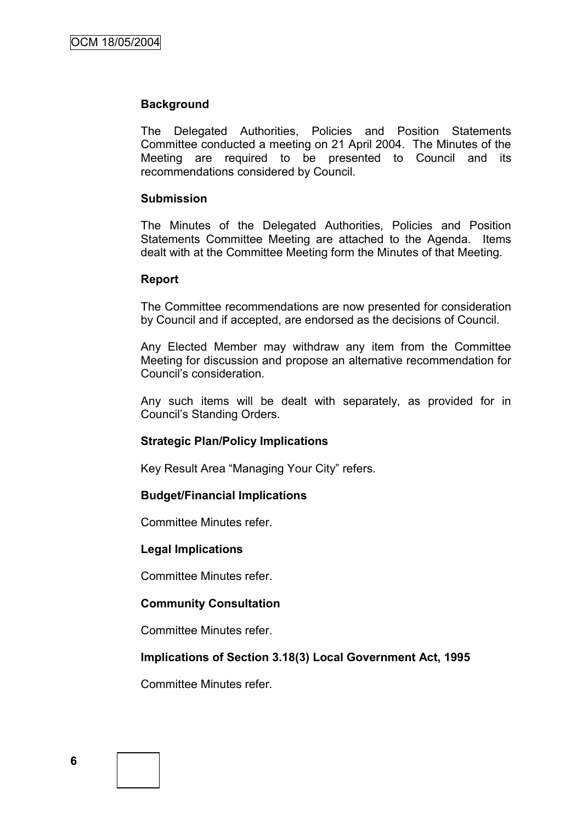#### **Background**

The Delegated Authorities, Policies and Position Statements Committee conducted a meeting on 21 April 2004. The Minutes of the Meeting are required to be presented to Council and its recommendations considered by Council.

#### **Submission**

The Minutes of the Delegated Authorities, Policies and Position Statements Committee Meeting are attached to the Agenda. Items dealt with at the Committee Meeting form the Minutes of that Meeting.

#### **Report**

The Committee recommendations are now presented for consideration by Council and if accepted, are endorsed as the decisions of Council.

Any Elected Member may withdraw any item from the Committee Meeting for discussion and propose an alternative recommendation for Council"s consideration.

Any such items will be dealt with separately, as provided for in Council"s Standing Orders.

#### **Strategic Plan/Policy Implications**

Key Result Area "Managing Your City" refers.

#### **Budget/Financial Implications**

Committee Minutes refer.

#### **Legal Implications**

Committee Minutes refer.

#### **Community Consultation**

Committee Minutes refer.

#### **Implications of Section 3.18(3) Local Government Act, 1995**

Committee Minutes refer.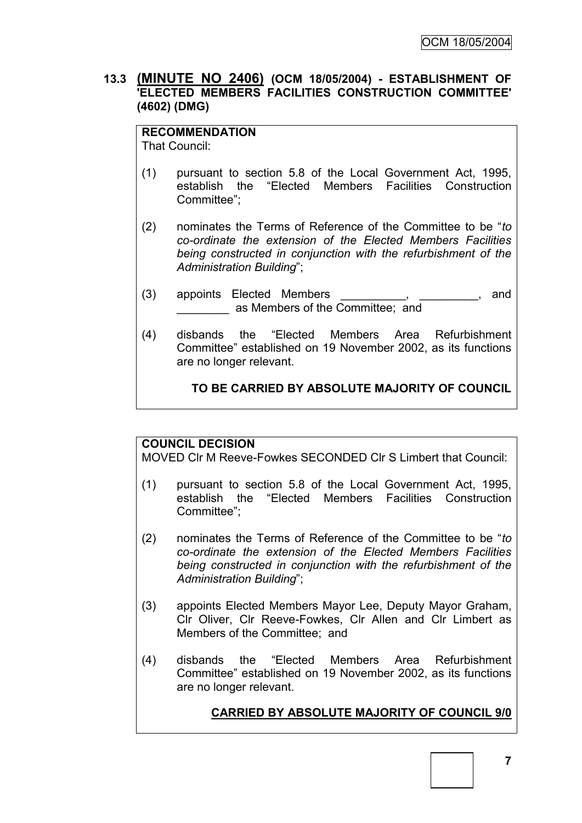## **13.3 (MINUTE NO 2406) (OCM 18/05/2004) - ESTABLISHMENT OF 'ELECTED MEMBERS FACILITIES CONSTRUCTION COMMITTEE' (4602) (DMG)**

# **RECOMMENDATION**

That Council:

- (1) pursuant to section 5.8 of the Local Government Act, 1995, establish the "Elected Members Facilities Construction Committee";
- (2) nominates the Terms of Reference of the Committee to be "*to co-ordinate the extension of the Elected Members Facilities being constructed in conjunction with the refurbishment of the Administration Building*";
- (3) appoints Elected Members (3) and \_\_\_\_\_\_\_\_ as Members of the Committee; and
- (4) disbands the "Elected Members Area Refurbishment Committee" established on 19 November 2002, as its functions are no longer relevant.

**TO BE CARRIED BY ABSOLUTE MAJORITY OF COUNCIL**

## **COUNCIL DECISION**

MOVED Clr M Reeve-Fowkes SECONDED Clr S Limbert that Council:

- (1) pursuant to section 5.8 of the Local Government Act, 1995, establish the "Elected Members Facilities Construction Committee";
- (2) nominates the Terms of Reference of the Committee to be "*to co-ordinate the extension of the Elected Members Facilities being constructed in conjunction with the refurbishment of the Administration Building*";
- (3) appoints Elected Members Mayor Lee, Deputy Mayor Graham, Clr Oliver, Clr Reeve-Fowkes, Clr Allen and Clr Limbert as Members of the Committee; and
- (4) disbands the "Elected Members Area Refurbishment Committee" established on 19 November 2002, as its functions are no longer relevant.

## **CARRIED BY ABSOLUTE MAJORITY OF COUNCIL 9/0**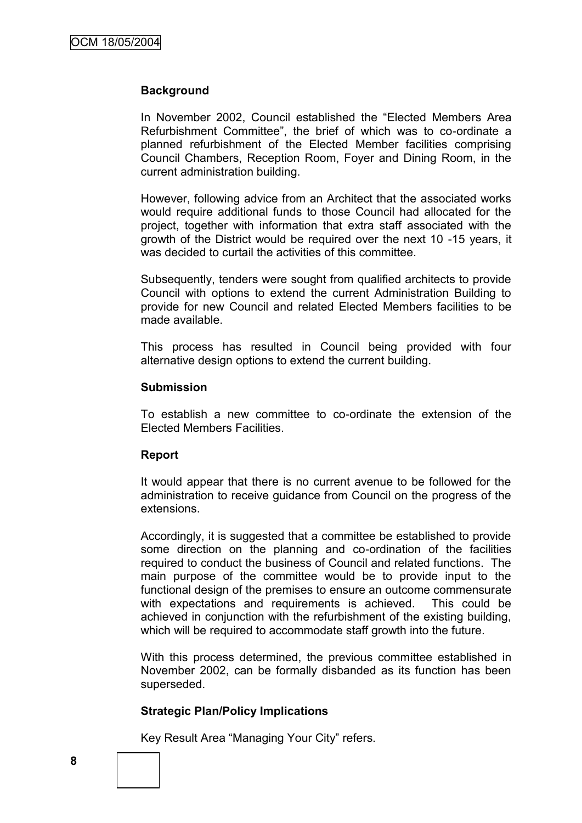#### **Background**

In November 2002, Council established the "Elected Members Area Refurbishment Committee", the brief of which was to co-ordinate a planned refurbishment of the Elected Member facilities comprising Council Chambers, Reception Room, Foyer and Dining Room, in the current administration building.

However, following advice from an Architect that the associated works would require additional funds to those Council had allocated for the project, together with information that extra staff associated with the growth of the District would be required over the next 10 -15 years, it was decided to curtail the activities of this committee.

Subsequently, tenders were sought from qualified architects to provide Council with options to extend the current Administration Building to provide for new Council and related Elected Members facilities to be made available.

This process has resulted in Council being provided with four alternative design options to extend the current building.

#### **Submission**

To establish a new committee to co-ordinate the extension of the Elected Members Facilities.

#### **Report**

It would appear that there is no current avenue to be followed for the administration to receive guidance from Council on the progress of the extensions.

Accordingly, it is suggested that a committee be established to provide some direction on the planning and co-ordination of the facilities required to conduct the business of Council and related functions. The main purpose of the committee would be to provide input to the functional design of the premises to ensure an outcome commensurate with expectations and requirements is achieved. This could be achieved in conjunction with the refurbishment of the existing building, which will be required to accommodate staff growth into the future.

With this process determined, the previous committee established in November 2002, can be formally disbanded as its function has been superseded.

#### **Strategic Plan/Policy Implications**

Key Result Area "Managing Your City" refers.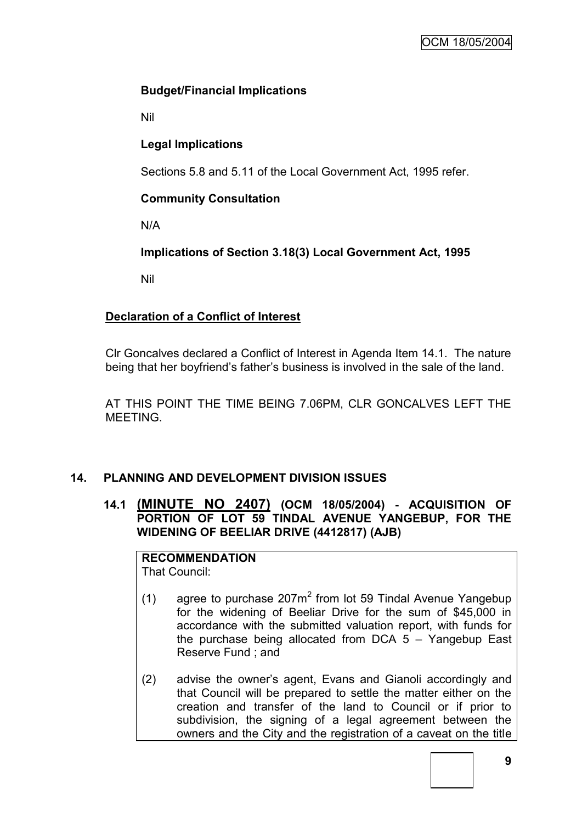## **Budget/Financial Implications**

Nil

## **Legal Implications**

Sections 5.8 and 5.11 of the Local Government Act, 1995 refer.

## **Community Consultation**

N/A

**Implications of Section 3.18(3) Local Government Act, 1995**

Nil

## **Declaration of a Conflict of Interest**

Clr Goncalves declared a Conflict of Interest in Agenda Item 14.1. The nature being that her boyfriend"s father"s business is involved in the sale of the land.

AT THIS POINT THE TIME BEING 7.06PM, CLR GONCALVES LEFT THE MEETING.

## **14. PLANNING AND DEVELOPMENT DIVISION ISSUES**

## **14.1 (MINUTE NO 2407) (OCM 18/05/2004) - ACQUISITION OF PORTION OF LOT 59 TINDAL AVENUE YANGEBUP, FOR THE WIDENING OF BEELIAR DRIVE (4412817) (AJB)**

## **RECOMMENDATION**

That Council:

- (1) agree to purchase  $207m^2$  from lot 59 Tindal Avenue Yangebup for the widening of Beeliar Drive for the sum of \$45,000 in accordance with the submitted valuation report, with funds for the purchase being allocated from DCA  $5 -$  Yangebup East Reserve Fund ; and
- (2) advise the owner"s agent, Evans and Gianoli accordingly and that Council will be prepared to settle the matter either on the creation and transfer of the land to Council or if prior to subdivision, the signing of a legal agreement between the owners and the City and the registration of a caveat on the title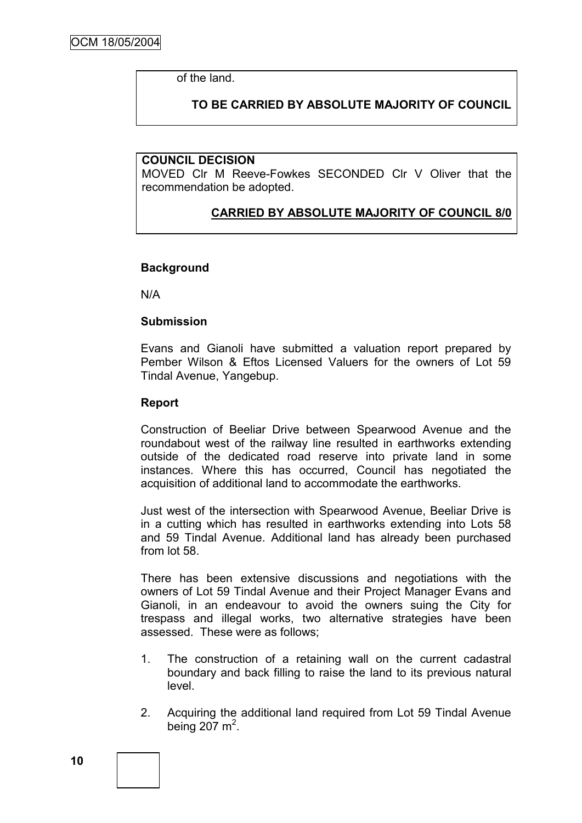of the land.

## **TO BE CARRIED BY ABSOLUTE MAJORITY OF COUNCIL**

#### **COUNCIL DECISION**

MOVED Clr M Reeve-Fowkes SECONDED Clr V Oliver that the recommendation be adopted.

## **CARRIED BY ABSOLUTE MAJORITY OF COUNCIL 8/0**

#### **Background**

N/A

#### **Submission**

Evans and Gianoli have submitted a valuation report prepared by Pember Wilson & Eftos Licensed Valuers for the owners of Lot 59 Tindal Avenue, Yangebup.

#### **Report**

Construction of Beeliar Drive between Spearwood Avenue and the roundabout west of the railway line resulted in earthworks extending outside of the dedicated road reserve into private land in some instances. Where this has occurred, Council has negotiated the acquisition of additional land to accommodate the earthworks.

Just west of the intersection with Spearwood Avenue, Beeliar Drive is in a cutting which has resulted in earthworks extending into Lots 58 and 59 Tindal Avenue. Additional land has already been purchased from lot 58.

There has been extensive discussions and negotiations with the owners of Lot 59 Tindal Avenue and their Project Manager Evans and Gianoli, in an endeavour to avoid the owners suing the City for trespass and illegal works, two alternative strategies have been assessed. These were as follows;

- 1. The construction of a retaining wall on the current cadastral boundary and back filling to raise the land to its previous natural level.
- 2. Acquiring the additional land required from Lot 59 Tindal Avenue being  $207 \text{ m}^2$ .

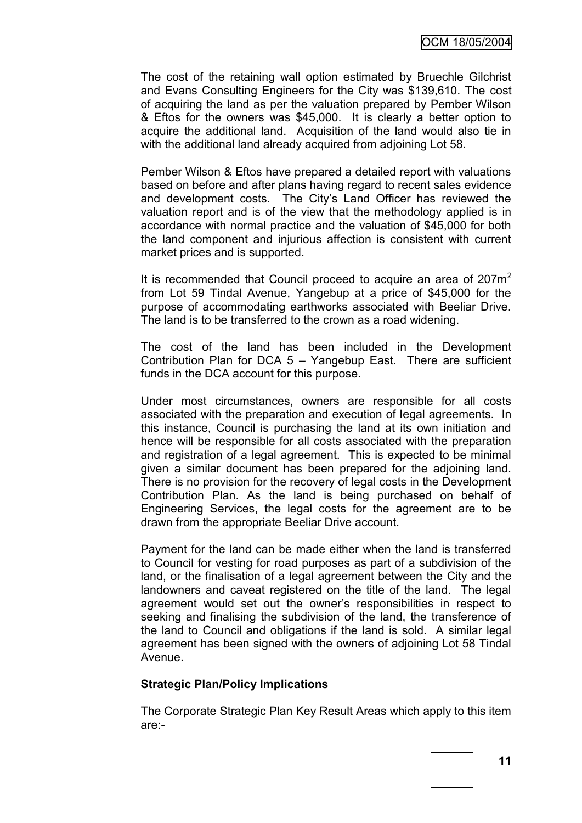The cost of the retaining wall option estimated by Bruechle Gilchrist and Evans Consulting Engineers for the City was \$139,610. The cost of acquiring the land as per the valuation prepared by Pember Wilson & Eftos for the owners was \$45,000. It is clearly a better option to acquire the additional land. Acquisition of the land would also tie in with the additional land already acquired from adjoining Lot 58.

Pember Wilson & Eftos have prepared a detailed report with valuations based on before and after plans having regard to recent sales evidence and development costs. The City"s Land Officer has reviewed the valuation report and is of the view that the methodology applied is in accordance with normal practice and the valuation of \$45,000 for both the land component and injurious affection is consistent with current market prices and is supported.

It is recommended that Council proceed to acquire an area of  $207m<sup>2</sup>$ from Lot 59 Tindal Avenue, Yangebup at a price of \$45,000 for the purpose of accommodating earthworks associated with Beeliar Drive. The land is to be transferred to the crown as a road widening.

The cost of the land has been included in the Development Contribution Plan for DCA 5 – Yangebup East. There are sufficient funds in the DCA account for this purpose.

Under most circumstances, owners are responsible for all costs associated with the preparation and execution of legal agreements. In this instance, Council is purchasing the land at its own initiation and hence will be responsible for all costs associated with the preparation and registration of a legal agreement. This is expected to be minimal given a similar document has been prepared for the adjoining land. There is no provision for the recovery of legal costs in the Development Contribution Plan. As the land is being purchased on behalf of Engineering Services, the legal costs for the agreement are to be drawn from the appropriate Beeliar Drive account.

Payment for the land can be made either when the land is transferred to Council for vesting for road purposes as part of a subdivision of the land, or the finalisation of a legal agreement between the City and the landowners and caveat registered on the title of the land. The legal agreement would set out the owner"s responsibilities in respect to seeking and finalising the subdivision of the land, the transference of the land to Council and obligations if the land is sold. A similar legal agreement has been signed with the owners of adjoining Lot 58 Tindal Avenue.

#### **Strategic Plan/Policy Implications**

The Corporate Strategic Plan Key Result Areas which apply to this item are:-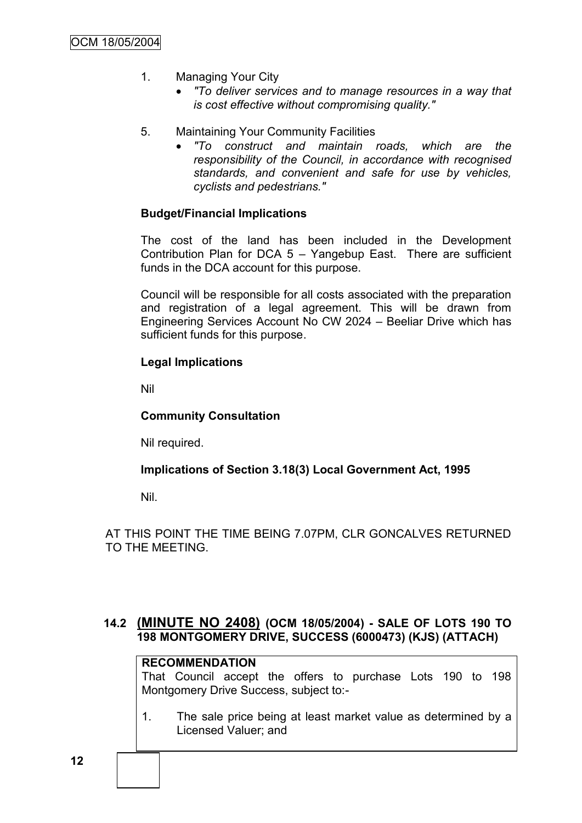- 1. Managing Your City
	- *"To deliver services and to manage resources in a way that is cost effective without compromising quality."*
- 5. Maintaining Your Community Facilities
	- *"To construct and maintain roads, which are the responsibility of the Council, in accordance with recognised standards, and convenient and safe for use by vehicles, cyclists and pedestrians."*

#### **Budget/Financial Implications**

The cost of the land has been included in the Development Contribution Plan for DCA 5 – Yangebup East. There are sufficient funds in the DCA account for this purpose.

Council will be responsible for all costs associated with the preparation and registration of a legal agreement. This will be drawn from Engineering Services Account No CW 2024 – Beeliar Drive which has sufficient funds for this purpose.

#### **Legal Implications**

Nil

## **Community Consultation**

Nil required.

#### **Implications of Section 3.18(3) Local Government Act, 1995**

Nil.

AT THIS POINT THE TIME BEING 7.07PM, CLR GONCALVES RETURNED TO THE MEETING.

## **14.2 (MINUTE NO 2408) (OCM 18/05/2004) - SALE OF LOTS 190 TO 198 MONTGOMERY DRIVE, SUCCESS (6000473) (KJS) (ATTACH)**

## **RECOMMENDATION**

That Council accept the offers to purchase Lots 190 to 198 Montgomery Drive Success, subject to:-

1. The sale price being at least market value as determined by a Licensed Valuer; and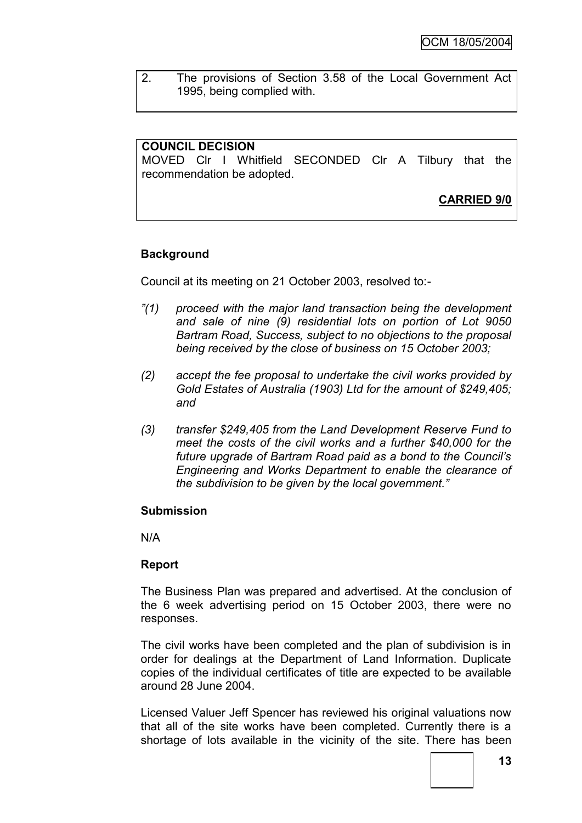2. The provisions of Section 3.58 of the Local Government Act 1995, being complied with.

### **COUNCIL DECISION**

MOVED Clr I Whitfield SECONDED Clr A Tilbury that the recommendation be adopted.

**CARRIED 9/0**

## **Background**

Council at its meeting on 21 October 2003, resolved to:-

- *"(1) proceed with the major land transaction being the development and sale of nine (9) residential lots on portion of Lot 9050 Bartram Road, Success, subject to no objections to the proposal being received by the close of business on 15 October 2003;*
- *(2) accept the fee proposal to undertake the civil works provided by Gold Estates of Australia (1903) Ltd for the amount of \$249,405; and*
- *(3) transfer \$249,405 from the Land Development Reserve Fund to meet the costs of the civil works and a further \$40,000 for the future upgrade of Bartram Road paid as a bond to the Council's Engineering and Works Department to enable the clearance of the subdivision to be given by the local government."*

#### **Submission**

N/A

#### **Report**

The Business Plan was prepared and advertised. At the conclusion of the 6 week advertising period on 15 October 2003, there were no responses.

The civil works have been completed and the plan of subdivision is in order for dealings at the Department of Land Information. Duplicate copies of the individual certificates of title are expected to be available around 28 June 2004.

Licensed Valuer Jeff Spencer has reviewed his original valuations now that all of the site works have been completed. Currently there is a shortage of lots available in the vicinity of the site. There has been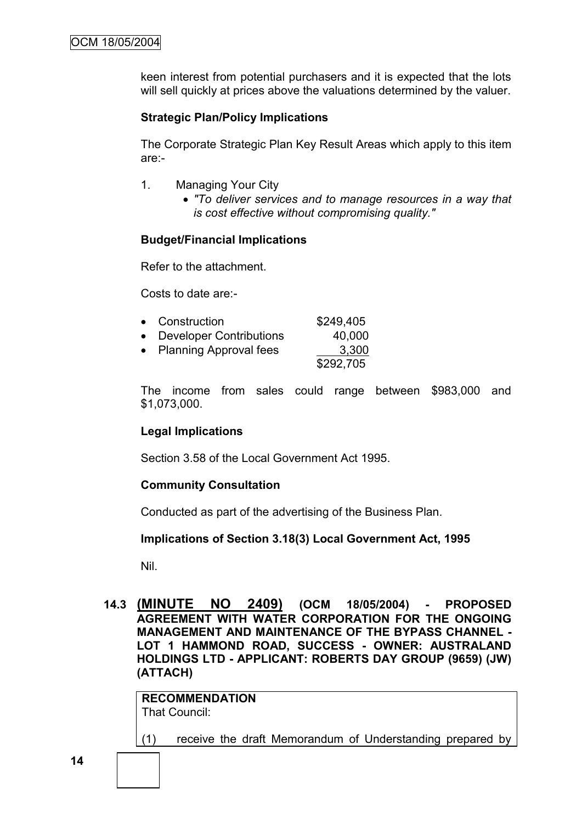keen interest from potential purchasers and it is expected that the lots will sell quickly at prices above the valuations determined by the valuer.

### **Strategic Plan/Policy Implications**

The Corporate Strategic Plan Key Result Areas which apply to this item are:-

- 1. Managing Your City
	- *"To deliver services and to manage resources in a way that is cost effective without compromising quality."*

#### **Budget/Financial Implications**

Refer to the attachment.

Costs to date are:-

|           | • Construction                 | \$249,405 |
|-----------|--------------------------------|-----------|
| $\bullet$ | <b>Developer Contributions</b> | 40,000    |

• Planning Approval fees 3,300 \$292,705

The income from sales could range between \$983,000 and \$1,073,000.

#### **Legal Implications**

Section 3.58 of the Local Government Act 1995.

#### **Community Consultation**

Conducted as part of the advertising of the Business Plan.

#### **Implications of Section 3.18(3) Local Government Act, 1995**

Nil.

**14.3 (MINUTE NO 2409) (OCM 18/05/2004) - PROPOSED AGREEMENT WITH WATER CORPORATION FOR THE ONGOING MANAGEMENT AND MAINTENANCE OF THE BYPASS CHANNEL - LOT 1 HAMMOND ROAD, SUCCESS - OWNER: AUSTRALAND HOLDINGS LTD - APPLICANT: ROBERTS DAY GROUP (9659) (JW) (ATTACH)**

**RECOMMENDATION** That Council:

(1) receive the draft Memorandum of Understanding prepared by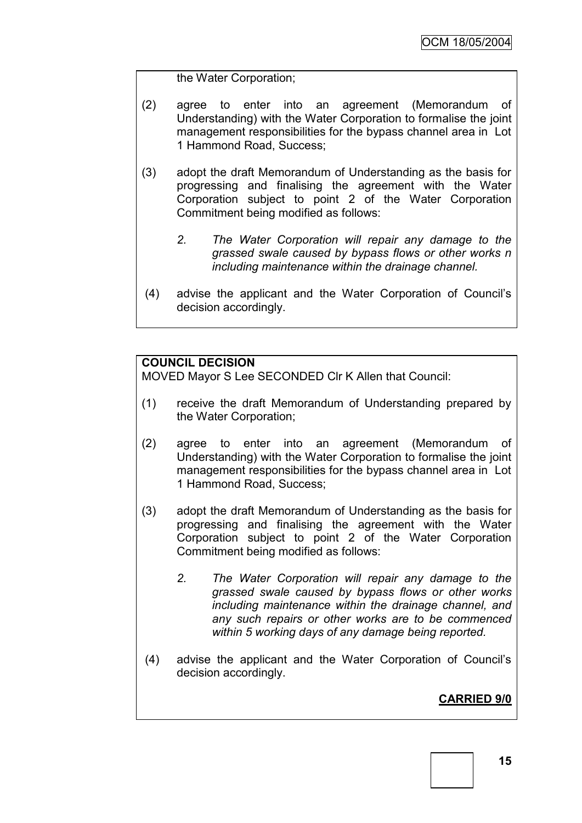the Water Corporation;

- (2) agree to enter into an agreement (Memorandum of Understanding) with the Water Corporation to formalise the joint management responsibilities for the bypass channel area in Lot 1 Hammond Road, Success;
- (3) adopt the draft Memorandum of Understanding as the basis for progressing and finalising the agreement with the Water Corporation subject to point 2 of the Water Corporation Commitment being modified as follows:
	- *2. The Water Corporation will repair any damage to the grassed swale caused by bypass flows or other works n including maintenance within the drainage channel.*
- (4) advise the applicant and the Water Corporation of Council"s decision accordingly.

## **COUNCIL DECISION**

MOVED Mayor S Lee SECONDED Clr K Allen that Council:

- (1) receive the draft Memorandum of Understanding prepared by the Water Corporation;
- (2) agree to enter into an agreement (Memorandum of Understanding) with the Water Corporation to formalise the joint management responsibilities for the bypass channel area in Lot 1 Hammond Road, Success;
- (3) adopt the draft Memorandum of Understanding as the basis for progressing and finalising the agreement with the Water Corporation subject to point 2 of the Water Corporation Commitment being modified as follows:
	- *2. The Water Corporation will repair any damage to the grassed swale caused by bypass flows or other works including maintenance within the drainage channel, and any such repairs or other works are to be commenced within 5 working days of any damage being reported.*
- (4) advise the applicant and the Water Corporation of Council"s decision accordingly.

## **CARRIED 9/0**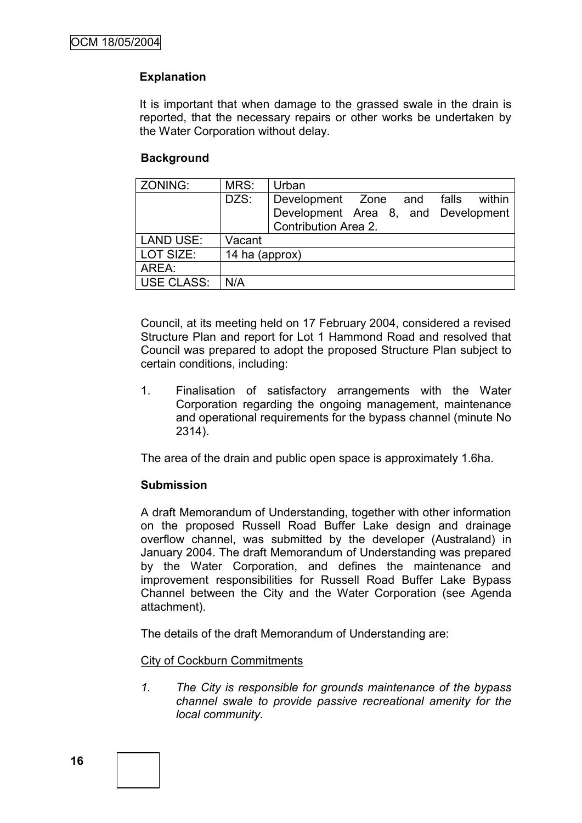## **Explanation**

It is important that when damage to the grassed swale in the drain is reported, that the necessary repairs or other works be undertaken by the Water Corporation without delay.

## **Background**

| ZONING:           | MRS:           | Urban                                |
|-------------------|----------------|--------------------------------------|
|                   | DZS:           | Development Zone and falls<br>within |
|                   |                | Development Area 8, and Development  |
|                   |                | <b>Contribution Area 2.</b>          |
| <b>LAND USE:</b>  | Vacant         |                                      |
| LOT SIZE:         | 14 ha (approx) |                                      |
| AREA:             |                |                                      |
| <b>USE CLASS:</b> | N/A            |                                      |

Council, at its meeting held on 17 February 2004, considered a revised Structure Plan and report for Lot 1 Hammond Road and resolved that Council was prepared to adopt the proposed Structure Plan subject to certain conditions, including:

1. Finalisation of satisfactory arrangements with the Water Corporation regarding the ongoing management, maintenance and operational requirements for the bypass channel (minute No 2314).

The area of the drain and public open space is approximately 1.6ha.

#### **Submission**

A draft Memorandum of Understanding, together with other information on the proposed Russell Road Buffer Lake design and drainage overflow channel, was submitted by the developer (Australand) in January 2004. The draft Memorandum of Understanding was prepared by the Water Corporation, and defines the maintenance and improvement responsibilities for Russell Road Buffer Lake Bypass Channel between the City and the Water Corporation (see Agenda attachment).

The details of the draft Memorandum of Understanding are:

City of Cockburn Commitments

*1. The City is responsible for grounds maintenance of the bypass channel swale to provide passive recreational amenity for the local community.*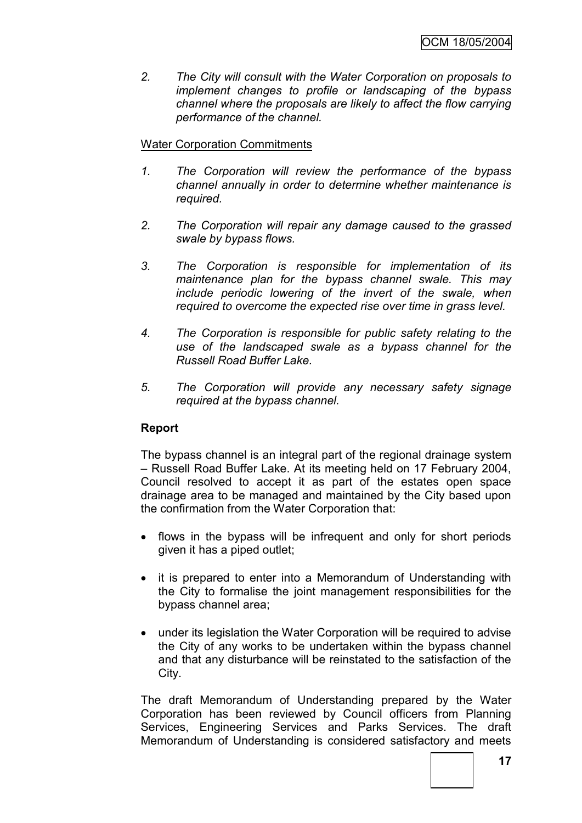*2. The City will consult with the Water Corporation on proposals to implement changes to profile or landscaping of the bypass channel where the proposals are likely to affect the flow carrying performance of the channel.* 

## Water Corporation Commitments

- *1. The Corporation will review the performance of the bypass channel annually in order to determine whether maintenance is required.*
- *2. The Corporation will repair any damage caused to the grassed swale by bypass flows.*
- *3. The Corporation is responsible for implementation of its maintenance plan for the bypass channel swale. This may include periodic lowering of the invert of the swale, when required to overcome the expected rise over time in grass level.*
- *4. The Corporation is responsible for public safety relating to the use of the landscaped swale as a bypass channel for the Russell Road Buffer Lake.*
- *5. The Corporation will provide any necessary safety signage required at the bypass channel.*

## **Report**

The bypass channel is an integral part of the regional drainage system – Russell Road Buffer Lake. At its meeting held on 17 February 2004, Council resolved to accept it as part of the estates open space drainage area to be managed and maintained by the City based upon the confirmation from the Water Corporation that:

- flows in the bypass will be infrequent and only for short periods given it has a piped outlet;
- it is prepared to enter into a Memorandum of Understanding with the City to formalise the joint management responsibilities for the bypass channel area;
- under its legislation the Water Corporation will be required to advise the City of any works to be undertaken within the bypass channel and that any disturbance will be reinstated to the satisfaction of the City.

The draft Memorandum of Understanding prepared by the Water Corporation has been reviewed by Council officers from Planning Services, Engineering Services and Parks Services. The draft Memorandum of Understanding is considered satisfactory and meets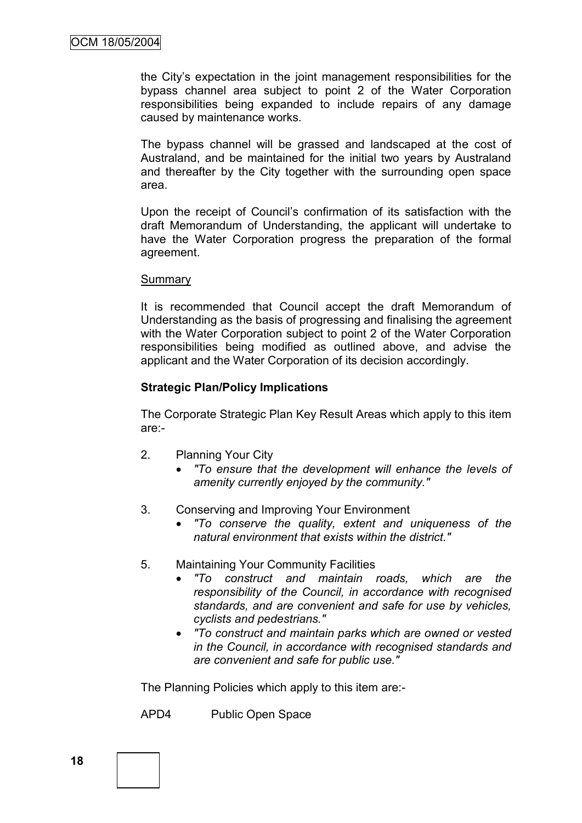the City"s expectation in the joint management responsibilities for the bypass channel area subject to point 2 of the Water Corporation responsibilities being expanded to include repairs of any damage caused by maintenance works.

The bypass channel will be grassed and landscaped at the cost of Australand, and be maintained for the initial two years by Australand and thereafter by the City together with the surrounding open space area.

Upon the receipt of Council"s confirmation of its satisfaction with the draft Memorandum of Understanding, the applicant will undertake to have the Water Corporation progress the preparation of the formal agreement.

#### Summary

It is recommended that Council accept the draft Memorandum of Understanding as the basis of progressing and finalising the agreement with the Water Corporation subject to point 2 of the Water Corporation responsibilities being modified as outlined above, and advise the applicant and the Water Corporation of its decision accordingly.

#### **Strategic Plan/Policy Implications**

The Corporate Strategic Plan Key Result Areas which apply to this item are:-

- 2. Planning Your City
	- *"To ensure that the development will enhance the levels of amenity currently enjoyed by the community."*
- 3. Conserving and Improving Your Environment
	- *"To conserve the quality, extent and uniqueness of the natural environment that exists within the district."*
- 5. Maintaining Your Community Facilities
	- *"To construct and maintain roads, which are the responsibility of the Council, in accordance with recognised standards, and are convenient and safe for use by vehicles, cyclists and pedestrians."*
	- *"To construct and maintain parks which are owned or vested in the Council, in accordance with recognised standards and are convenient and safe for public use."*

The Planning Policies which apply to this item are:-

APD4 Public Open Space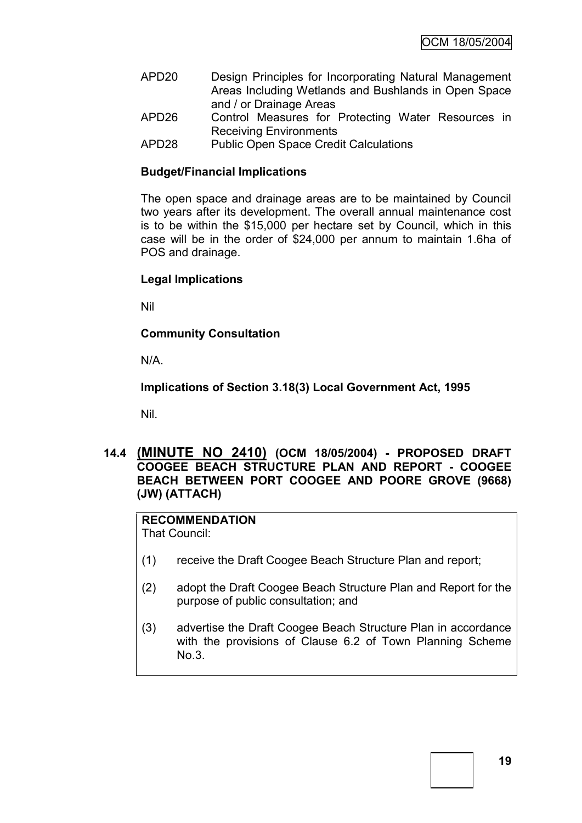- APD20 Design Principles for Incorporating Natural Management Areas Including Wetlands and Bushlands in Open Space and / or Drainage Areas
- APD26 Control Measures for Protecting Water Resources in Receiving Environments
- APD28 Public Open Space Credit Calculations

## **Budget/Financial Implications**

The open space and drainage areas are to be maintained by Council two years after its development. The overall annual maintenance cost is to be within the \$15,000 per hectare set by Council, which in this case will be in the order of \$24,000 per annum to maintain 1.6ha of POS and drainage.

## **Legal Implications**

Nil

## **Community Consultation**

N/A.

**Implications of Section 3.18(3) Local Government Act, 1995**

Nil.

## **14.4 (MINUTE NO 2410) (OCM 18/05/2004) - PROPOSED DRAFT COOGEE BEACH STRUCTURE PLAN AND REPORT - COOGEE BEACH BETWEEN PORT COOGEE AND POORE GROVE (9668) (JW) (ATTACH)**

## **RECOMMENDATION**

That Council:

- (1) receive the Draft Coogee Beach Structure Plan and report;
- (2) adopt the Draft Coogee Beach Structure Plan and Report for the purpose of public consultation; and
- (3) advertise the Draft Coogee Beach Structure Plan in accordance with the provisions of Clause 6.2 of Town Planning Scheme No.3.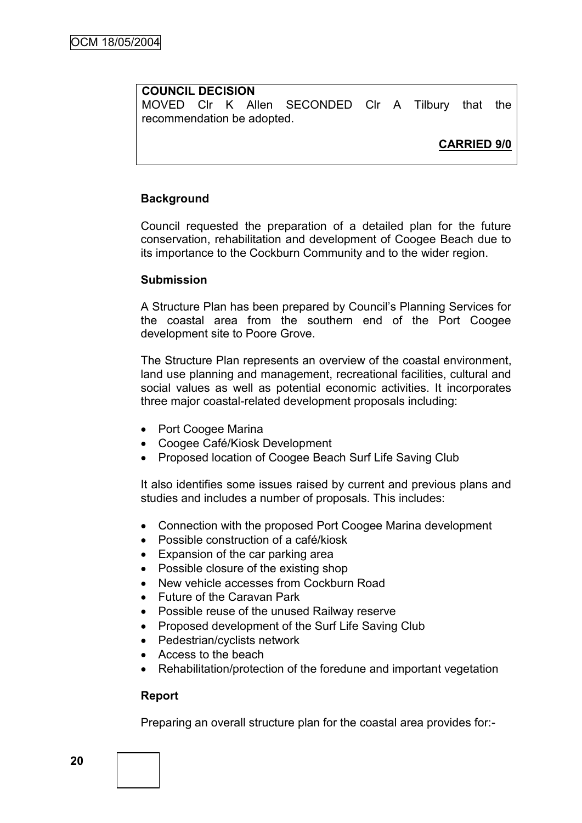#### **COUNCIL DECISION**

MOVED Clr K Allen SECONDED Clr A Tilbury that the recommendation be adopted.

**CARRIED 9/0**

#### **Background**

Council requested the preparation of a detailed plan for the future conservation, rehabilitation and development of Coogee Beach due to its importance to the Cockburn Community and to the wider region.

#### **Submission**

A Structure Plan has been prepared by Council"s Planning Services for the coastal area from the southern end of the Port Coogee development site to Poore Grove.

The Structure Plan represents an overview of the coastal environment, land use planning and management, recreational facilities, cultural and social values as well as potential economic activities. It incorporates three major coastal-related development proposals including:

- Port Coogee Marina
- Coogee Café/Kiosk Development
- Proposed location of Coogee Beach Surf Life Saving Club

It also identifies some issues raised by current and previous plans and studies and includes a number of proposals. This includes:

- Connection with the proposed Port Coogee Marina development
- Possible construction of a café/kiosk
- Expansion of the car parking area
- Possible closure of the existing shop
- New vehicle accesses from Cockburn Road
- Future of the Caravan Park
- Possible reuse of the unused Railway reserve
- Proposed development of the Surf Life Saving Club
- Pedestrian/cyclists network
- Access to the beach
- Rehabilitation/protection of the foredune and important vegetation

#### **Report**

Preparing an overall structure plan for the coastal area provides for:-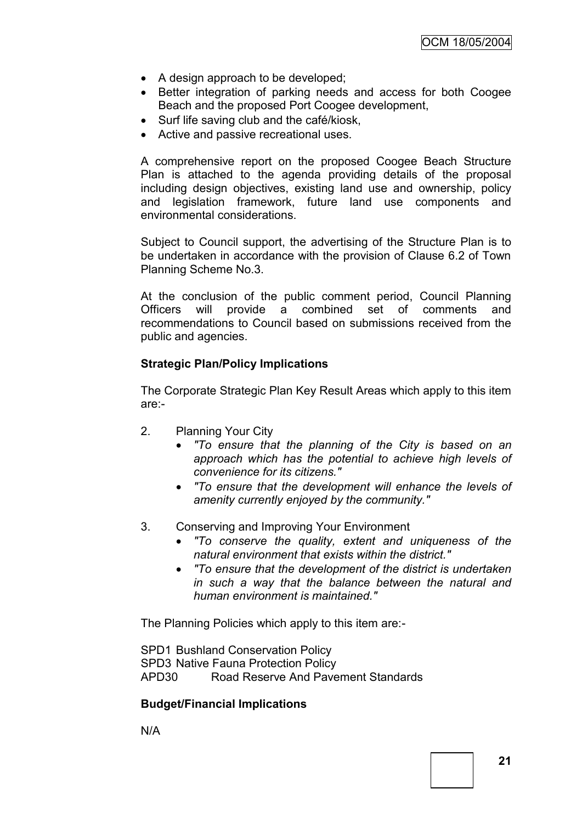- A design approach to be developed;
- Better integration of parking needs and access for both Coogee Beach and the proposed Port Coogee development,
- Surf life saving club and the café/kiosk,
- Active and passive recreational uses.

A comprehensive report on the proposed Coogee Beach Structure Plan is attached to the agenda providing details of the proposal including design objectives, existing land use and ownership, policy and legislation framework, future land use components and environmental considerations.

Subject to Council support, the advertising of the Structure Plan is to be undertaken in accordance with the provision of Clause 6.2 of Town Planning Scheme No.3.

At the conclusion of the public comment period, Council Planning Officers will provide a combined set of comments and recommendations to Council based on submissions received from the public and agencies.

#### **Strategic Plan/Policy Implications**

The Corporate Strategic Plan Key Result Areas which apply to this item are:-

- 2. Planning Your City
	- *"To ensure that the planning of the City is based on an approach which has the potential to achieve high levels of convenience for its citizens."*
	- *"To ensure that the development will enhance the levels of amenity currently enjoyed by the community."*
- 3. Conserving and Improving Your Environment
	- *"To conserve the quality, extent and uniqueness of the natural environment that exists within the district."*
	- *"To ensure that the development of the district is undertaken in such a way that the balance between the natural and human environment is maintained."*

The Planning Policies which apply to this item are:-

SPD1 Bushland Conservation Policy SPD3 Native Fauna Protection Policy APD30 Road Reserve And Pavement Standards

#### **Budget/Financial Implications**

N/A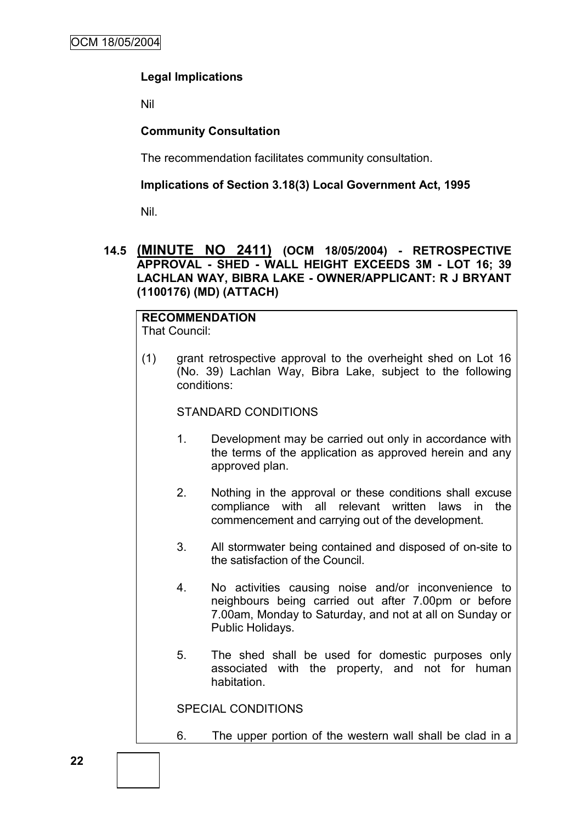## **Legal Implications**

Nil

### **Community Consultation**

The recommendation facilitates community consultation.

#### **Implications of Section 3.18(3) Local Government Act, 1995**

Nil.

### **14.5 (MINUTE NO 2411) (OCM 18/05/2004) - RETROSPECTIVE APPROVAL - SHED - WALL HEIGHT EXCEEDS 3M - LOT 16; 39 LACHLAN WAY, BIBRA LAKE - OWNER/APPLICANT: R J BRYANT (1100176) (MD) (ATTACH)**

# **RECOMMENDATION**

That Council:

(1) grant retrospective approval to the overheight shed on Lot 16 (No. 39) Lachlan Way, Bibra Lake, subject to the following conditions:

#### STANDARD CONDITIONS

- 1. Development may be carried out only in accordance with the terms of the application as approved herein and any approved plan.
- 2. Nothing in the approval or these conditions shall excuse compliance with all relevant written laws in the commencement and carrying out of the development.
- 3. All stormwater being contained and disposed of on-site to the satisfaction of the Council.
- 4. No activities causing noise and/or inconvenience to neighbours being carried out after 7.00pm or before 7.00am, Monday to Saturday, and not at all on Sunday or Public Holidays.
- 5. The shed shall be used for domestic purposes only associated with the property, and not for human habitation.

SPECIAL CONDITIONS

6. The upper portion of the western wall shall be clad in a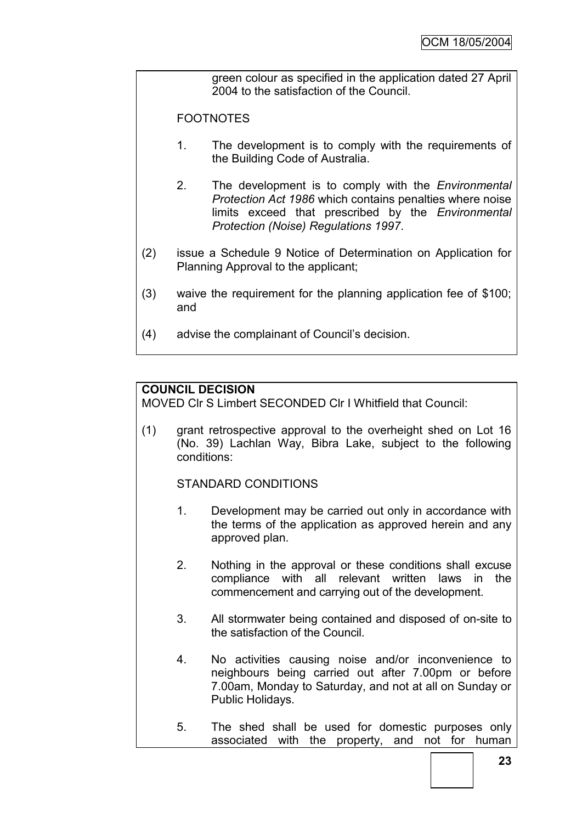green colour as specified in the application dated 27 April 2004 to the satisfaction of the Council.

**FOOTNOTES** 

- 1. The development is to comply with the requirements of the Building Code of Australia.
- 2. The development is to comply with the *Environmental Protection Act 1986* which contains penalties where noise limits exceed that prescribed by the *Environmental Protection (Noise) Regulations 1997*.
- (2) issue a Schedule 9 Notice of Determination on Application for Planning Approval to the applicant;
- (3) waive the requirement for the planning application fee of \$100; and
- (4) advise the complainant of Council"s decision.

## **COUNCIL DECISION**

MOVED Clr S Limbert SECONDED Clr I Whitfield that Council:

(1) grant retrospective approval to the overheight shed on Lot 16 (No. 39) Lachlan Way, Bibra Lake, subject to the following conditions:

STANDARD CONDITIONS

- 1. Development may be carried out only in accordance with the terms of the application as approved herein and any approved plan.
- 2. Nothing in the approval or these conditions shall excuse compliance with all relevant written laws in the commencement and carrying out of the development.
- 3. All stormwater being contained and disposed of on-site to the satisfaction of the Council.
- 4. No activities causing noise and/or inconvenience to neighbours being carried out after 7.00pm or before 7.00am, Monday to Saturday, and not at all on Sunday or Public Holidays.
- 5. The shed shall be used for domestic purposes only associated with the property, and not for human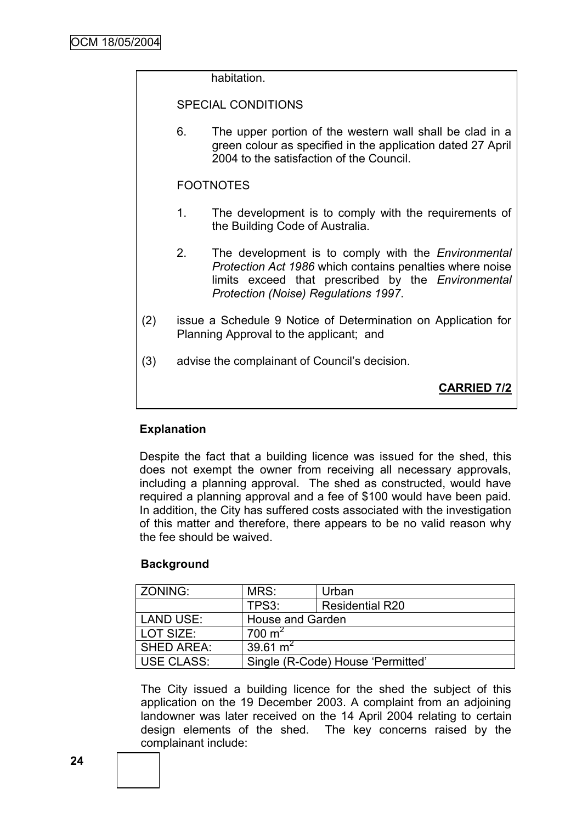habitation. SPECIAL CONDITIONS 6. The upper portion of the western wall shall be clad in a green colour as specified in the application dated 27 April 2004 to the satisfaction of the Council. FOOTNOTES 1. The development is to comply with the requirements of the Building Code of Australia. 2. The development is to comply with the *Environmental Protection Act 1986* which contains penalties where noise limits exceed that prescribed by the *Environmental Protection (Noise) Regulations 1997*. (2) issue a Schedule 9 Notice of Determination on Application for Planning Approval to the applicant; and (3) advise the complainant of Council"s decision. **CARRIED 7/2**

## **Explanation**

Despite the fact that a building licence was issued for the shed, this does not exempt the owner from receiving all necessary approvals, including a planning approval. The shed as constructed, would have required a planning approval and a fee of \$100 would have been paid. In addition, the City has suffered costs associated with the investigation of this matter and therefore, there appears to be no valid reason why the fee should be waived.

#### **Background**

| <b>ZONING:</b>    | MRS:                    | Urban                             |
|-------------------|-------------------------|-----------------------------------|
|                   | TPS3:                   | <b>Residential R20</b>            |
| LAND USE:         | <b>House and Garden</b> |                                   |
| LOT SIZE:         | $700 \text{ m}^2$       |                                   |
| <b>SHED AREA:</b> | 39.61 $m2$              |                                   |
| <b>USE CLASS:</b> |                         | Single (R-Code) House 'Permitted' |

The City issued a building licence for the shed the subject of this application on the 19 December 2003. A complaint from an adjoining landowner was later received on the 14 April 2004 relating to certain design elements of the shed. The key concerns raised by the complainant include: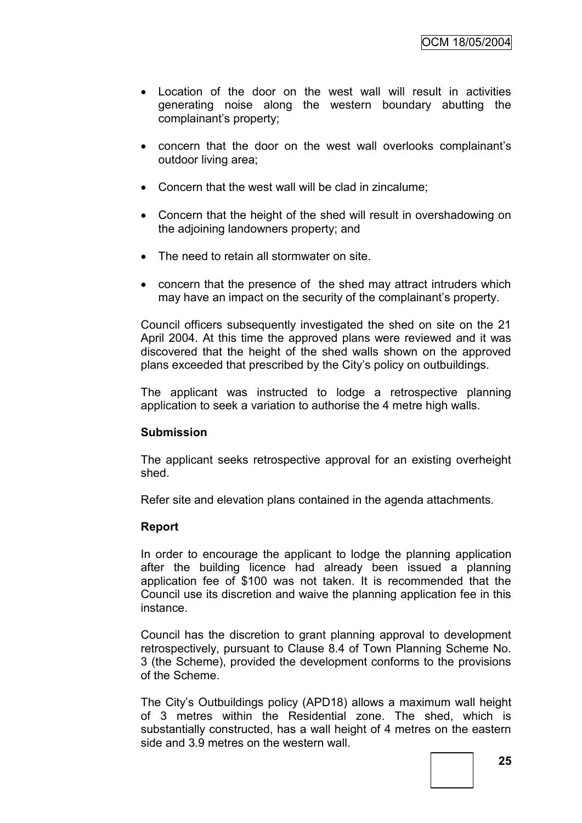- Location of the door on the west wall will result in activities generating noise along the western boundary abutting the complainant"s property;
- concern that the door on the west wall overlooks complainant"s outdoor living area;
- Concern that the west wall will be clad in zincalume;
- Concern that the height of the shed will result in overshadowing on the adjoining landowners property; and
- The need to retain all stormwater on site.
- concern that the presence of the shed may attract intruders which may have an impact on the security of the complainant's property.

Council officers subsequently investigated the shed on site on the 21 April 2004. At this time the approved plans were reviewed and it was discovered that the height of the shed walls shown on the approved plans exceeded that prescribed by the City"s policy on outbuildings.

The applicant was instructed to lodge a retrospective planning application to seek a variation to authorise the 4 metre high walls.

#### **Submission**

The applicant seeks retrospective approval for an existing overheight shed.

Refer site and elevation plans contained in the agenda attachments.

#### **Report**

In order to encourage the applicant to lodge the planning application after the building licence had already been issued a planning application fee of \$100 was not taken. It is recommended that the Council use its discretion and waive the planning application fee in this instance.

Council has the discretion to grant planning approval to development retrospectively, pursuant to Clause 8.4 of Town Planning Scheme No. 3 (the Scheme), provided the development conforms to the provisions of the Scheme.

The City"s Outbuildings policy (APD18) allows a maximum wall height of 3 metres within the Residential zone. The shed, which is substantially constructed, has a wall height of 4 metres on the eastern side and 3.9 metres on the western wall.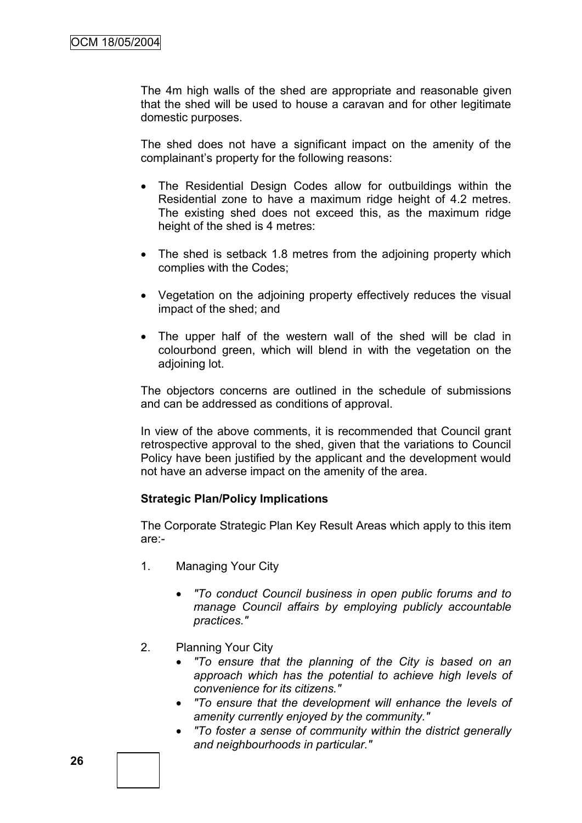The 4m high walls of the shed are appropriate and reasonable given that the shed will be used to house a caravan and for other legitimate domestic purposes.

The shed does not have a significant impact on the amenity of the complainant"s property for the following reasons:

- The Residential Design Codes allow for outbuildings within the Residential zone to have a maximum ridge height of 4.2 metres. The existing shed does not exceed this, as the maximum ridge height of the shed is 4 metres:
- The shed is setback 1.8 metres from the adjoining property which complies with the Codes;
- Vegetation on the adjoining property effectively reduces the visual impact of the shed; and
- The upper half of the western wall of the shed will be clad in colourbond green, which will blend in with the vegetation on the adjoining lot.

The objectors concerns are outlined in the schedule of submissions and can be addressed as conditions of approval.

In view of the above comments, it is recommended that Council grant retrospective approval to the shed, given that the variations to Council Policy have been justified by the applicant and the development would not have an adverse impact on the amenity of the area.

#### **Strategic Plan/Policy Implications**

The Corporate Strategic Plan Key Result Areas which apply to this item are:-

- 1. Managing Your City
	- *"To conduct Council business in open public forums and to manage Council affairs by employing publicly accountable practices."*
- 2. Planning Your City
	- *"To ensure that the planning of the City is based on an approach which has the potential to achieve high levels of convenience for its citizens."*
	- *"To ensure that the development will enhance the levels of amenity currently enjoyed by the community."*
	- *"To foster a sense of community within the district generally and neighbourhoods in particular."*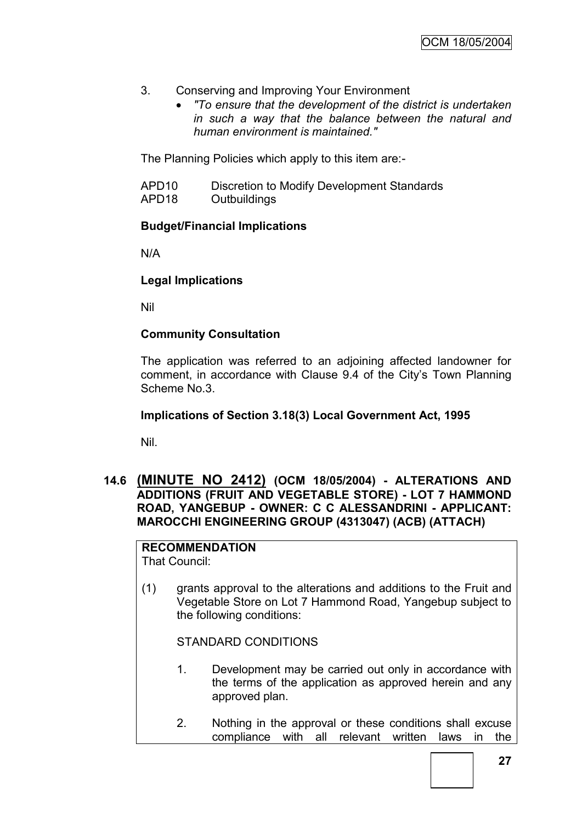- 3. Conserving and Improving Your Environment
	- *"To ensure that the development of the district is undertaken in such a way that the balance between the natural and human environment is maintained."*

The Planning Policies which apply to this item are:-

- APD10 Discretion to Modify Development Standards
- APD18 Outbuildings

## **Budget/Financial Implications**

N/A

## **Legal Implications**

Nil

## **Community Consultation**

The application was referred to an adjoining affected landowner for comment, in accordance with Clause 9.4 of the City"s Town Planning Scheme No.3.

#### **Implications of Section 3.18(3) Local Government Act, 1995**

Nil.

**14.6 (MINUTE NO 2412) (OCM 18/05/2004) - ALTERATIONS AND ADDITIONS (FRUIT AND VEGETABLE STORE) - LOT 7 HAMMOND ROAD, YANGEBUP - OWNER: C C ALESSANDRINI - APPLICANT: MAROCCHI ENGINEERING GROUP (4313047) (ACB) (ATTACH)**

# **RECOMMENDATION**

That Council:

(1) grants approval to the alterations and additions to the Fruit and Vegetable Store on Lot 7 Hammond Road, Yangebup subject to the following conditions:

STANDARD CONDITIONS

- 1. Development may be carried out only in accordance with the terms of the application as approved herein and any approved plan.
- 2. Nothing in the approval or these conditions shall excuse compliance with all relevant written laws in the

**27**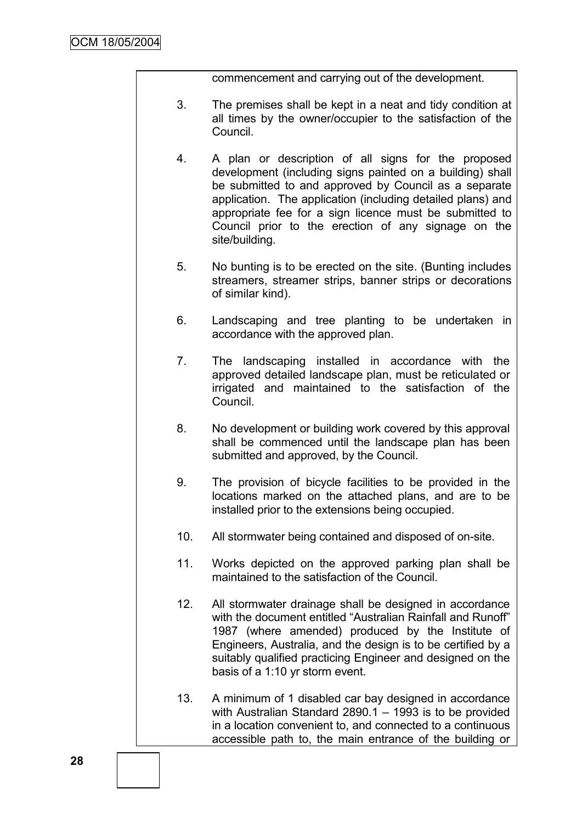commencement and carrying out of the development.

- 3. The premises shall be kept in a neat and tidy condition at all times by the owner/occupier to the satisfaction of the Council.
- 4. A plan or description of all signs for the proposed development (including signs painted on a building) shall be submitted to and approved by Council as a separate application. The application (including detailed plans) and appropriate fee for a sign licence must be submitted to Council prior to the erection of any signage on the site/building.
- 5. No bunting is to be erected on the site. (Bunting includes streamers, streamer strips, banner strips or decorations of similar kind).
- 6. Landscaping and tree planting to be undertaken in accordance with the approved plan.
- 7. The landscaping installed in accordance with the approved detailed landscape plan, must be reticulated or irrigated and maintained to the satisfaction of the Council.
- 8. No development or building work covered by this approval shall be commenced until the landscape plan has been submitted and approved, by the Council.
- 9. The provision of bicycle facilities to be provided in the locations marked on the attached plans, and are to be installed prior to the extensions being occupied.
- 10. All stormwater being contained and disposed of on-site.
- 11. Works depicted on the approved parking plan shall be maintained to the satisfaction of the Council.
- 12. All stormwater drainage shall be designed in accordance with the document entitled "Australian Rainfall and Runoff" 1987 (where amended) produced by the Institute of Engineers, Australia, and the design is to be certified by a suitably qualified practicing Engineer and designed on the basis of a 1:10 yr storm event.
- 13. A minimum of 1 disabled car bay designed in accordance with Australian Standard 2890.1 – 1993 is to be provided in a location convenient to, and connected to a continuous accessible path to, the main entrance of the building or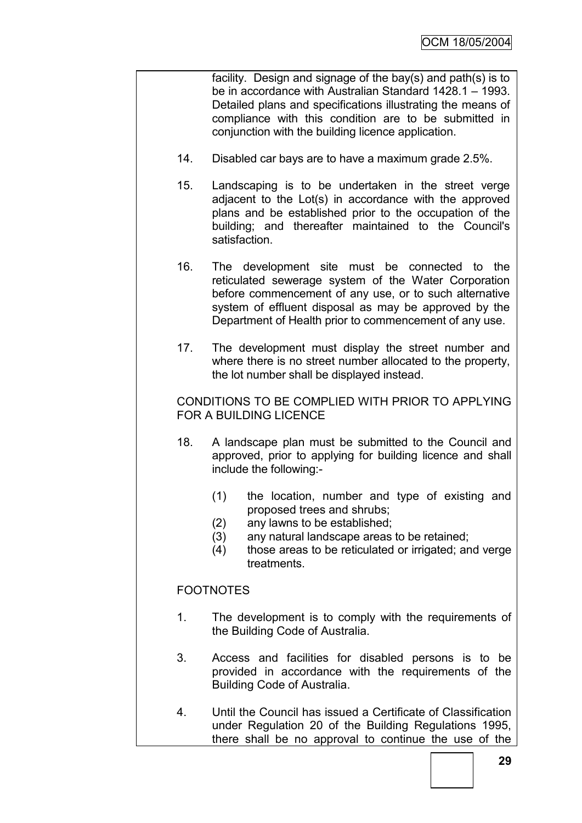facility. Design and signage of the bay(s) and path(s) is to be in accordance with Australian Standard 1428.1 – 1993. Detailed plans and specifications illustrating the means of compliance with this condition are to be submitted in conjunction with the building licence application.

- 14. Disabled car bays are to have a maximum grade 2.5%.
- 15. Landscaping is to be undertaken in the street verge adjacent to the Lot(s) in accordance with the approved plans and be established prior to the occupation of the building; and thereafter maintained to the Council's satisfaction.
- 16. The development site must be connected to the reticulated sewerage system of the Water Corporation before commencement of any use, or to such alternative system of effluent disposal as may be approved by the Department of Health prior to commencement of any use.
- 17. The development must display the street number and where there is no street number allocated to the property, the lot number shall be displayed instead.

CONDITIONS TO BE COMPLIED WITH PRIOR TO APPLYING FOR A BUILDING LICENCE

- 18. A landscape plan must be submitted to the Council and approved, prior to applying for building licence and shall include the following:-
	- (1) the location, number and type of existing and proposed trees and shrubs;
	- (2) any lawns to be established;
	- (3) any natural landscape areas to be retained;
	- (4) those areas to be reticulated or irrigated; and verge treatments.

## FOOTNOTES

- 1. The development is to comply with the requirements of the Building Code of Australia.
- 3. Access and facilities for disabled persons is to be provided in accordance with the requirements of the Building Code of Australia.
- 4. Until the Council has issued a Certificate of Classification under Regulation 20 of the Building Regulations 1995, there shall be no approval to continue the use of the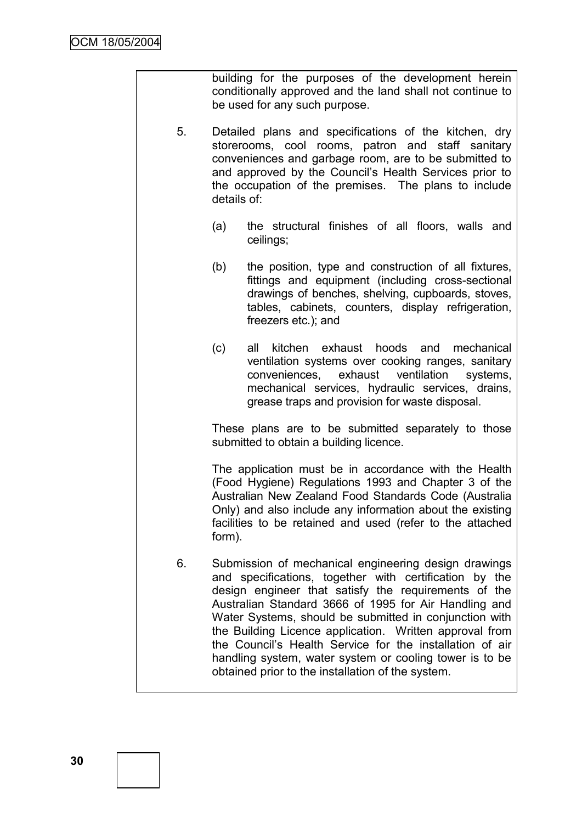|    | building for the purposes of the development herein<br>conditionally approved and the land shall not continue to<br>be used for any such purpose.                                                                                                                                                    |                                                                                                                                                                                                                                                                                                                                                                                                                                                                                                                                  |  |
|----|------------------------------------------------------------------------------------------------------------------------------------------------------------------------------------------------------------------------------------------------------------------------------------------------------|----------------------------------------------------------------------------------------------------------------------------------------------------------------------------------------------------------------------------------------------------------------------------------------------------------------------------------------------------------------------------------------------------------------------------------------------------------------------------------------------------------------------------------|--|
| 5. | Detailed plans and specifications of the kitchen, dry<br>storerooms, cool rooms, patron and staff sanitary<br>conveniences and garbage room, are to be submitted to<br>and approved by the Council's Health Services prior to<br>the occupation of the premises. The plans to include<br>details of: |                                                                                                                                                                                                                                                                                                                                                                                                                                                                                                                                  |  |
|    | (a)                                                                                                                                                                                                                                                                                                  | the structural finishes of all floors, walls and<br>ceilings;                                                                                                                                                                                                                                                                                                                                                                                                                                                                    |  |
|    | (b)                                                                                                                                                                                                                                                                                                  | the position, type and construction of all fixtures,<br>fittings and equipment (including cross-sectional<br>drawings of benches, shelving, cupboards, stoves,<br>tables, cabinets, counters, display refrigeration,<br>freezers etc.); and                                                                                                                                                                                                                                                                                      |  |
|    | (c)                                                                                                                                                                                                                                                                                                  | exhaust hoods and<br>all<br>kitchen<br>mechanical<br>ventilation systems over cooking ranges, sanitary<br>conveniences,<br>exhaust<br>ventilation<br>systems,<br>mechanical services, hydraulic services, drains,<br>grease traps and provision for waste disposal.                                                                                                                                                                                                                                                              |  |
|    |                                                                                                                                                                                                                                                                                                      | These plans are to be submitted separately to those<br>submitted to obtain a building licence.                                                                                                                                                                                                                                                                                                                                                                                                                                   |  |
|    | form).                                                                                                                                                                                                                                                                                               | The application must be in accordance with the Health<br>(Food Hygiene) Regulations 1993 and Chapter 3 of the<br>Australian New Zealand Food Standards Code (Australia<br>Only) and also include any information about the existing<br>facilities to be retained and used (refer to the attached                                                                                                                                                                                                                                 |  |
| 6. |                                                                                                                                                                                                                                                                                                      | Submission of mechanical engineering design drawings<br>and specifications, together with certification by the<br>design engineer that satisfy the requirements of the<br>Australian Standard 3666 of 1995 for Air Handling and<br>Water Systems, should be submitted in conjunction with<br>the Building Licence application. Written approval from<br>the Council's Health Service for the installation of air<br>handling system, water system or cooling tower is to be<br>obtained prior to the installation of the system. |  |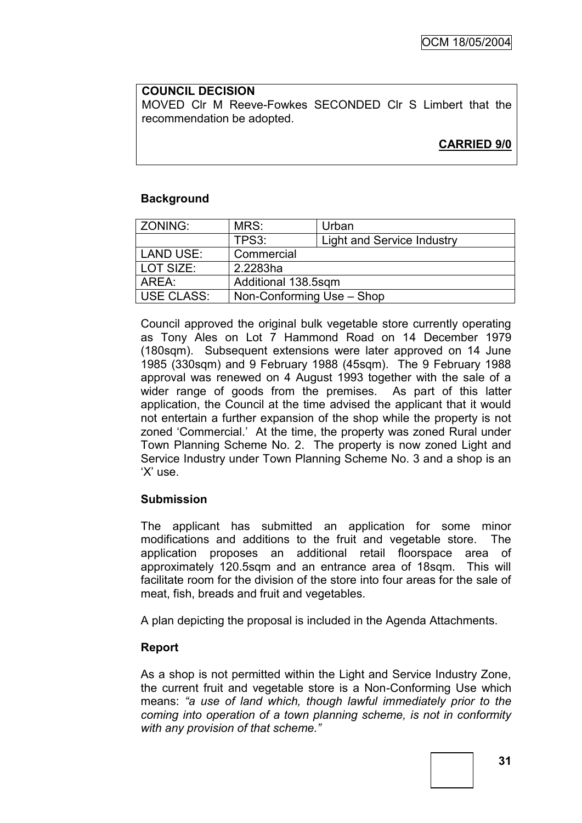#### **COUNCIL DECISION**

MOVED Clr M Reeve-Fowkes SECONDED Clr S Limbert that the recommendation be adopted.

**CARRIED 9/0**

### **Background**

| ZONING:           | MRS:                      | Urban                      |  |
|-------------------|---------------------------|----------------------------|--|
|                   | TPS3:                     | Light and Service Industry |  |
| <b>LAND USE:</b>  | Commercial                |                            |  |
| LOT SIZE:         | 2.2283ha                  |                            |  |
| AREA:             | Additional 138.5sqm       |                            |  |
| <b>USE CLASS:</b> | Non-Conforming Use - Shop |                            |  |

Council approved the original bulk vegetable store currently operating as Tony Ales on Lot 7 Hammond Road on 14 December 1979 (180sqm). Subsequent extensions were later approved on 14 June 1985 (330sqm) and 9 February 1988 (45sqm). The 9 February 1988 approval was renewed on 4 August 1993 together with the sale of a wider range of goods from the premises. As part of this latter application, the Council at the time advised the applicant that it would not entertain a further expansion of the shop while the property is not zoned "Commercial." At the time, the property was zoned Rural under Town Planning Scheme No. 2. The property is now zoned Light and Service Industry under Town Planning Scheme No. 3 and a shop is an "X" use.

#### **Submission**

The applicant has submitted an application for some minor modifications and additions to the fruit and vegetable store. The application proposes an additional retail floorspace area of approximately 120.5sqm and an entrance area of 18sqm. This will facilitate room for the division of the store into four areas for the sale of meat, fish, breads and fruit and vegetables.

A plan depicting the proposal is included in the Agenda Attachments.

#### **Report**

As a shop is not permitted within the Light and Service Industry Zone, the current fruit and vegetable store is a Non-Conforming Use which means: *"a use of land which, though lawful immediately prior to the coming into operation of a town planning scheme, is not in conformity with any provision of that scheme."*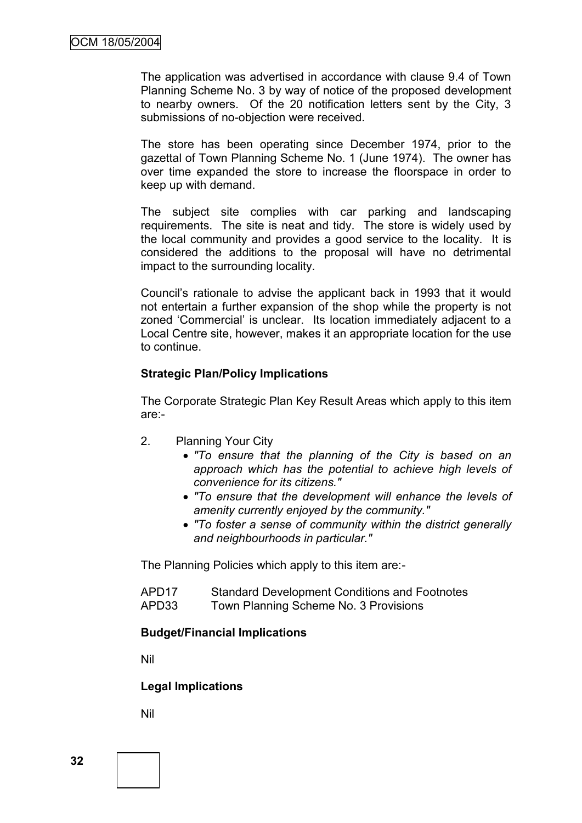The application was advertised in accordance with clause 9.4 of Town Planning Scheme No. 3 by way of notice of the proposed development to nearby owners. Of the 20 notification letters sent by the City, 3 submissions of no-objection were received.

The store has been operating since December 1974, prior to the gazettal of Town Planning Scheme No. 1 (June 1974). The owner has over time expanded the store to increase the floorspace in order to keep up with demand.

The subject site complies with car parking and landscaping requirements. The site is neat and tidy. The store is widely used by the local community and provides a good service to the locality. It is considered the additions to the proposal will have no detrimental impact to the surrounding locality.

Council"s rationale to advise the applicant back in 1993 that it would not entertain a further expansion of the shop while the property is not zoned "Commercial" is unclear. Its location immediately adjacent to a Local Centre site, however, makes it an appropriate location for the use to continue.

#### **Strategic Plan/Policy Implications**

The Corporate Strategic Plan Key Result Areas which apply to this item are:-

- 2. Planning Your City
	- *"To ensure that the planning of the City is based on an approach which has the potential to achieve high levels of convenience for its citizens."*
	- *"To ensure that the development will enhance the levels of amenity currently enjoyed by the community."*
	- *"To foster a sense of community within the district generally and neighbourhoods in particular."*

The Planning Policies which apply to this item are:-

| APD <sub>17</sub> | <b>Standard Development Conditions and Footnotes</b> |
|-------------------|------------------------------------------------------|
| APD33             | Town Planning Scheme No. 3 Provisions                |

#### **Budget/Financial Implications**

Nil

#### **Legal Implications**

Nil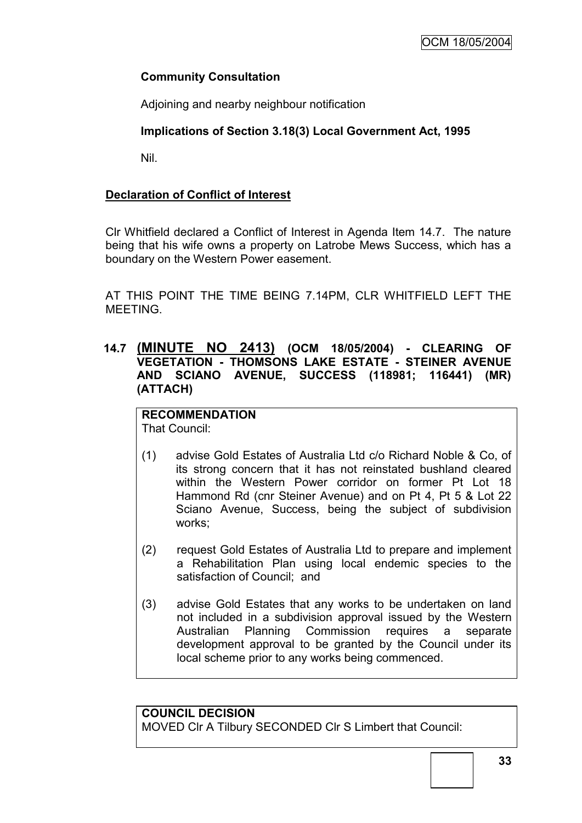## **Community Consultation**

Adjoining and nearby neighbour notification

## **Implications of Section 3.18(3) Local Government Act, 1995**

Nil.

## **Declaration of Conflict of Interest**

Clr Whitfield declared a Conflict of Interest in Agenda Item 14.7. The nature being that his wife owns a property on Latrobe Mews Success, which has a boundary on the Western Power easement.

AT THIS POINT THE TIME BEING 7.14PM, CLR WHITFIELD LEFT THE MEETING.

**14.7 (MINUTE NO 2413) (OCM 18/05/2004) - CLEARING OF VEGETATION - THOMSONS LAKE ESTATE - STEINER AVENUE AND SCIANO AVENUE, SUCCESS (118981; 116441) (MR) (ATTACH)**

#### **RECOMMENDATION** That Council:

- (1) advise Gold Estates of Australia Ltd c/o Richard Noble & Co, of its strong concern that it has not reinstated bushland cleared within the Western Power corridor on former Pt Lot 18 Hammond Rd (cnr Steiner Avenue) and on Pt 4, Pt 5 & Lot 22 Sciano Avenue, Success, being the subject of subdivision works;
- (2) request Gold Estates of Australia Ltd to prepare and implement a Rehabilitation Plan using local endemic species to the satisfaction of Council; and
- (3) advise Gold Estates that any works to be undertaken on land not included in a subdivision approval issued by the Western Australian Planning Commission requires a separate development approval to be granted by the Council under its local scheme prior to any works being commenced.

### **COUNCIL DECISION**

MOVED Clr A Tilbury SECONDED Clr S Limbert that Council: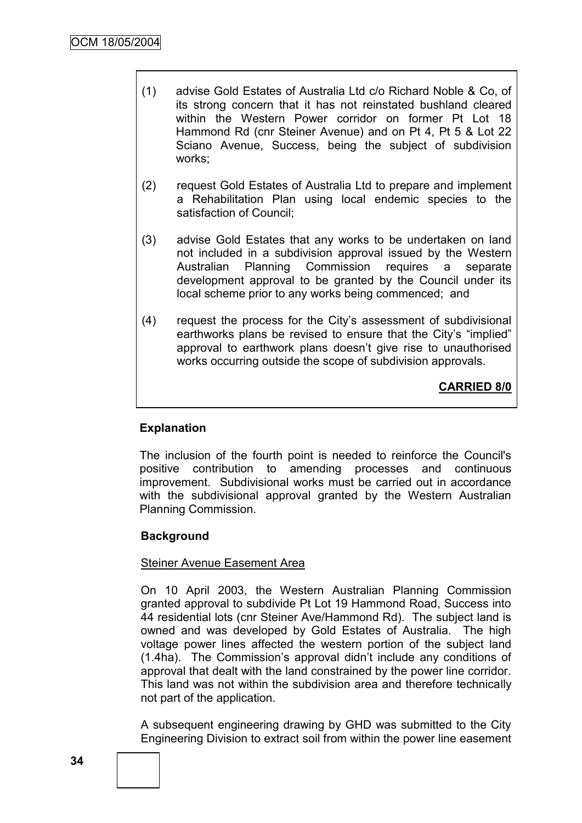- (1) advise Gold Estates of Australia Ltd c/o Richard Noble & Co, of its strong concern that it has not reinstated bushland cleared within the Western Power corridor on former Pt Lot 18 Hammond Rd (cnr Steiner Avenue) and on Pt 4, Pt 5 & Lot 22 Sciano Avenue, Success, being the subject of subdivision works;
- (2) request Gold Estates of Australia Ltd to prepare and implement a Rehabilitation Plan using local endemic species to the satisfaction of Council;
- (3) advise Gold Estates that any works to be undertaken on land not included in a subdivision approval issued by the Western Australian Planning Commission requires a separate development approval to be granted by the Council under its local scheme prior to any works being commenced; and
- (4) request the process for the City"s assessment of subdivisional earthworks plans be revised to ensure that the City's "implied" approval to earthwork plans doesn't give rise to unauthorised works occurring outside the scope of subdivision approvals.

**CARRIED 8/0**

## **Explanation**

The inclusion of the fourth point is needed to reinforce the Council's positive contribution to amending processes and continuous improvement. Subdivisional works must be carried out in accordance with the subdivisional approval granted by the Western Australian Planning Commission.

## **Background**

#### Steiner Avenue Easement Area

On 10 April 2003, the Western Australian Planning Commission granted approval to subdivide Pt Lot 19 Hammond Road, Success into 44 residential lots (cnr Steiner Ave/Hammond Rd). The subject land is owned and was developed by Gold Estates of Australia. The high voltage power lines affected the western portion of the subject land (1.4ha). The Commission"s approval didn"t include any conditions of approval that dealt with the land constrained by the power line corridor. This land was not within the subdivision area and therefore technically not part of the application.

A subsequent engineering drawing by GHD was submitted to the City Engineering Division to extract soil from within the power line easement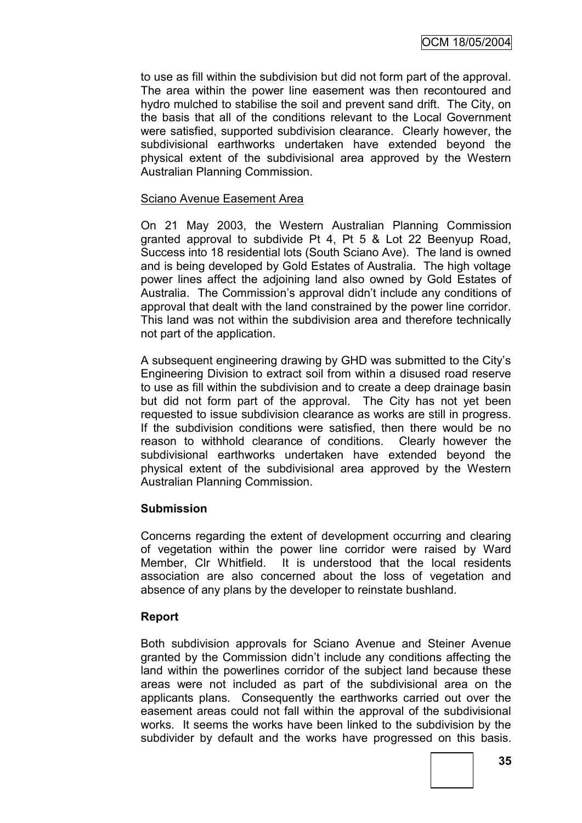to use as fill within the subdivision but did not form part of the approval. The area within the power line easement was then recontoured and hydro mulched to stabilise the soil and prevent sand drift. The City, on the basis that all of the conditions relevant to the Local Government were satisfied, supported subdivision clearance. Clearly however, the subdivisional earthworks undertaken have extended beyond the physical extent of the subdivisional area approved by the Western Australian Planning Commission.

#### Sciano Avenue Easement Area

On 21 May 2003, the Western Australian Planning Commission granted approval to subdivide Pt 4, Pt 5 & Lot 22 Beenyup Road, Success into 18 residential lots (South Sciano Ave). The land is owned and is being developed by Gold Estates of Australia. The high voltage power lines affect the adjoining land also owned by Gold Estates of Australia. The Commission"s approval didn"t include any conditions of approval that dealt with the land constrained by the power line corridor. This land was not within the subdivision area and therefore technically not part of the application.

A subsequent engineering drawing by GHD was submitted to the City"s Engineering Division to extract soil from within a disused road reserve to use as fill within the subdivision and to create a deep drainage basin but did not form part of the approval. The City has not yet been requested to issue subdivision clearance as works are still in progress. If the subdivision conditions were satisfied, then there would be no reason to withhold clearance of conditions. Clearly however the subdivisional earthworks undertaken have extended beyond the physical extent of the subdivisional area approved by the Western Australian Planning Commission.

#### **Submission**

Concerns regarding the extent of development occurring and clearing of vegetation within the power line corridor were raised by Ward Member, Clr Whitfield. It is understood that the local residents association are also concerned about the loss of vegetation and absence of any plans by the developer to reinstate bushland.

#### **Report**

Both subdivision approvals for Sciano Avenue and Steiner Avenue granted by the Commission didn"t include any conditions affecting the land within the powerlines corridor of the subject land because these areas were not included as part of the subdivisional area on the applicants plans. Consequently the earthworks carried out over the easement areas could not fall within the approval of the subdivisional works. It seems the works have been linked to the subdivision by the subdivider by default and the works have progressed on this basis.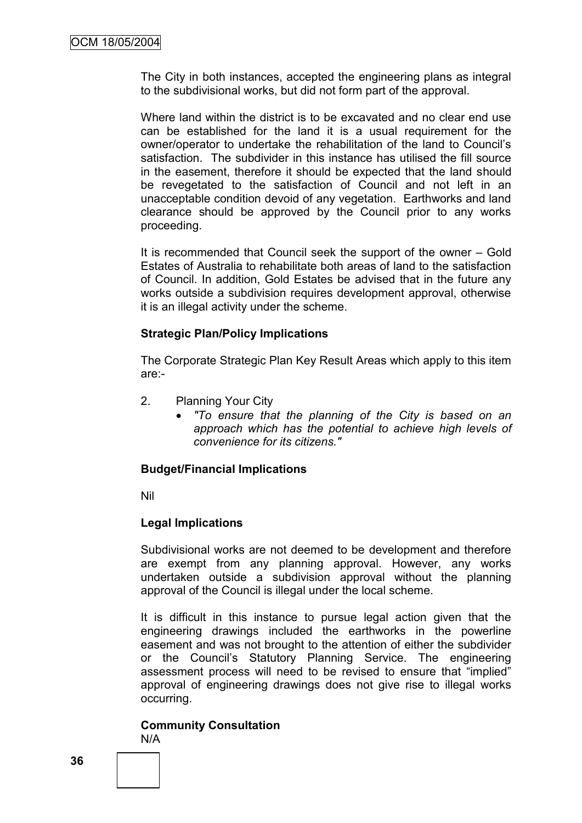The City in both instances, accepted the engineering plans as integral to the subdivisional works, but did not form part of the approval.

Where land within the district is to be excavated and no clear end use can be established for the land it is a usual requirement for the owner/operator to undertake the rehabilitation of the land to Council"s satisfaction. The subdivider in this instance has utilised the fill source in the easement, therefore it should be expected that the land should be revegetated to the satisfaction of Council and not left in an unacceptable condition devoid of any vegetation. Earthworks and land clearance should be approved by the Council prior to any works proceeding.

It is recommended that Council seek the support of the owner – Gold Estates of Australia to rehabilitate both areas of land to the satisfaction of Council. In addition, Gold Estates be advised that in the future any works outside a subdivision requires development approval, otherwise it is an illegal activity under the scheme.

#### **Strategic Plan/Policy Implications**

The Corporate Strategic Plan Key Result Areas which apply to this item are:-

- 2. Planning Your City
	- *"To ensure that the planning of the City is based on an approach which has the potential to achieve high levels of convenience for its citizens."*

#### **Budget/Financial Implications**

Nil

#### **Legal Implications**

Subdivisional works are not deemed to be development and therefore are exempt from any planning approval. However, any works undertaken outside a subdivision approval without the planning approval of the Council is illegal under the local scheme.

It is difficult in this instance to pursue legal action given that the engineering drawings included the earthworks in the powerline easement and was not brought to the attention of either the subdivider or the Council"s Statutory Planning Service. The engineering assessment process will need to be revised to ensure that "implied" approval of engineering drawings does not give rise to illegal works occurring.

#### **Community Consultation**

N/A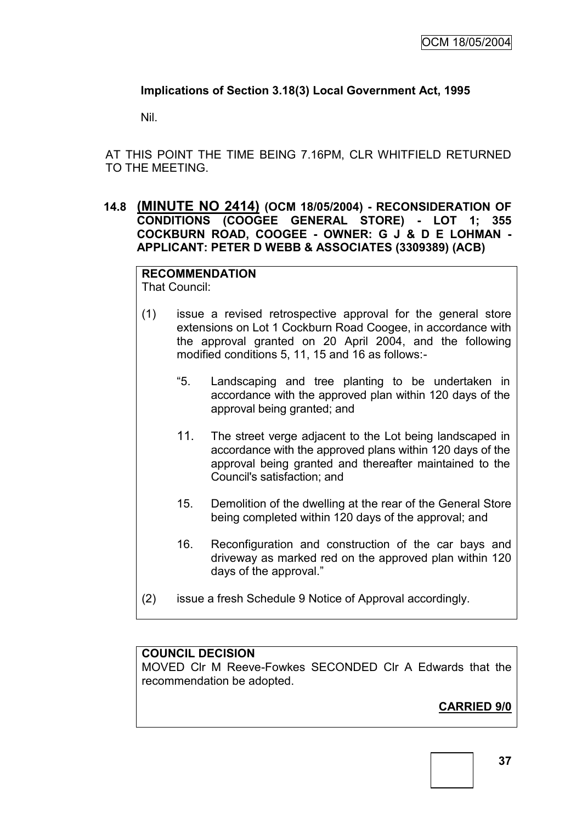### **Implications of Section 3.18(3) Local Government Act, 1995**

Nil.

AT THIS POINT THE TIME BEING 7.16PM, CLR WHITFIELD RETURNED TO THE MEETING.

**14.8 (MINUTE NO 2414) (OCM 18/05/2004) - RECONSIDERATION OF CONDITIONS (COOGEE GENERAL STORE) - LOT 1; 355 COCKBURN ROAD, COOGEE - OWNER: G J & D E LOHMAN - APPLICANT: PETER D WEBB & ASSOCIATES (3309389) (ACB)**

#### **RECOMMENDATION** That Council:

- (1) issue a revised retrospective approval for the general store extensions on Lot 1 Cockburn Road Coogee, in accordance with the approval granted on 20 April 2004, and the following modified conditions 5, 11, 15 and 16 as follows:-
	- "5. Landscaping and tree planting to be undertaken in accordance with the approved plan within 120 days of the approval being granted; and
	- 11. The street verge adjacent to the Lot being landscaped in accordance with the approved plans within 120 days of the approval being granted and thereafter maintained to the Council's satisfaction; and
	- 15. Demolition of the dwelling at the rear of the General Store being completed within 120 days of the approval; and
	- 16. Reconfiguration and construction of the car bays and driveway as marked red on the approved plan within 120 days of the approval."
- (2) issue a fresh Schedule 9 Notice of Approval accordingly.

## **COUNCIL DECISION**

MOVED Clr M Reeve-Fowkes SECONDED Clr A Edwards that the recommendation be adopted.

# **CARRIED 9/0**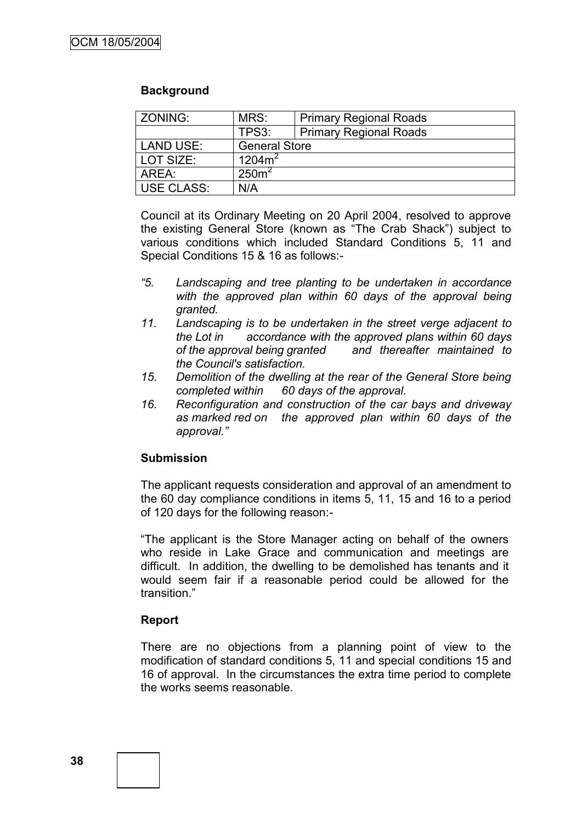#### **Background**

| ZONING:          | MRS:<br><b>Primary Regional Roads</b> |                               |  |
|------------------|---------------------------------------|-------------------------------|--|
|                  | TPS3:                                 | <b>Primary Regional Roads</b> |  |
| <b>LAND USE:</b> | <b>General Store</b>                  |                               |  |
| l LOT SIZE:      | $1204m^2$                             |                               |  |
| AREA:            | 250 <sup>2</sup>                      |                               |  |
| USE CLASS:       | N/A                                   |                               |  |

Council at its Ordinary Meeting on 20 April 2004, resolved to approve the existing General Store (known as "The Crab Shack") subject to various conditions which included Standard Conditions 5, 11 and Special Conditions 15 & 16 as follows:-

- *"5. Landscaping and tree planting to be undertaken in accordance*  with the approved plan within 60 days of the approval being *granted.*
- *11. Landscaping is to be undertaken in the street verge adjacent to the Lot in accordance with the approved plans within 60 days of the approval being granted and thereafter maintained to the Council's satisfaction.*
- *15. Demolition of the dwelling at the rear of the General Store being completed within 60 days of the approval.*
- *16. Reconfiguration and construction of the car bays and driveway as marked red on the approved plan within 60 days of the approval."*

#### **Submission**

The applicant requests consideration and approval of an amendment to the 60 day compliance conditions in items 5, 11, 15 and 16 to a period of 120 days for the following reason:-

"The applicant is the Store Manager acting on behalf of the owners who reside in Lake Grace and communication and meetings are difficult. In addition, the dwelling to be demolished has tenants and it would seem fair if a reasonable period could be allowed for the transition."

#### **Report**

There are no objections from a planning point of view to the modification of standard conditions 5, 11 and special conditions 15 and 16 of approval. In the circumstances the extra time period to complete the works seems reasonable.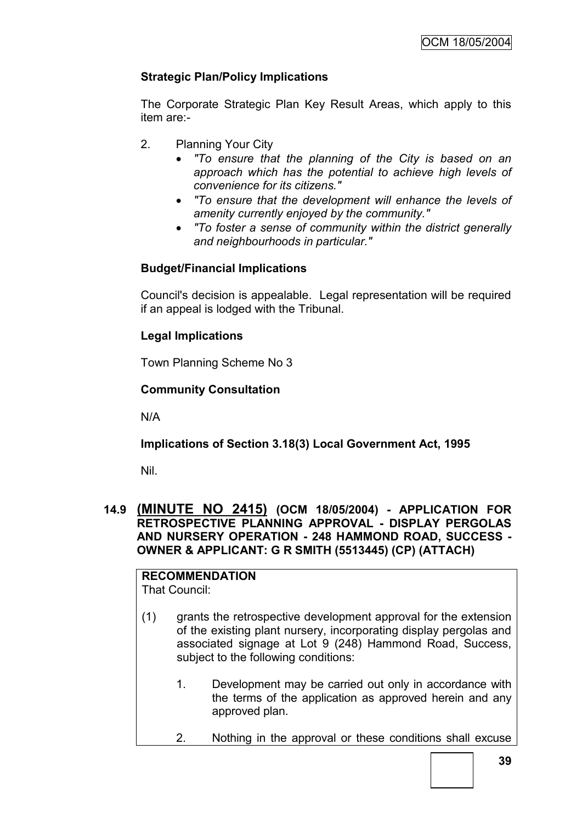## **Strategic Plan/Policy Implications**

The Corporate Strategic Plan Key Result Areas, which apply to this item are:-

- 2. Planning Your City
	- *"To ensure that the planning of the City is based on an approach which has the potential to achieve high levels of convenience for its citizens."*
	- *"To ensure that the development will enhance the levels of amenity currently enjoyed by the community."*
	- *"To foster a sense of community within the district generally and neighbourhoods in particular."*

## **Budget/Financial Implications**

Council's decision is appealable. Legal representation will be required if an appeal is lodged with the Tribunal.

### **Legal Implications**

Town Planning Scheme No 3

### **Community Consultation**

N/A

## **Implications of Section 3.18(3) Local Government Act, 1995**

Nil.

#### **14.9 (MINUTE NO 2415) (OCM 18/05/2004) - APPLICATION FOR RETROSPECTIVE PLANNING APPROVAL - DISPLAY PERGOLAS AND NURSERY OPERATION - 248 HAMMOND ROAD, SUCCESS - OWNER & APPLICANT: G R SMITH (5513445) (CP) (ATTACH)**

#### **RECOMMENDATION** That Council:

- (1) grants the retrospective development approval for the extension of the existing plant nursery, incorporating display pergolas and associated signage at Lot 9 (248) Hammond Road, Success, subject to the following conditions:
	- 1. Development may be carried out only in accordance with the terms of the application as approved herein and any approved plan.
	- 2. Nothing in the approval or these conditions shall excuse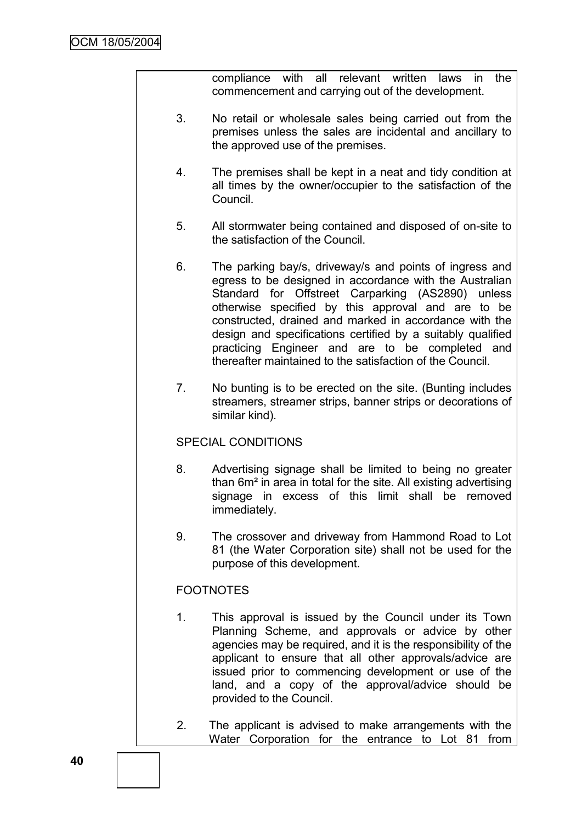compliance with all relevant written laws in the commencement and carrying out of the development.

- 3. No retail or wholesale sales being carried out from the premises unless the sales are incidental and ancillary to the approved use of the premises.
- 4. The premises shall be kept in a neat and tidy condition at all times by the owner/occupier to the satisfaction of the Council.
- 5. All stormwater being contained and disposed of on-site to the satisfaction of the Council.
- 6. The parking bay/s, driveway/s and points of ingress and egress to be designed in accordance with the Australian Standard for Offstreet Carparking (AS2890) unless otherwise specified by this approval and are to be constructed, drained and marked in accordance with the design and specifications certified by a suitably qualified practicing Engineer and are to be completed and thereafter maintained to the satisfaction of the Council.
- 7. No bunting is to be erected on the site. (Bunting includes streamers, streamer strips, banner strips or decorations of similar kind).

## SPECIAL CONDITIONS

- 8. Advertising signage shall be limited to being no greater than 6m² in area in total for the site. All existing advertising signage in excess of this limit shall be removed immediately.
- 9. The crossover and driveway from Hammond Road to Lot 81 (the Water Corporation site) shall not be used for the purpose of this development.

## **FOOTNOTES**

- 1. This approval is issued by the Council under its Town Planning Scheme, and approvals or advice by other agencies may be required, and it is the responsibility of the applicant to ensure that all other approvals/advice are issued prior to commencing development or use of the land, and a copy of the approval/advice should be provided to the Council.
- 2. The applicant is advised to make arrangements with the Water Corporation for the entrance to Lot 81 from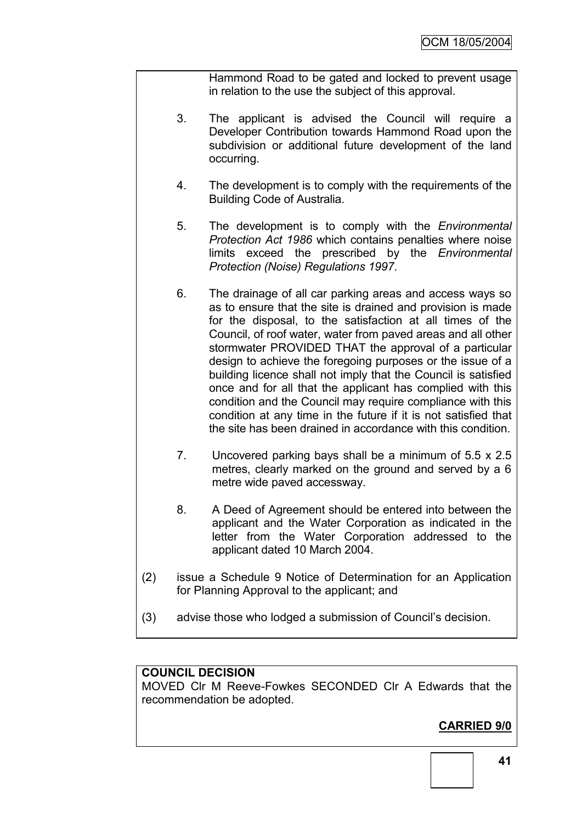Hammond Road to be gated and locked to prevent usage in relation to the use the subject of this approval.

- 3. The applicant is advised the Council will require a Developer Contribution towards Hammond Road upon the subdivision or additional future development of the land occurring.
- 4. The development is to comply with the requirements of the Building Code of Australia.
- 5. The development is to comply with the *Environmental Protection Act 1986* which contains penalties where noise limits exceed the prescribed by the *Environmental Protection (Noise) Regulations 1997*.
- 6. The drainage of all car parking areas and access ways so as to ensure that the site is drained and provision is made for the disposal, to the satisfaction at all times of the Council, of roof water, water from paved areas and all other stormwater PROVIDED THAT the approval of a particular design to achieve the foregoing purposes or the issue of a building licence shall not imply that the Council is satisfied once and for all that the applicant has complied with this condition and the Council may require compliance with this condition at any time in the future if it is not satisfied that the site has been drained in accordance with this condition.
- 7. Uncovered parking bays shall be a minimum of 5.5 x 2.5 metres, clearly marked on the ground and served by a 6 metre wide paved accessway.
- 8. A Deed of Agreement should be entered into between the applicant and the Water Corporation as indicated in the letter from the Water Corporation addressed to the applicant dated 10 March 2004.
- (2) issue a Schedule 9 Notice of Determination for an Application for Planning Approval to the applicant; and
- (3) advise those who lodged a submission of Council"s decision.

#### **COUNCIL DECISION**

MOVED Clr M Reeve-Fowkes SECONDED Clr A Edwards that the recommendation be adopted.

# **CARRIED 9/0**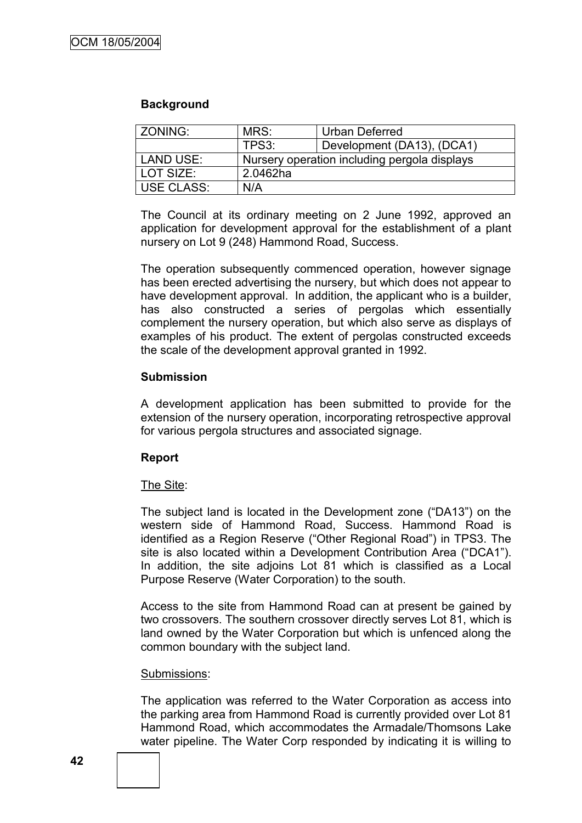#### **Background**

| ZONING:    | MRS:<br><b>Urban Deferred</b>                |                            |  |
|------------|----------------------------------------------|----------------------------|--|
|            | TPS3:                                        | Development (DA13), (DCA1) |  |
| LAND USE:  | Nursery operation including pergola displays |                            |  |
| LOT SIZE:  | 2.0462ha                                     |                            |  |
| USE CLASS: | N/A                                          |                            |  |

The Council at its ordinary meeting on 2 June 1992, approved an application for development approval for the establishment of a plant nursery on Lot 9 (248) Hammond Road, Success.

The operation subsequently commenced operation, however signage has been erected advertising the nursery, but which does not appear to have development approval. In addition, the applicant who is a builder, has also constructed a series of pergolas which essentially complement the nursery operation, but which also serve as displays of examples of his product. The extent of pergolas constructed exceeds the scale of the development approval granted in 1992.

#### **Submission**

A development application has been submitted to provide for the extension of the nursery operation, incorporating retrospective approval for various pergola structures and associated signage.

#### **Report**

#### The Site:

The subject land is located in the Development zone ("DA13") on the western side of Hammond Road, Success. Hammond Road is identified as a Region Reserve ("Other Regional Road") in TPS3. The site is also located within a Development Contribution Area ("DCA1"). In addition, the site adjoins Lot 81 which is classified as a Local Purpose Reserve (Water Corporation) to the south.

Access to the site from Hammond Road can at present be gained by two crossovers. The southern crossover directly serves Lot 81, which is land owned by the Water Corporation but which is unfenced along the common boundary with the subject land.

#### Submissions:

The application was referred to the Water Corporation as access into the parking area from Hammond Road is currently provided over Lot 81 Hammond Road, which accommodates the Armadale/Thomsons Lake water pipeline. The Water Corp responded by indicating it is willing to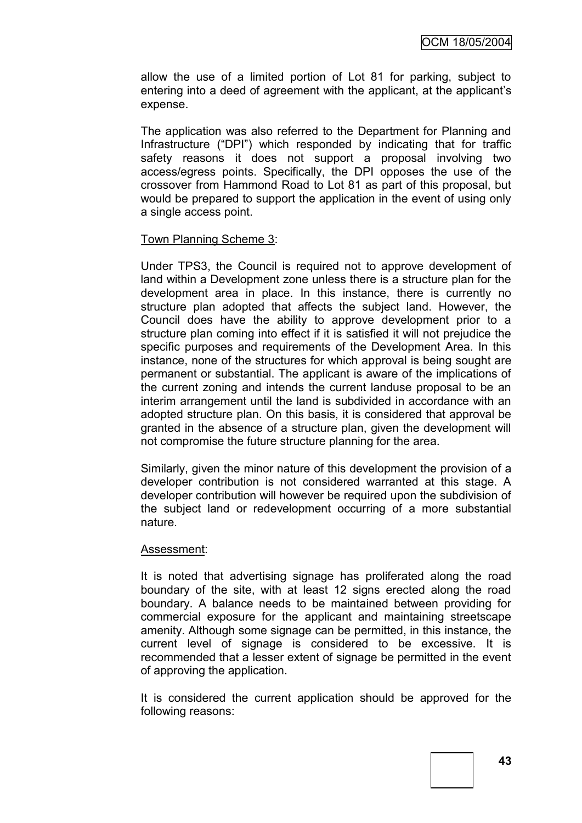allow the use of a limited portion of Lot 81 for parking, subject to entering into a deed of agreement with the applicant, at the applicant"s expense.

The application was also referred to the Department for Planning and Infrastructure ("DPI") which responded by indicating that for traffic safety reasons it does not support a proposal involving two access/egress points. Specifically, the DPI opposes the use of the crossover from Hammond Road to Lot 81 as part of this proposal, but would be prepared to support the application in the event of using only a single access point.

#### Town Planning Scheme 3:

Under TPS3, the Council is required not to approve development of land within a Development zone unless there is a structure plan for the development area in place. In this instance, there is currently no structure plan adopted that affects the subject land. However, the Council does have the ability to approve development prior to a structure plan coming into effect if it is satisfied it will not prejudice the specific purposes and requirements of the Development Area. In this instance, none of the structures for which approval is being sought are permanent or substantial. The applicant is aware of the implications of the current zoning and intends the current landuse proposal to be an interim arrangement until the land is subdivided in accordance with an adopted structure plan. On this basis, it is considered that approval be granted in the absence of a structure plan, given the development will not compromise the future structure planning for the area.

Similarly, given the minor nature of this development the provision of a developer contribution is not considered warranted at this stage. A developer contribution will however be required upon the subdivision of the subject land or redevelopment occurring of a more substantial nature.

#### Assessment:

It is noted that advertising signage has proliferated along the road boundary of the site, with at least 12 signs erected along the road boundary. A balance needs to be maintained between providing for commercial exposure for the applicant and maintaining streetscape amenity. Although some signage can be permitted, in this instance, the current level of signage is considered to be excessive. It is recommended that a lesser extent of signage be permitted in the event of approving the application.

It is considered the current application should be approved for the following reasons: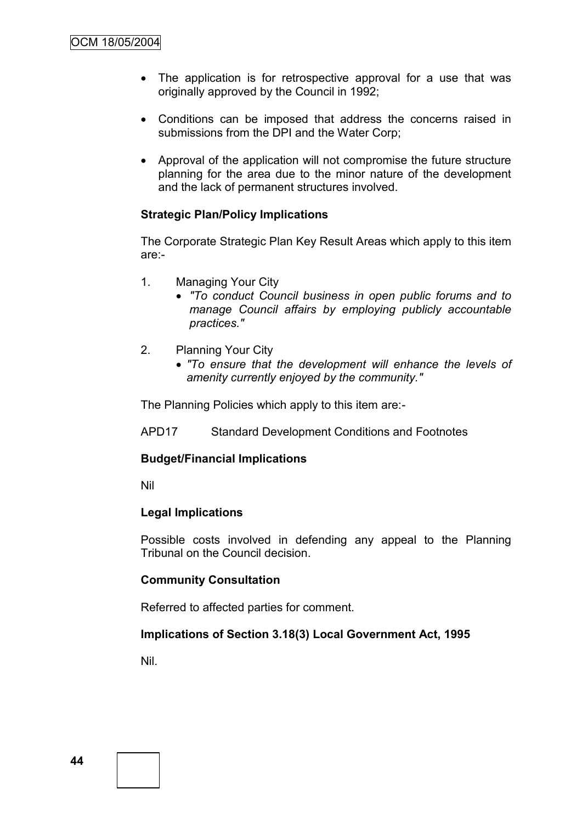- The application is for retrospective approval for a use that was originally approved by the Council in 1992;
- Conditions can be imposed that address the concerns raised in submissions from the DPI and the Water Corp;
- Approval of the application will not compromise the future structure planning for the area due to the minor nature of the development and the lack of permanent structures involved.

### **Strategic Plan/Policy Implications**

The Corporate Strategic Plan Key Result Areas which apply to this item are:-

- 1. Managing Your City
	- *"To conduct Council business in open public forums and to manage Council affairs by employing publicly accountable practices."*
- 2. Planning Your City
	- *"To ensure that the development will enhance the levels of amenity currently enjoyed by the community."*

The Planning Policies which apply to this item are:-

APD17 Standard Development Conditions and Footnotes

#### **Budget/Financial Implications**

Nil

#### **Legal Implications**

Possible costs involved in defending any appeal to the Planning Tribunal on the Council decision.

#### **Community Consultation**

Referred to affected parties for comment.

#### **Implications of Section 3.18(3) Local Government Act, 1995**

Nil.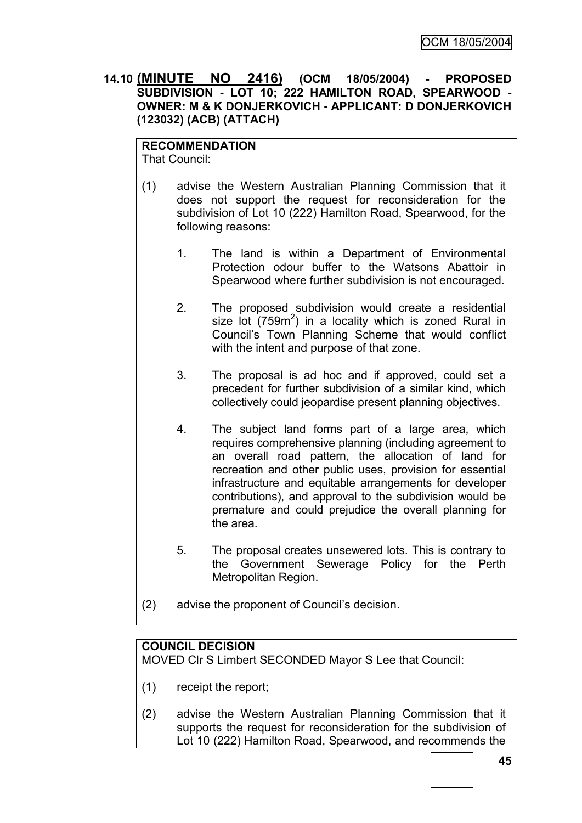### **14.10 (MINUTE NO 2416) (OCM 18/05/2004) - PROPOSED SUBDIVISION - LOT 10; 222 HAMILTON ROAD, SPEARWOOD - OWNER: M & K DONJERKOVICH - APPLICANT: D DONJERKOVICH (123032) (ACB) (ATTACH)**

## **RECOMMENDATION**

That Council:

- (1) advise the Western Australian Planning Commission that it does not support the request for reconsideration for the subdivision of Lot 10 (222) Hamilton Road, Spearwood, for the following reasons:
	- 1. The land is within a Department of Environmental Protection odour buffer to the Watsons Abattoir in Spearwood where further subdivision is not encouraged.
	- 2. The proposed subdivision would create a residential size lot  $(759m^2)$  in a locality which is zoned Rural in Council"s Town Planning Scheme that would conflict with the intent and purpose of that zone.
	- 3. The proposal is ad hoc and if approved, could set a precedent for further subdivision of a similar kind, which collectively could jeopardise present planning objectives.
	- 4. The subject land forms part of a large area, which requires comprehensive planning (including agreement to an overall road pattern, the allocation of land for recreation and other public uses, provision for essential infrastructure and equitable arrangements for developer contributions), and approval to the subdivision would be premature and could prejudice the overall planning for the area.
	- 5. The proposal creates unsewered lots. This is contrary to the Government Sewerage Policy for the Perth Metropolitan Region.
- (2) advise the proponent of Council"s decision.

## **COUNCIL DECISION**

MOVED Clr S Limbert SECONDED Mayor S Lee that Council:

- (1) receipt the report;
- (2) advise the Western Australian Planning Commission that it supports the request for reconsideration for the subdivision of Lot 10 (222) Hamilton Road, Spearwood, and recommends the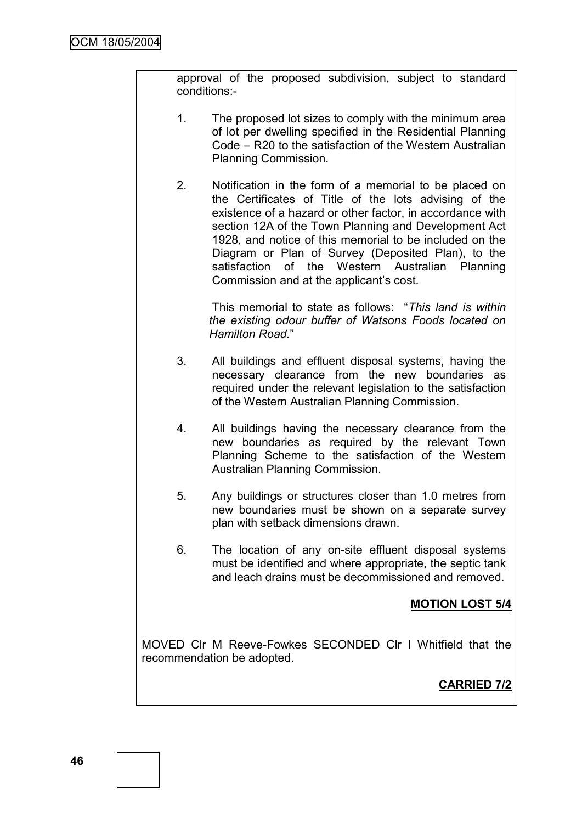approval of the proposed subdivision, subject to standard conditions:-

- 1. The proposed lot sizes to comply with the minimum area of lot per dwelling specified in the Residential Planning Code – R20 to the satisfaction of the Western Australian Planning Commission.
- 2. Notification in the form of a memorial to be placed on the Certificates of Title of the lots advising of the existence of a hazard or other factor, in accordance with section 12A of the Town Planning and Development Act 1928, and notice of this memorial to be included on the Diagram or Plan of Survey (Deposited Plan), to the satisfaction of the Western Australian Planning Commission and at the applicant"s cost.

This memorial to state as follows: "*This land is within the existing odour buffer of Watsons Foods located on Hamilton Road.*"

- 3. All buildings and effluent disposal systems, having the necessary clearance from the new boundaries as required under the relevant legislation to the satisfaction of the Western Australian Planning Commission.
- 4. All buildings having the necessary clearance from the new boundaries as required by the relevant Town Planning Scheme to the satisfaction of the Western Australian Planning Commission.
- 5. Any buildings or structures closer than 1.0 metres from new boundaries must be shown on a separate survey plan with setback dimensions drawn.
- 6. The location of any on-site effluent disposal systems must be identified and where appropriate, the septic tank and leach drains must be decommissioned and removed.

## **MOTION LOST 5/4**

MOVED Clr M Reeve-Fowkes SECONDED Clr I Whitfield that the recommendation be adopted.

# **CARRIED 7/2**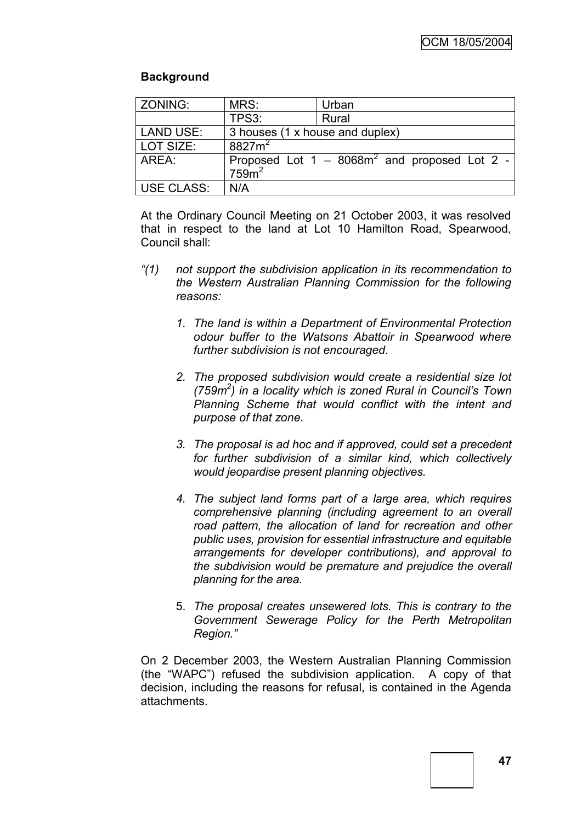## **Background**

| ZONING:          | MRS:                            | Urban                                           |  |
|------------------|---------------------------------|-------------------------------------------------|--|
|                  | TPS3:                           | Rural                                           |  |
| <b>LAND USE:</b> | 3 houses (1 x house and duplex) |                                                 |  |
| LOT SIZE:        | $8827m^2$                       |                                                 |  |
| AREA:            | 759 <sup>2</sup>                | Proposed Lot $1 - 8068m^2$ and proposed Lot 2 - |  |
| USE CLASS:       | N/A                             |                                                 |  |

At the Ordinary Council Meeting on 21 October 2003, it was resolved that in respect to the land at Lot 10 Hamilton Road, Spearwood, Council shall:

- *"(1) not support the subdivision application in its recommendation to the Western Australian Planning Commission for the following reasons:*
	- *1. The land is within a Department of Environmental Protection odour buffer to the Watsons Abattoir in Spearwood where further subdivision is not encouraged.*
	- *2. The proposed subdivision would create a residential size lot (759m<sup>2</sup> ) in a locality which is zoned Rural in Council's Town Planning Scheme that would conflict with the intent and purpose of that zone.*
	- *3. The proposal is ad hoc and if approved, could set a precedent for further subdivision of a similar kind, which collectively would jeopardise present planning objectives.*
	- *4. The subject land forms part of a large area, which requires comprehensive planning (including agreement to an overall road pattern, the allocation of land for recreation and other public uses, provision for essential infrastructure and equitable arrangements for developer contributions), and approval to the subdivision would be premature and prejudice the overall planning for the area.*
	- 5. *The proposal creates unsewered lots. This is contrary to the Government Sewerage Policy for the Perth Metropolitan Region."*

On 2 December 2003, the Western Australian Planning Commission (the "WAPC") refused the subdivision application. A copy of that decision, including the reasons for refusal, is contained in the Agenda attachments.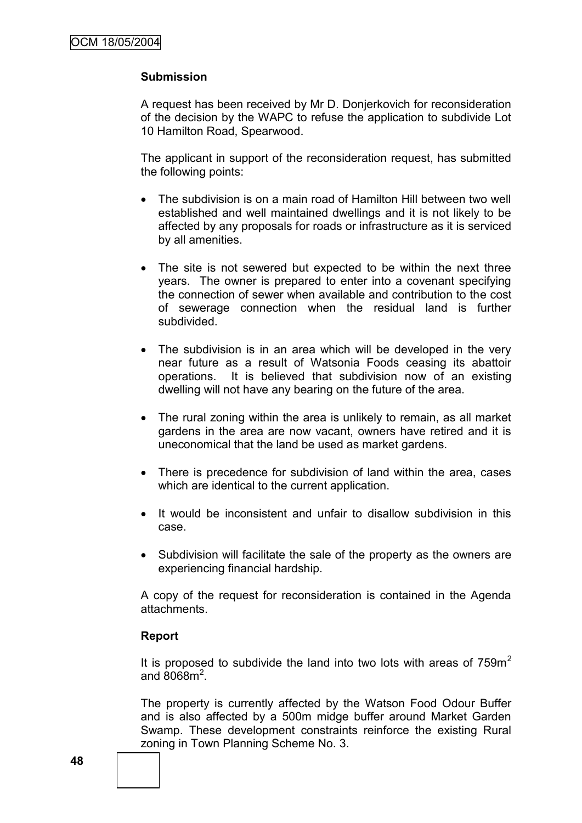#### **Submission**

A request has been received by Mr D. Donjerkovich for reconsideration of the decision by the WAPC to refuse the application to subdivide Lot 10 Hamilton Road, Spearwood.

The applicant in support of the reconsideration request, has submitted the following points:

- The subdivision is on a main road of Hamilton Hill between two well established and well maintained dwellings and it is not likely to be affected by any proposals for roads or infrastructure as it is serviced by all amenities.
- The site is not sewered but expected to be within the next three years. The owner is prepared to enter into a covenant specifying the connection of sewer when available and contribution to the cost of sewerage connection when the residual land is further subdivided.
- The subdivision is in an area which will be developed in the very near future as a result of Watsonia Foods ceasing its abattoir operations. It is believed that subdivision now of an existing dwelling will not have any bearing on the future of the area.
- The rural zoning within the area is unlikely to remain, as all market gardens in the area are now vacant, owners have retired and it is uneconomical that the land be used as market gardens.
- There is precedence for subdivision of land within the area, cases which are identical to the current application.
- It would be inconsistent and unfair to disallow subdivision in this case.
- Subdivision will facilitate the sale of the property as the owners are experiencing financial hardship.

A copy of the request for reconsideration is contained in the Agenda attachments.

#### **Report**

It is proposed to subdivide the land into two lots with areas of  $759m<sup>2</sup>$ and  $8068m^2$ .

The property is currently affected by the Watson Food Odour Buffer and is also affected by a 500m midge buffer around Market Garden Swamp. These development constraints reinforce the existing Rural zoning in Town Planning Scheme No. 3.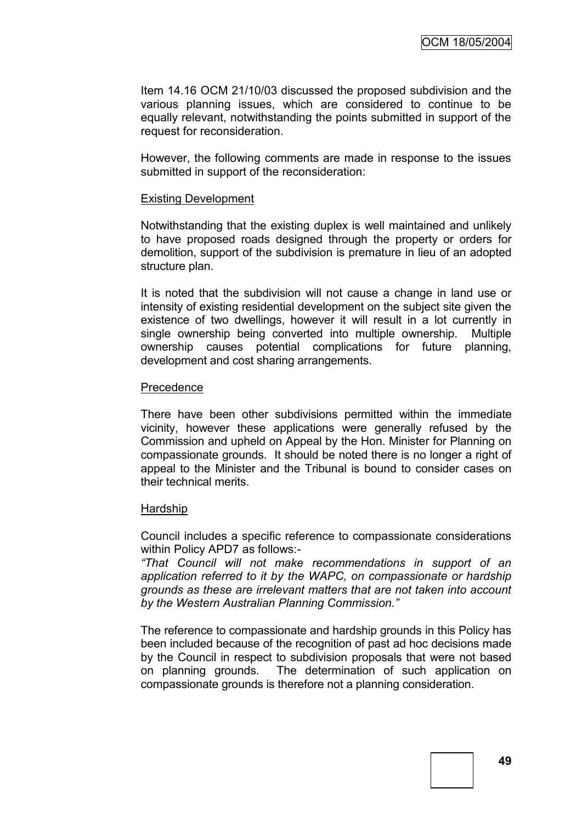Item 14.16 OCM 21/10/03 discussed the proposed subdivision and the various planning issues, which are considered to continue to be equally relevant, notwithstanding the points submitted in support of the request for reconsideration.

However, the following comments are made in response to the issues submitted in support of the reconsideration:

#### Existing Development

Notwithstanding that the existing duplex is well maintained and unlikely to have proposed roads designed through the property or orders for demolition, support of the subdivision is premature in lieu of an adopted structure plan.

It is noted that the subdivision will not cause a change in land use or intensity of existing residential development on the subject site given the existence of two dwellings, however it will result in a lot currently in single ownership being converted into multiple ownership. Multiple ownership causes potential complications for future planning, development and cost sharing arrangements.

#### Precedence

There have been other subdivisions permitted within the immediate vicinity, however these applications were generally refused by the Commission and upheld on Appeal by the Hon. Minister for Planning on compassionate grounds. It should be noted there is no longer a right of appeal to the Minister and the Tribunal is bound to consider cases on their technical merits.

#### **Hardship**

Council includes a specific reference to compassionate considerations within Policy APD7 as follows:-

*"That Council will not make recommendations in support of an application referred to it by the WAPC, on compassionate or hardship grounds as these are irrelevant matters that are not taken into account by the Western Australian Planning Commission."*

The reference to compassionate and hardship grounds in this Policy has been included because of the recognition of past ad hoc decisions made by the Council in respect to subdivision proposals that were not based on planning grounds. The determination of such application on compassionate grounds is therefore not a planning consideration.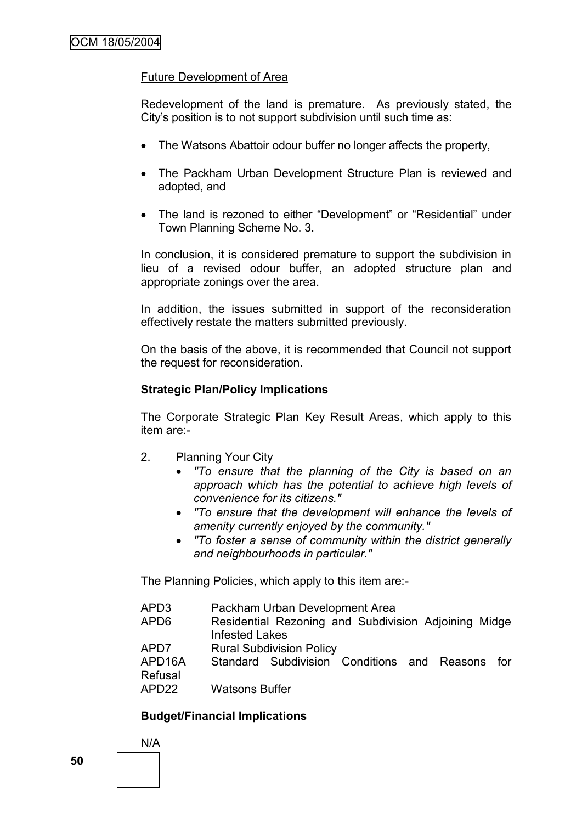### Future Development of Area

Redevelopment of the land is premature. As previously stated, the City"s position is to not support subdivision until such time as:

- The Watsons Abattoir odour buffer no longer affects the property,
- The Packham Urban Development Structure Plan is reviewed and adopted, and
- The land is rezoned to either "Development" or "Residential" under Town Planning Scheme No. 3.

In conclusion, it is considered premature to support the subdivision in lieu of a revised odour buffer, an adopted structure plan and appropriate zonings over the area.

In addition, the issues submitted in support of the reconsideration effectively restate the matters submitted previously.

On the basis of the above, it is recommended that Council not support the request for reconsideration.

#### **Strategic Plan/Policy Implications**

The Corporate Strategic Plan Key Result Areas, which apply to this item are:-

- 2. Planning Your City
	- *"To ensure that the planning of the City is based on an approach which has the potential to achieve high levels of convenience for its citizens."*
	- *"To ensure that the development will enhance the levels of amenity currently enjoyed by the community."*
	- *"To foster a sense of community within the district generally and neighbourhoods in particular."*

The Planning Policies, which apply to this item are:-

| APD3                           | Packham Urban Development Area                                                |
|--------------------------------|-------------------------------------------------------------------------------|
| APD <sub>6</sub>               | Residential Rezoning and Subdivision Adjoining Midge<br><b>Infested Lakes</b> |
| APD7                           | <b>Rural Subdivision Policy</b>                                               |
| APD <sub>16</sub> A<br>Refusal | Standard Subdivision Conditions and Reasons<br>tor t                          |
| APD <sub>22</sub>              | <b>Watsons Buffer</b>                                                         |

## **Budget/Financial Implications**

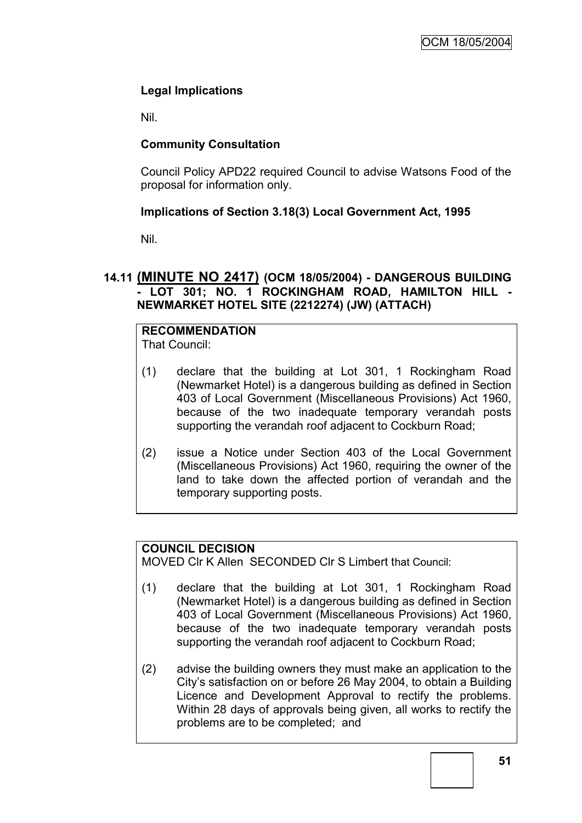## **Legal Implications**

Nil.

## **Community Consultation**

Council Policy APD22 required Council to advise Watsons Food of the proposal for information only.

## **Implications of Section 3.18(3) Local Government Act, 1995**

Nil.

## **14.11 (MINUTE NO 2417) (OCM 18/05/2004) - DANGEROUS BUILDING - LOT 301; NO. 1 ROCKINGHAM ROAD, HAMILTON HILL - NEWMARKET HOTEL SITE (2212274) (JW) (ATTACH)**

#### **RECOMMENDATION** That Council:

- (1) declare that the building at Lot 301, 1 Rockingham Road (Newmarket Hotel) is a dangerous building as defined in Section 403 of Local Government (Miscellaneous Provisions) Act 1960, because of the two inadequate temporary verandah posts supporting the verandah roof adjacent to Cockburn Road;
- (2) issue a Notice under Section 403 of the Local Government (Miscellaneous Provisions) Act 1960, requiring the owner of the land to take down the affected portion of verandah and the temporary supporting posts.

## **COUNCIL DECISION**

MOVED Clr K Allen SECONDED Clr S Limbert that Council:

- (1) declare that the building at Lot 301, 1 Rockingham Road (Newmarket Hotel) is a dangerous building as defined in Section 403 of Local Government (Miscellaneous Provisions) Act 1960, because of the two inadequate temporary verandah posts supporting the verandah roof adjacent to Cockburn Road;
- (2) advise the building owners they must make an application to the City"s satisfaction on or before 26 May 2004, to obtain a Building Licence and Development Approval to rectify the problems. Within 28 days of approvals being given, all works to rectify the problems are to be completed; and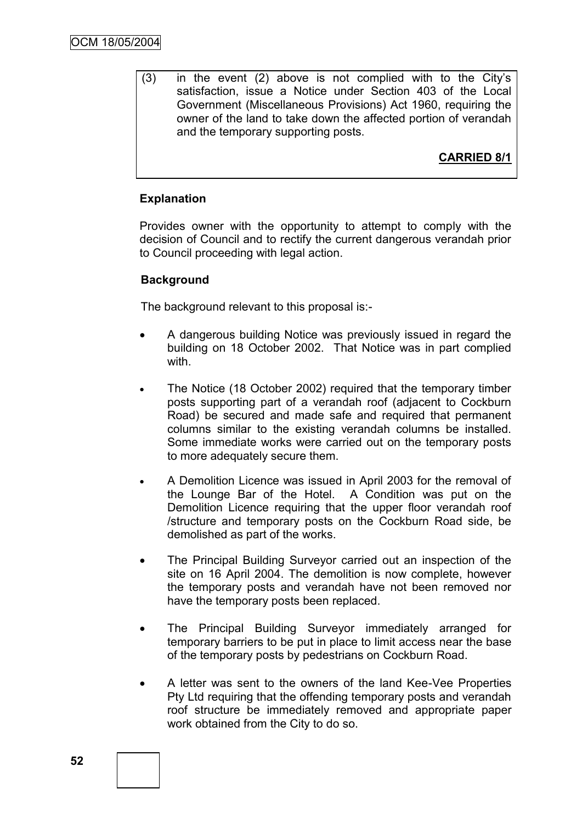(3) in the event (2) above is not complied with to the City"s satisfaction, issue a Notice under Section 403 of the Local Government (Miscellaneous Provisions) Act 1960, requiring the owner of the land to take down the affected portion of verandah and the temporary supporting posts.

**CARRIED 8/1**

### **Explanation**

Provides owner with the opportunity to attempt to comply with the decision of Council and to rectify the current dangerous verandah prior to Council proceeding with legal action.

### **Background**

The background relevant to this proposal is:-

- A dangerous building Notice was previously issued in regard the building on 18 October 2002. That Notice was in part complied with.
- The Notice (18 October 2002) required that the temporary timber posts supporting part of a verandah roof (adjacent to Cockburn Road) be secured and made safe and required that permanent columns similar to the existing verandah columns be installed. Some immediate works were carried out on the temporary posts to more adequately secure them.
- A Demolition Licence was issued in April 2003 for the removal of the Lounge Bar of the Hotel. A Condition was put on the Demolition Licence requiring that the upper floor verandah roof /structure and temporary posts on the Cockburn Road side, be demolished as part of the works.
- The Principal Building Surveyor carried out an inspection of the site on 16 April 2004. The demolition is now complete, however the temporary posts and verandah have not been removed nor have the temporary posts been replaced.
- The Principal Building Surveyor immediately arranged for temporary barriers to be put in place to limit access near the base of the temporary posts by pedestrians on Cockburn Road.
- A letter was sent to the owners of the land Kee-Vee Properties Pty Ltd requiring that the offending temporary posts and verandah roof structure be immediately removed and appropriate paper work obtained from the City to do so.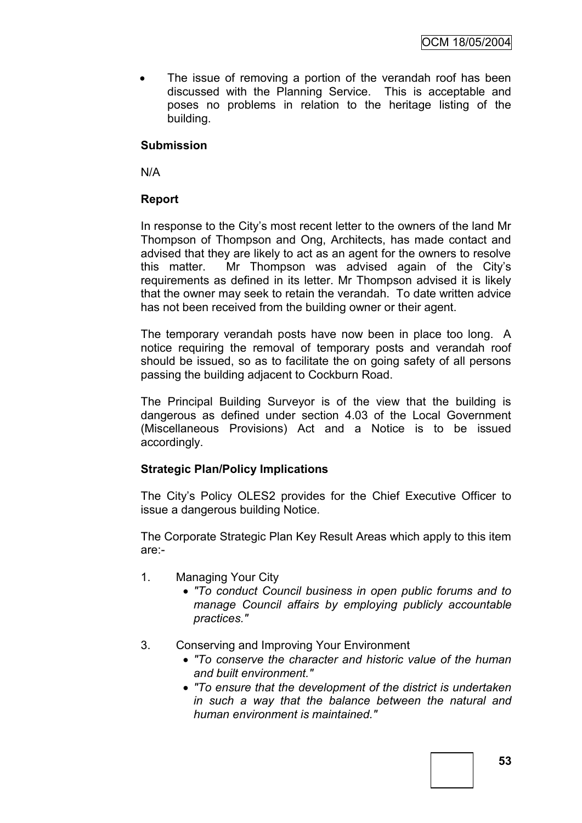• The issue of removing a portion of the verandah roof has been discussed with the Planning Service. This is acceptable and poses no problems in relation to the heritage listing of the building.

### **Submission**

N/A

### **Report**

In response to the City"s most recent letter to the owners of the land Mr Thompson of Thompson and Ong, Architects, has made contact and advised that they are likely to act as an agent for the owners to resolve this matter. Mr Thompson was advised again of the City"s requirements as defined in its letter. Mr Thompson advised it is likely that the owner may seek to retain the verandah. To date written advice has not been received from the building owner or their agent.

The temporary verandah posts have now been in place too long. A notice requiring the removal of temporary posts and verandah roof should be issued, so as to facilitate the on going safety of all persons passing the building adjacent to Cockburn Road.

The Principal Building Surveyor is of the view that the building is dangerous as defined under section 4.03 of the Local Government (Miscellaneous Provisions) Act and a Notice is to be issued accordingly.

## **Strategic Plan/Policy Implications**

The City"s Policy OLES2 provides for the Chief Executive Officer to issue a dangerous building Notice.

The Corporate Strategic Plan Key Result Areas which apply to this item are:-

- 1. Managing Your City
	- *"To conduct Council business in open public forums and to manage Council affairs by employing publicly accountable practices."*
- 3. Conserving and Improving Your Environment
	- *"To conserve the character and historic value of the human and built environment."*
	- *"To ensure that the development of the district is undertaken in such a way that the balance between the natural and human environment is maintained."*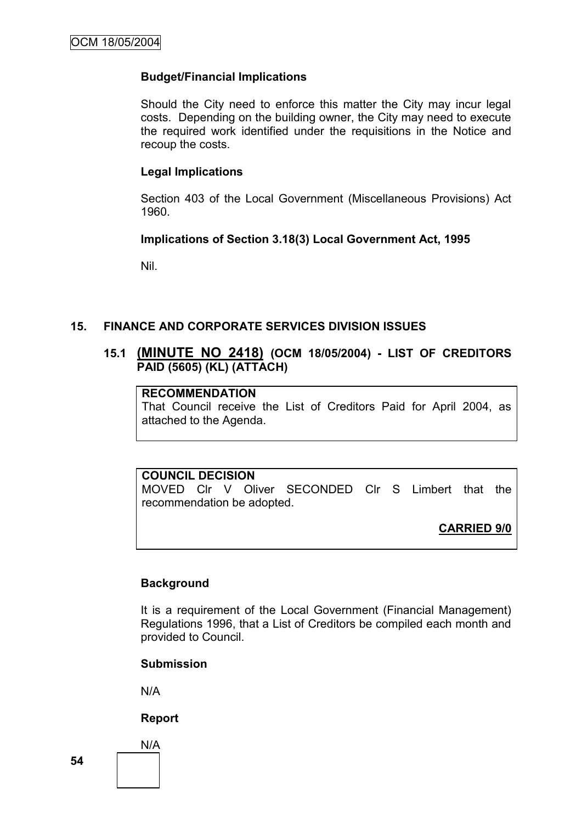#### **Budget/Financial Implications**

Should the City need to enforce this matter the City may incur legal costs. Depending on the building owner, the City may need to execute the required work identified under the requisitions in the Notice and recoup the costs.

#### **Legal Implications**

Section 403 of the Local Government (Miscellaneous Provisions) Act 1960.

#### **Implications of Section 3.18(3) Local Government Act, 1995**

Nil.

#### **15. FINANCE AND CORPORATE SERVICES DIVISION ISSUES**

### **15.1 (MINUTE NO 2418) (OCM 18/05/2004) - LIST OF CREDITORS PAID (5605) (KL) (ATTACH)**

### **RECOMMENDATION**

That Council receive the List of Creditors Paid for April 2004, as attached to the Agenda.

#### **COUNCIL DECISION**

MOVED Clr V Oliver SECONDED Clr S Limbert that the recommendation be adopted.

**CARRIED 9/0**

#### **Background**

It is a requirement of the Local Government (Financial Management) Regulations 1996, that a List of Creditors be compiled each month and provided to Council.

#### **Submission**

N/A

#### **Report**

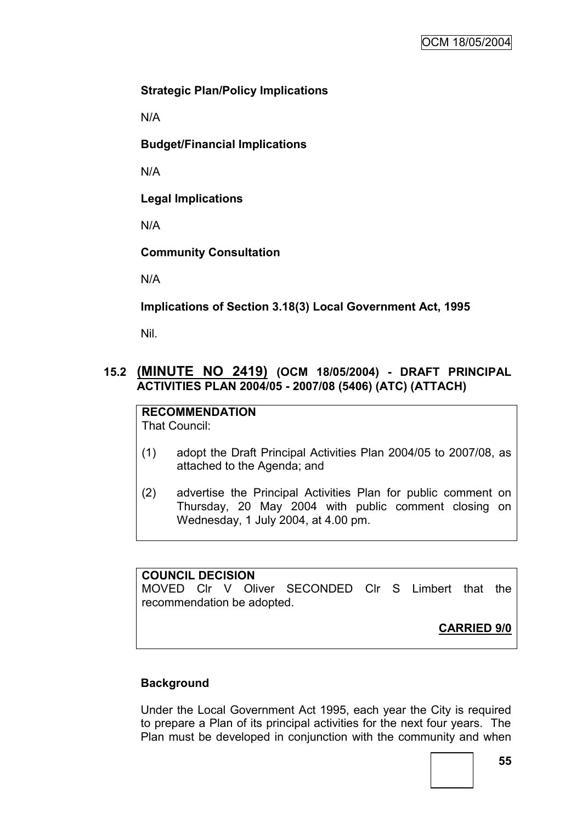### **Strategic Plan/Policy Implications**

N/A

**Budget/Financial Implications**

N/A

**Legal Implications**

N/A

**Community Consultation**

N/A

**Implications of Section 3.18(3) Local Government Act, 1995**

Nil.

### **15.2 (MINUTE NO 2419) (OCM 18/05/2004) - DRAFT PRINCIPAL ACTIVITIES PLAN 2004/05 - 2007/08 (5406) (ATC) (ATTACH)**

**RECOMMENDATION** That Council:

- (1) adopt the Draft Principal Activities Plan 2004/05 to 2007/08, as attached to the Agenda; and
- (2) advertise the Principal Activities Plan for public comment on Thursday, 20 May 2004 with public comment closing on Wednesday, 1 July 2004, at 4.00 pm.

### **COUNCIL DECISION**

MOVED Clr V Oliver SECONDED Clr S Limbert that the recommendation be adopted.

**CARRIED 9/0**

#### **Background**

Under the Local Government Act 1995, each year the City is required to prepare a Plan of its principal activities for the next four years. The Plan must be developed in conjunction with the community and when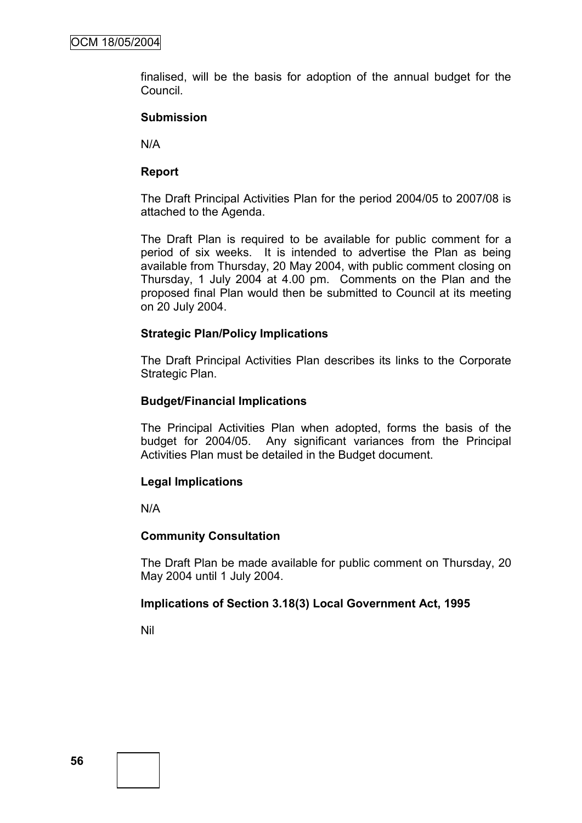finalised, will be the basis for adoption of the annual budget for the Council.

#### **Submission**

N/A

### **Report**

The Draft Principal Activities Plan for the period 2004/05 to 2007/08 is attached to the Agenda.

The Draft Plan is required to be available for public comment for a period of six weeks. It is intended to advertise the Plan as being available from Thursday, 20 May 2004, with public comment closing on Thursday, 1 July 2004 at 4.00 pm. Comments on the Plan and the proposed final Plan would then be submitted to Council at its meeting on 20 July 2004.

#### **Strategic Plan/Policy Implications**

The Draft Principal Activities Plan describes its links to the Corporate Strategic Plan.

#### **Budget/Financial Implications**

The Principal Activities Plan when adopted, forms the basis of the budget for 2004/05. Any significant variances from the Principal Activities Plan must be detailed in the Budget document.

#### **Legal Implications**

N/A

#### **Community Consultation**

The Draft Plan be made available for public comment on Thursday, 20 May 2004 until 1 July 2004.

#### **Implications of Section 3.18(3) Local Government Act, 1995**

Nil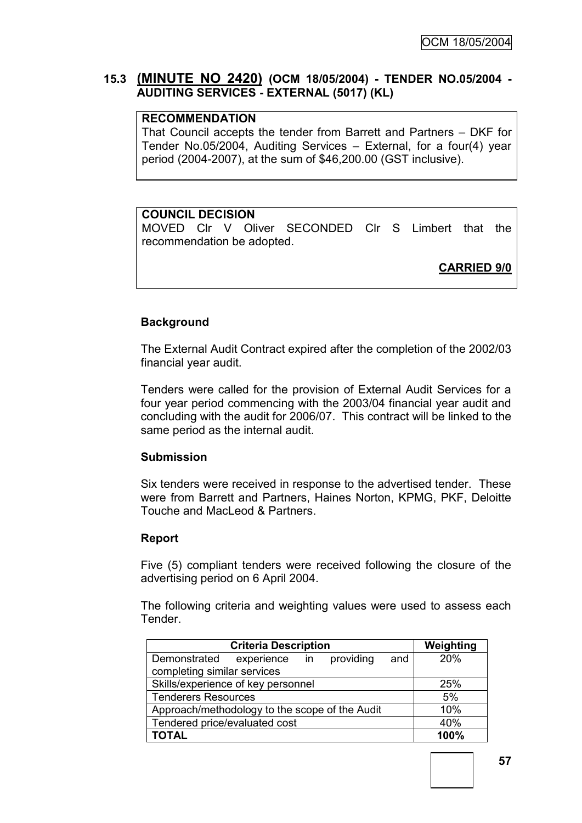### **15.3 (MINUTE NO 2420) (OCM 18/05/2004) - TENDER NO.05/2004 - AUDITING SERVICES - EXTERNAL (5017) (KL)**

### **RECOMMENDATION**

That Council accepts the tender from Barrett and Partners – DKF for Tender No.05/2004, Auditing Services – External, for a four(4) year period (2004-2007), at the sum of \$46,200.00 (GST inclusive).

#### **COUNCIL DECISION**

MOVED Clr V Oliver SECONDED Clr S Limbert that the recommendation be adopted.

**CARRIED 9/0**

#### **Background**

The External Audit Contract expired after the completion of the 2002/03 financial year audit.

Tenders were called for the provision of External Audit Services for a four year period commencing with the 2003/04 financial year audit and concluding with the audit for 2006/07. This contract will be linked to the same period as the internal audit.

#### **Submission**

Six tenders were received in response to the advertised tender. These were from Barrett and Partners, Haines Norton, KPMG, PKF, Deloitte Touche and MacLeod & Partners.

#### **Report**

Five (5) compliant tenders were received following the closure of the advertising period on 6 April 2004.

The following criteria and weighting values were used to assess each Tender.

| <b>Criteria Description</b>                       | Weighting |
|---------------------------------------------------|-----------|
| experience in<br>providing<br>Demonstrated<br>and | 20%       |
| completing similar services                       |           |
| Skills/experience of key personnel                | 25%       |
| <b>Tenderers Resources</b>                        | 5%        |
| Approach/methodology to the scope of the Audit    | 10%       |
| Tendered price/evaluated cost                     | 40%       |
| <b>TOTAL</b>                                      | 100%      |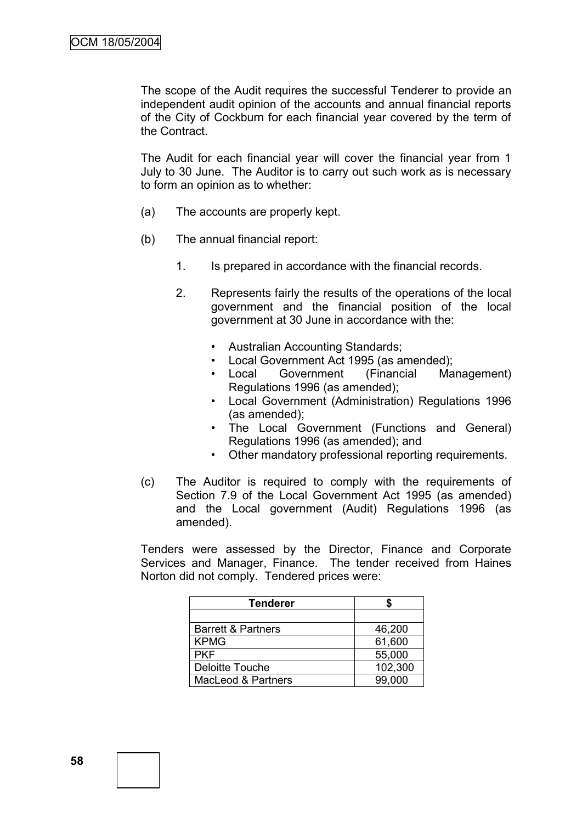The scope of the Audit requires the successful Tenderer to provide an independent audit opinion of the accounts and annual financial reports of the City of Cockburn for each financial year covered by the term of the Contract.

The Audit for each financial year will cover the financial year from 1 July to 30 June. The Auditor is to carry out such work as is necessary to form an opinion as to whether:

- (a) The accounts are properly kept.
- (b) The annual financial report:
	- 1. Is prepared in accordance with the financial records.
	- 2. Represents fairly the results of the operations of the local government and the financial position of the local government at 30 June in accordance with the:
		- Australian Accounting Standards;
		- Local Government Act 1995 (as amended);
		- Local Government (Financial Management) Regulations 1996 (as amended);
		- Local Government (Administration) Regulations 1996 (as amended);
		- The Local Government (Functions and General) Regulations 1996 (as amended); and
		- Other mandatory professional reporting requirements.
- (c) The Auditor is required to comply with the requirements of Section 7.9 of the Local Government Act 1995 (as amended) and the Local government (Audit) Regulations 1996 (as amended).

Tenders were assessed by the Director, Finance and Corporate Services and Manager, Finance. The tender received from Haines Norton did not comply. Tendered prices were:

| <b>Tenderer</b>               |         |
|-------------------------------|---------|
|                               |         |
| <b>Barrett &amp; Partners</b> | 46,200  |
| <b>KPMG</b>                   | 61,600  |
| <b>PKF</b>                    | 55,000  |
| <b>Deloitte Touche</b>        | 102,300 |
| <b>MacLeod &amp; Partners</b> | 99,000  |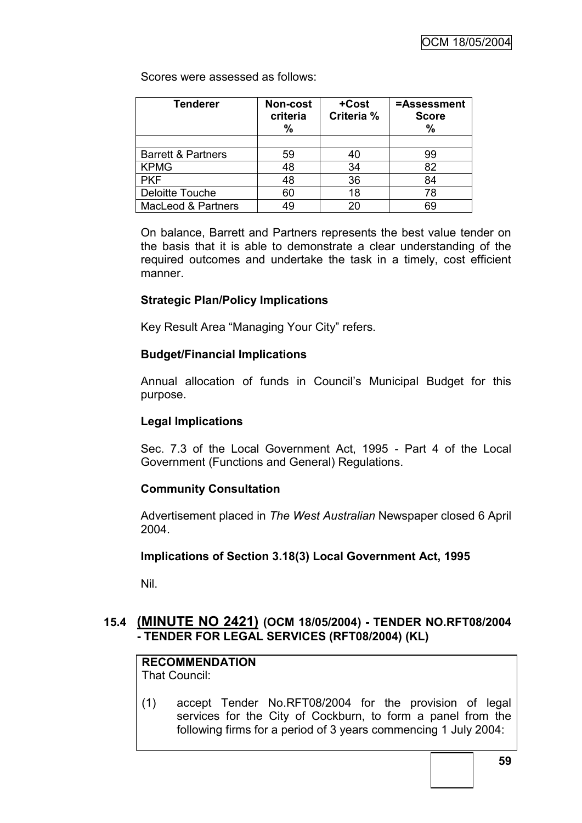Scores were assessed as follows:

| <b>Tenderer</b>               | Non-cost<br>criteria<br>$\%$ | +Cost<br>Criteria % | =Assessment<br><b>Score</b><br>% |
|-------------------------------|------------------------------|---------------------|----------------------------------|
|                               |                              |                     |                                  |
| <b>Barrett &amp; Partners</b> | 59                           | 40                  | 99                               |
| <b>KPMG</b>                   | 48                           | 34                  | 82                               |
| <b>PKF</b>                    | 48                           | 36                  | 84                               |
| Deloitte Touche               | 60                           | 18                  | 78                               |
| <b>MacLeod &amp; Partners</b> | 49                           | $20^{\circ}$        | 69                               |

On balance, Barrett and Partners represents the best value tender on the basis that it is able to demonstrate a clear understanding of the required outcomes and undertake the task in a timely, cost efficient manner.

### **Strategic Plan/Policy Implications**

Key Result Area "Managing Your City" refers.

#### **Budget/Financial Implications**

Annual allocation of funds in Council"s Municipal Budget for this purpose.

#### **Legal Implications**

Sec. 7.3 of the Local Government Act, 1995 - Part 4 of the Local Government (Functions and General) Regulations.

#### **Community Consultation**

Advertisement placed in *The West Australian* Newspaper closed 6 April 2004.

#### **Implications of Section 3.18(3) Local Government Act, 1995**

Nil.

## **15.4 (MINUTE NO 2421) (OCM 18/05/2004) - TENDER NO.RFT08/2004 - TENDER FOR LEGAL SERVICES (RFT08/2004) (KL)**

# **RECOMMENDATION**

That Council:

(1) accept Tender No.RFT08/2004 for the provision of legal services for the City of Cockburn, to form a panel from the following firms for a period of 3 years commencing 1 July 2004: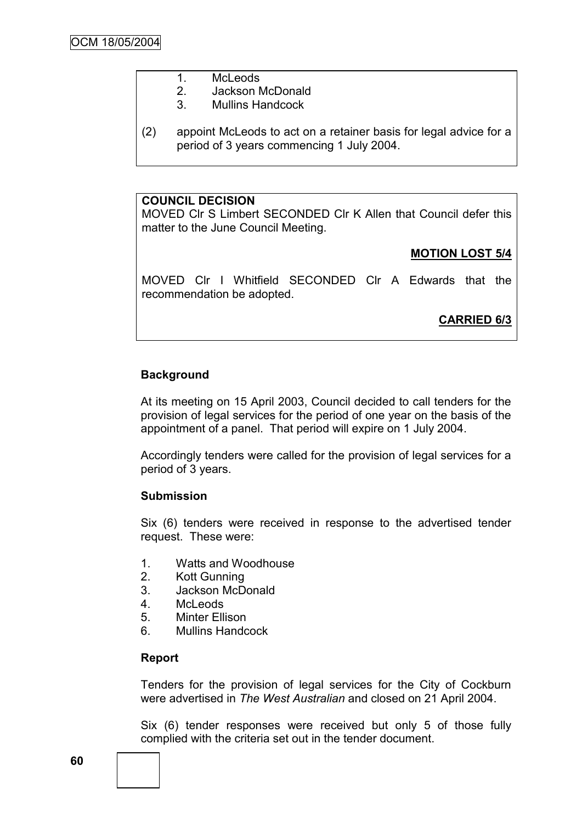- 1. McLeods
	- 2. Jackson McDonald
	- 3. Mullins Handcock
- (2) appoint McLeods to act on a retainer basis for legal advice for a period of 3 years commencing 1 July 2004.

### **COUNCIL DECISION**

MOVED Clr S Limbert SECONDED Clr K Allen that Council defer this matter to the June Council Meeting.

## **MOTION LOST 5/4**

MOVED Clr I Whitfield SECONDED Clr A Edwards that the recommendation be adopted.

**CARRIED 6/3**

## **Background**

At its meeting on 15 April 2003, Council decided to call tenders for the provision of legal services for the period of one year on the basis of the appointment of a panel. That period will expire on 1 July 2004.

Accordingly tenders were called for the provision of legal services for a period of 3 years.

## **Submission**

Six (6) tenders were received in response to the advertised tender request. These were:

- 1. Watts and Woodhouse
- 2. Kott Gunning
- 3. Jackson McDonald
- 4. McLeods
- 5. Minter Ellison
- 6. Mullins Handcock

#### **Report**

Tenders for the provision of legal services for the City of Cockburn were advertised in *The West Australian* and closed on 21 April 2004.

Six (6) tender responses were received but only 5 of those fully complied with the criteria set out in the tender document.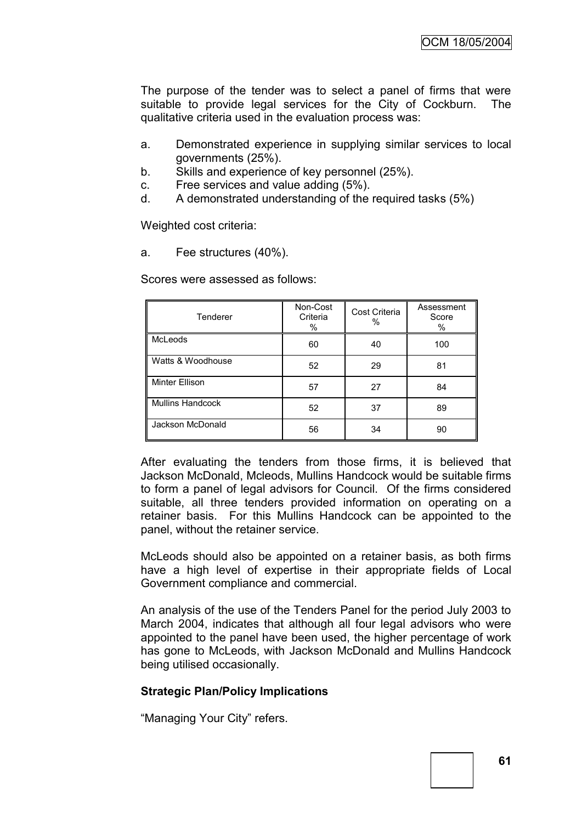The purpose of the tender was to select a panel of firms that were suitable to provide legal services for the City of Cockburn. The qualitative criteria used in the evaluation process was:

- a. Demonstrated experience in supplying similar services to local governments (25%).
- b. Skills and experience of key personnel (25%).
- c. Free services and value adding (5%).
- d. A demonstrated understanding of the required tasks (5%)

Weighted cost criteria:

a. Fee structures (40%).

Scores were assessed as follows:

| Tenderer          | Non-Cost<br>Criteria<br>% | Cost Criteria<br>% | Assessment<br>Score<br>$\%$ |
|-------------------|---------------------------|--------------------|-----------------------------|
| McLeods           | 60                        | 40                 | 100                         |
| Watts & Woodhouse | 52                        | 29                 | 81                          |
| Minter Ellison    | 57                        | 27                 | 84                          |
| Mullins Handcock  | 52                        | 37                 | 89                          |
| Jackson McDonald  | 56                        | 34                 | 90                          |

After evaluating the tenders from those firms, it is believed that Jackson McDonald, Mcleods, Mullins Handcock would be suitable firms to form a panel of legal advisors for Council. Of the firms considered suitable, all three tenders provided information on operating on a retainer basis. For this Mullins Handcock can be appointed to the panel, without the retainer service.

McLeods should also be appointed on a retainer basis, as both firms have a high level of expertise in their appropriate fields of Local Government compliance and commercial.

An analysis of the use of the Tenders Panel for the period July 2003 to March 2004, indicates that although all four legal advisors who were appointed to the panel have been used, the higher percentage of work has gone to McLeods, with Jackson McDonald and Mullins Handcock being utilised occasionally.

### **Strategic Plan/Policy Implications**

"Managing Your City" refers.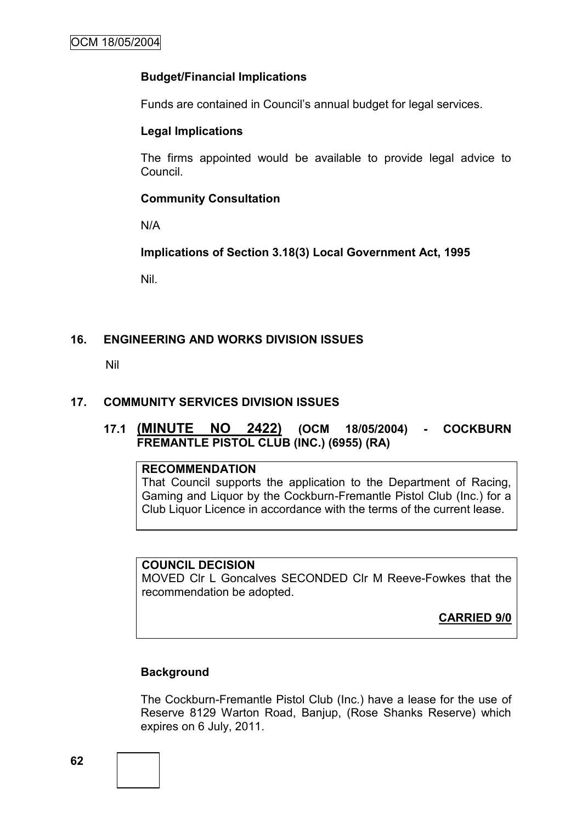### **Budget/Financial Implications**

Funds are contained in Council"s annual budget for legal services.

#### **Legal Implications**

The firms appointed would be available to provide legal advice to Council.

#### **Community Consultation**

N/A

**Implications of Section 3.18(3) Local Government Act, 1995**

Nil.

### **16. ENGINEERING AND WORKS DIVISION ISSUES**

Nil

#### **17. COMMUNITY SERVICES DIVISION ISSUES**

## **17.1 (MINUTE NO 2422) (OCM 18/05/2004) - COCKBURN FREMANTLE PISTOL CLUB (INC.) (6955) (RA)**

#### **RECOMMENDATION**

That Council supports the application to the Department of Racing, Gaming and Liquor by the Cockburn-Fremantle Pistol Club (Inc.) for a Club Liquor Licence in accordance with the terms of the current lease.

#### **COUNCIL DECISION**

MOVED Clr L Goncalves SECONDED Clr M Reeve-Fowkes that the recommendation be adopted.

**CARRIED 9/0**

#### **Background**

The Cockburn-Fremantle Pistol Club (Inc.) have a lease for the use of Reserve 8129 Warton Road, Banjup, (Rose Shanks Reserve) which expires on 6 July, 2011.

**62**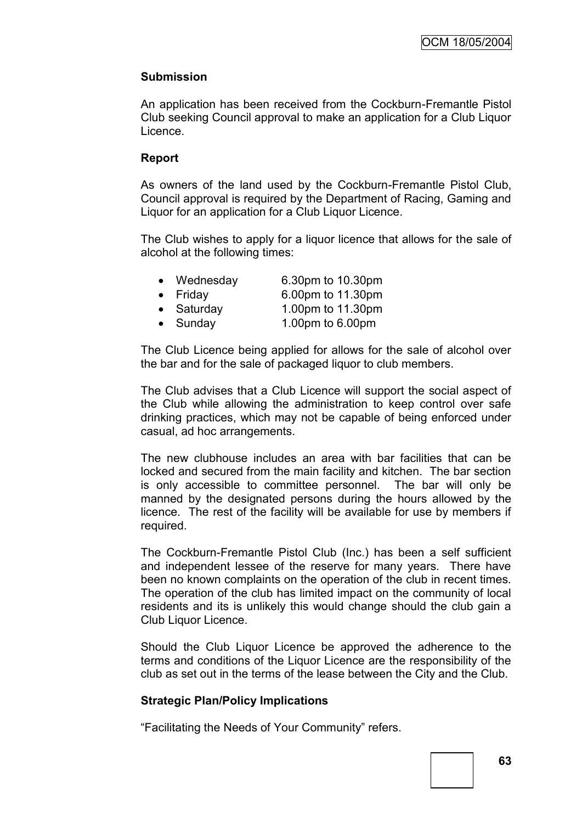### **Submission**

An application has been received from the Cockburn-Fremantle Pistol Club seeking Council approval to make an application for a Club Liquor Licence.

#### **Report**

As owners of the land used by the Cockburn-Fremantle Pistol Club, Council approval is required by the Department of Racing, Gaming and Liquor for an application for a Club Liquor Licence.

The Club wishes to apply for a liquor licence that allows for the sale of alcohol at the following times:

| • Wednesday        | 6.30pm to 10.30pm |
|--------------------|-------------------|
| $\bullet$ Friday   | 6.00pm to 11.30pm |
| $\bullet$ Saturday | 1.00pm to 11.30pm |
| $\bullet$ Sunday   | 1.00pm to 6.00pm  |

The Club Licence being applied for allows for the sale of alcohol over the bar and for the sale of packaged liquor to club members.

The Club advises that a Club Licence will support the social aspect of the Club while allowing the administration to keep control over safe drinking practices, which may not be capable of being enforced under casual, ad hoc arrangements.

The new clubhouse includes an area with bar facilities that can be locked and secured from the main facility and kitchen. The bar section is only accessible to committee personnel. The bar will only be manned by the designated persons during the hours allowed by the licence. The rest of the facility will be available for use by members if required.

The Cockburn-Fremantle Pistol Club (Inc.) has been a self sufficient and independent lessee of the reserve for many years. There have been no known complaints on the operation of the club in recent times. The operation of the club has limited impact on the community of local residents and its is unlikely this would change should the club gain a Club Liquor Licence.

Should the Club Liquor Licence be approved the adherence to the terms and conditions of the Liquor Licence are the responsibility of the club as set out in the terms of the lease between the City and the Club.

#### **Strategic Plan/Policy Implications**

"Facilitating the Needs of Your Community" refers.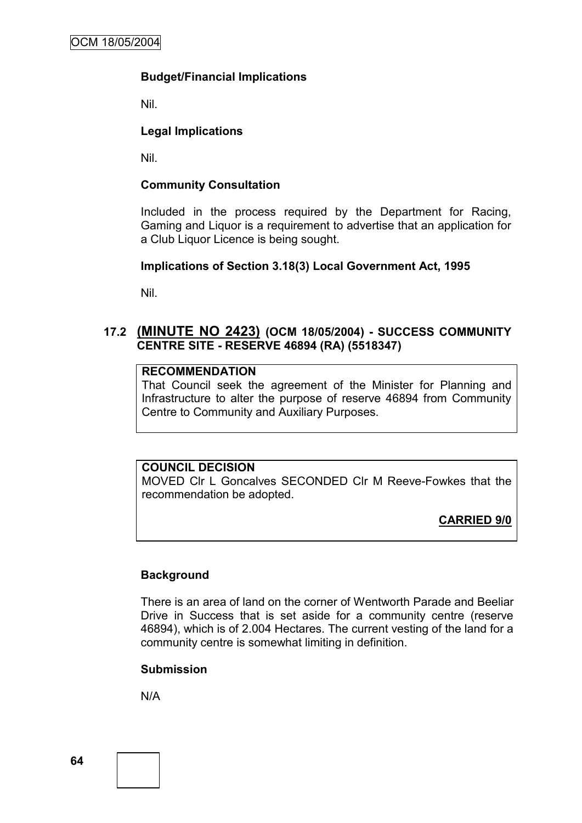#### **Budget/Financial Implications**

Nil.

### **Legal Implications**

Nil.

### **Community Consultation**

Included in the process required by the Department for Racing, Gaming and Liquor is a requirement to advertise that an application for a Club Liquor Licence is being sought.

#### **Implications of Section 3.18(3) Local Government Act, 1995**

Nil.

### **17.2 (MINUTE NO 2423) (OCM 18/05/2004) - SUCCESS COMMUNITY CENTRE SITE - RESERVE 46894 (RA) (5518347)**

### **RECOMMENDATION**

That Council seek the agreement of the Minister for Planning and Infrastructure to alter the purpose of reserve 46894 from Community Centre to Community and Auxiliary Purposes.

### **COUNCIL DECISION**

MOVED Clr L Goncalves SECONDED Clr M Reeve-Fowkes that the recommendation be adopted.

**CARRIED 9/0**

#### **Background**

There is an area of land on the corner of Wentworth Parade and Beeliar Drive in Success that is set aside for a community centre (reserve 46894), which is of 2.004 Hectares. The current vesting of the land for a community centre is somewhat limiting in definition.

#### **Submission**

N/A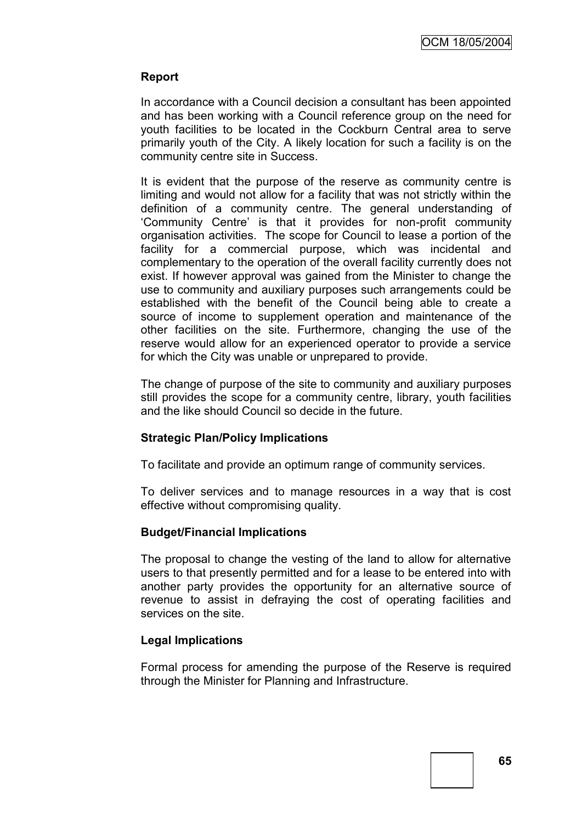### **Report**

In accordance with a Council decision a consultant has been appointed and has been working with a Council reference group on the need for youth facilities to be located in the Cockburn Central area to serve primarily youth of the City. A likely location for such a facility is on the community centre site in Success.

It is evident that the purpose of the reserve as community centre is limiting and would not allow for a facility that was not strictly within the definition of a community centre. The general understanding of 'Community Centre' is that it provides for non-profit community organisation activities. The scope for Council to lease a portion of the facility for a commercial purpose, which was incidental and complementary to the operation of the overall facility currently does not exist. If however approval was gained from the Minister to change the use to community and auxiliary purposes such arrangements could be established with the benefit of the Council being able to create a source of income to supplement operation and maintenance of the other facilities on the site. Furthermore, changing the use of the reserve would allow for an experienced operator to provide a service for which the City was unable or unprepared to provide.

The change of purpose of the site to community and auxiliary purposes still provides the scope for a community centre, library, youth facilities and the like should Council so decide in the future.

#### **Strategic Plan/Policy Implications**

To facilitate and provide an optimum range of community services.

To deliver services and to manage resources in a way that is cost effective without compromising quality.

#### **Budget/Financial Implications**

The proposal to change the vesting of the land to allow for alternative users to that presently permitted and for a lease to be entered into with another party provides the opportunity for an alternative source of revenue to assist in defraying the cost of operating facilities and services on the site.

#### **Legal Implications**

Formal process for amending the purpose of the Reserve is required through the Minister for Planning and Infrastructure.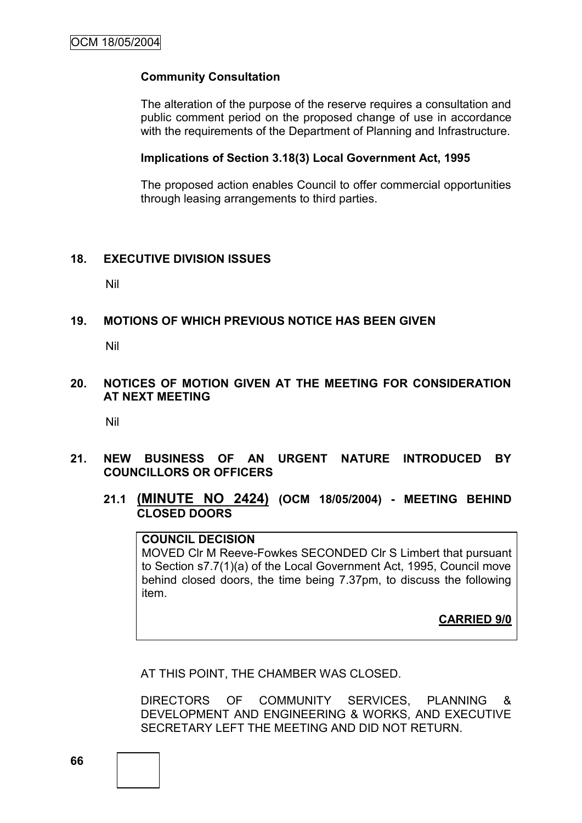#### **Community Consultation**

The alteration of the purpose of the reserve requires a consultation and public comment period on the proposed change of use in accordance with the requirements of the Department of Planning and Infrastructure.

#### **Implications of Section 3.18(3) Local Government Act, 1995**

The proposed action enables Council to offer commercial opportunities through leasing arrangements to third parties.

#### **18. EXECUTIVE DIVISION ISSUES**

Nil

#### **19. MOTIONS OF WHICH PREVIOUS NOTICE HAS BEEN GIVEN**

Nil

**20. NOTICES OF MOTION GIVEN AT THE MEETING FOR CONSIDERATION AT NEXT MEETING**

Nil

- **21. NEW BUSINESS OF AN URGENT NATURE INTRODUCED BY COUNCILLORS OR OFFICERS**
	- **21.1 (MINUTE NO 2424) (OCM 18/05/2004) - MEETING BEHIND CLOSED DOORS**

**COUNCIL DECISION** MOVED Clr M Reeve-Fowkes SECONDED Clr S Limbert that pursuant to Section s7.7(1)(a) of the Local Government Act, 1995, Council move behind closed doors, the time being 7.37pm, to discuss the following item.

**CARRIED 9/0**

AT THIS POINT, THE CHAMBER WAS CLOSED.

DIRECTORS OF COMMUNITY SERVICES, PLANNING & DEVELOPMENT AND ENGINEERING & WORKS, AND EXECUTIVE SECRETARY LEFT THE MEETING AND DID NOT RETURN.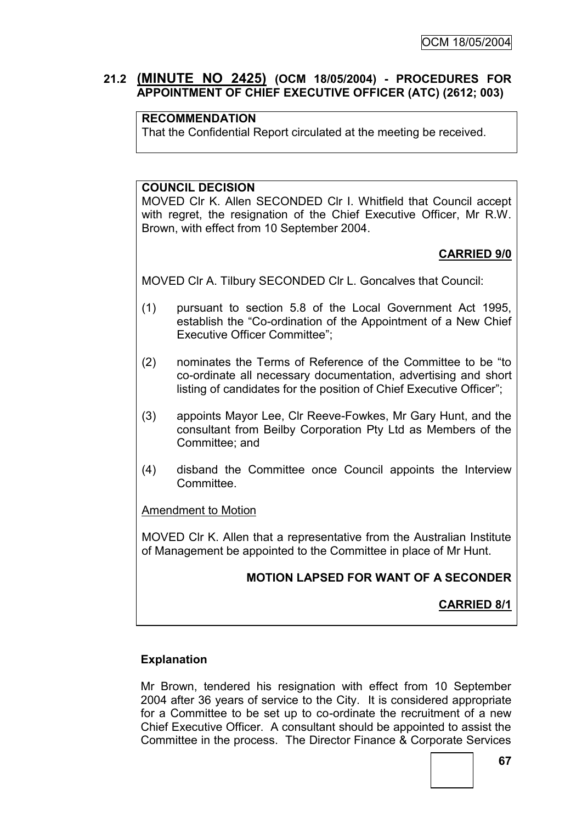### **21.2 (MINUTE NO 2425) (OCM 18/05/2004) - PROCEDURES FOR APPOINTMENT OF CHIEF EXECUTIVE OFFICER (ATC) (2612; 003)**

### **RECOMMENDATION**

That the Confidential Report circulated at the meeting be received.

#### **COUNCIL DECISION**

MOVED Clr K. Allen SECONDED Clr I. Whitfield that Council accept with regret, the resignation of the Chief Executive Officer, Mr R.W. Brown, with effect from 10 September 2004.

### **CARRIED 9/0**

MOVED Clr A. Tilbury SECONDED Clr L. Goncalves that Council:

- (1) pursuant to section 5.8 of the Local Government Act 1995, establish the "Co-ordination of the Appointment of a New Chief Executive Officer Committee";
- (2) nominates the Terms of Reference of the Committee to be "to co-ordinate all necessary documentation, advertising and short listing of candidates for the position of Chief Executive Officer";
- (3) appoints Mayor Lee, Clr Reeve-Fowkes, Mr Gary Hunt, and the consultant from Beilby Corporation Pty Ltd as Members of the Committee; and
- (4) disband the Committee once Council appoints the Interview **Committee.**

#### Amendment to Motion

MOVED Clr K. Allen that a representative from the Australian Institute of Management be appointed to the Committee in place of Mr Hunt.

**MOTION LAPSED FOR WANT OF A SECONDER**

#### **CARRIED 8/1**

#### **Explanation**

Mr Brown, tendered his resignation with effect from 10 September 2004 after 36 years of service to the City. It is considered appropriate for a Committee to be set up to co-ordinate the recruitment of a new Chief Executive Officer. A consultant should be appointed to assist the Committee in the process. The Director Finance & Corporate Services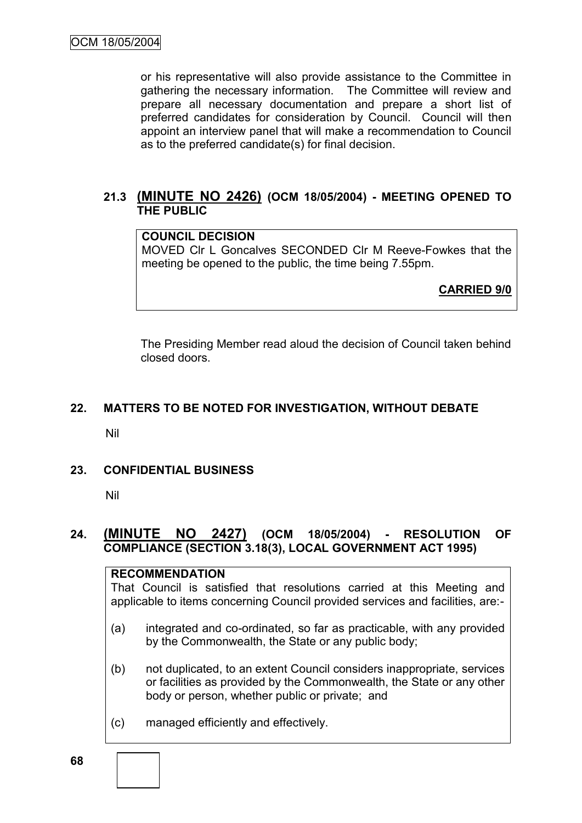or his representative will also provide assistance to the Committee in gathering the necessary information. The Committee will review and prepare all necessary documentation and prepare a short list of preferred candidates for consideration by Council. Council will then appoint an interview panel that will make a recommendation to Council as to the preferred candidate(s) for final decision.

### **21.3 (MINUTE NO 2426) (OCM 18/05/2004) - MEETING OPENED TO THE PUBLIC**

# **COUNCIL DECISION**

MOVED Clr L Goncalves SECONDED Clr M Reeve-Fowkes that the meeting be opened to the public, the time being 7.55pm.

**CARRIED 9/0**

The Presiding Member read aloud the decision of Council taken behind closed doors.

#### **22. MATTERS TO BE NOTED FOR INVESTIGATION, WITHOUT DEBATE**

Nil

#### **23. CONFIDENTIAL BUSINESS**

Nil

### **24. (MINUTE NO 2427) (OCM 18/05/2004) - RESOLUTION OF COMPLIANCE (SECTION 3.18(3), LOCAL GOVERNMENT ACT 1995)**

#### **RECOMMENDATION**

That Council is satisfied that resolutions carried at this Meeting and applicable to items concerning Council provided services and facilities, are:-

- (a) integrated and co-ordinated, so far as practicable, with any provided by the Commonwealth, the State or any public body;
- (b) not duplicated, to an extent Council considers inappropriate, services or facilities as provided by the Commonwealth, the State or any other body or person, whether public or private; and
- (c) managed efficiently and effectively.